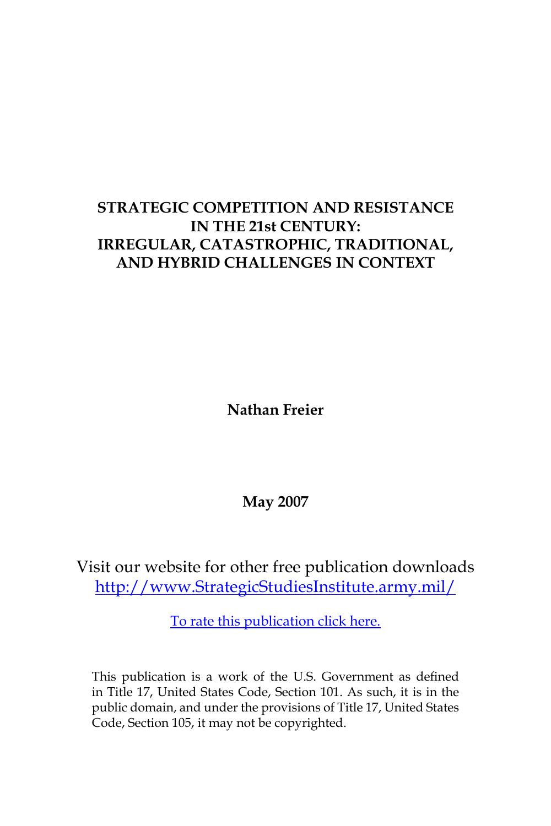# **STRATEGIC COMPETITION AND RESISTANCE IN THE 21st CENTURY: IRREGULAR, CATASTROPHIC, TRADITIONAL, AND HYBRID CHALLENGES IN CONTEXT**

**Nathan Freier**

**May 2007**

Visit our website for other free publication downloads [http://www.StrategicStudiesInstitute.army.mil/](http://www.StrategicStudiesInstitute.army.mil)

[To rate this publication click here.](http://www.strategicstudiesinstitute.army.mil/pubs/display.cfm?pubID=782)

This publication is a work of the U.S. Government as defined in Title 17, United States Code, Section 101. As such, it is in the public domain, and under the provisions of Title 17, United States Code, Section 105, it may not be copyrighted.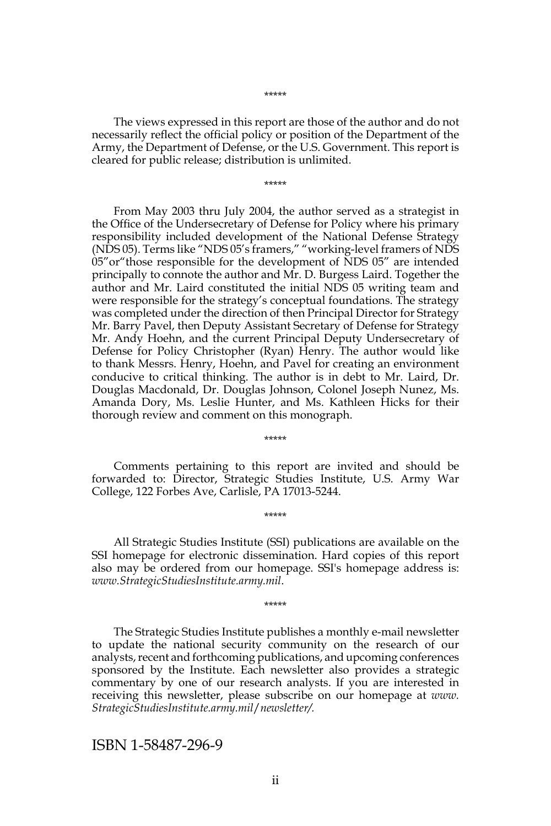The views expressed in this report are those of the author and do not necessarily reflect the official policy or position of the Department of the Army, the Department of Defense, or the U.S. Government. This report is cleared for public release; distribution is unlimited.

\*\*\*\*\*

From May 2003 thru July 2004, the author served as a strategist in the Office of the Undersecretary of Defense for Policy where his primary responsibility included development of the National Defense Strategy (NDS 05). Terms like "NDS 05's framers," "working-level framers of NDS 05"or"those responsible for the development of NDS 05" are intended principally to connote the author and Mr. D. Burgess Laird. Together the author and Mr. Laird constituted the initial NDS 05 writing team and were responsible for the strategy's conceptual foundations. The strategy was completed under the direction of then Principal Director for Strategy Mr. Barry Pavel, then Deputy Assistant Secretary of Defense for Strategy Mr. Andy Hoehn, and the current Principal Deputy Undersecretary of Defense for Policy Christopher (Ryan) Henry. The author would like to thank Messrs. Henry, Hoehn, and Pavel for creating an environment conducive to critical thinking. The author is in debt to Mr. Laird, Dr. Douglas Macdonald, Dr. Douglas Johnson, Colonel Joseph Nunez, Ms. Amanda Dory, Ms. Leslie Hunter, and Ms. Kathleen Hicks for their thorough review and comment on this monograph.

Comments pertaining to this report are invited and should be forwarded to: Director, Strategic Studies Institute, U.S. Army War College, 122 Forbes Ave, Carlisle, PA 17013-5244.

\*\*\*\*\*

\*\*\*\*\*

All Strategic Studies Institute (SSI) publications are available on the SSI homepage for electronic dissemination. Hard copies of this report also may be ordered from our homepage. SSI's homepage address is: *www.StrategicStudiesInstitute.army.mil*.

\*\*\*\*\*

The Strategic Studies Institute publishes a monthly e-mail newsletter to update the national security community on the research of our analysts, recent and forthcoming publications, and upcoming conferences sponsored by the Institute. Each newsletter also provides a strategic commentary by one of our research analysts. If you are interested in receiving this newsletter, please subscribe on our homepage at *www. StrategicStudiesInstitute.army.mil*/*newsletter/.*

ISBN 1-58487-296-9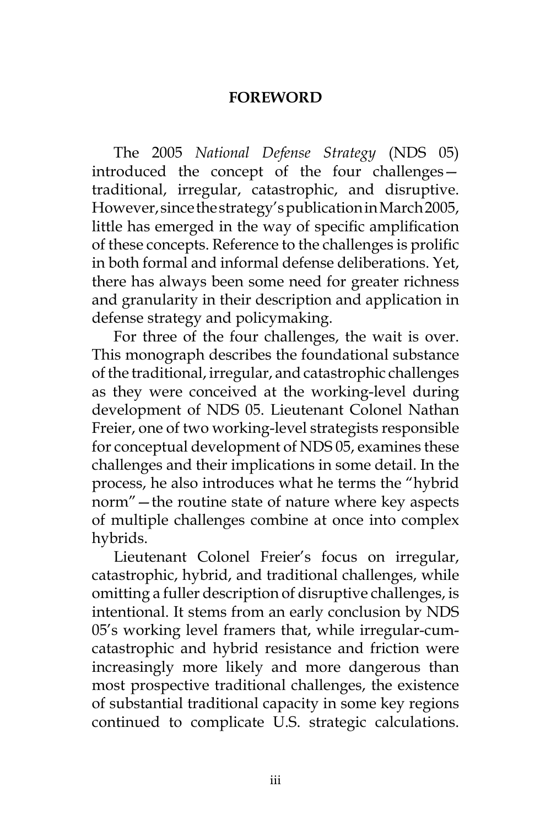## **FOREWORD**

The 2005 *National Defense Strategy* (NDS 05) introduced the concept of the four challenges traditional, irregular, catastrophic, and disruptive. However, since the strategy's publication in March 2005, little has emerged in the way of specific amplification of these concepts. Reference to the challenges is prolific in both formal and informal defense deliberations. Yet, there has always been some need for greater richness and granularity in their description and application in defense strategy and policymaking.

For three of the four challenges, the wait is over. This monograph describes the foundational substance of the traditional, irregular, and catastrophic challenges as they were conceived at the working-level during development of NDS 05. Lieutenant Colonel Nathan Freier, one of two working-level strategists responsible for conceptual development of NDS 05, examines these challenges and their implications in some detail. In the process, he also introduces what he terms the "hybrid norm"—the routine state of nature where key aspects of multiple challenges combine at once into complex hybrids.

Lieutenant Colonel Freier's focus on irregular, catastrophic, hybrid, and traditional challenges, while omitting a fuller description of disruptive challenges, is intentional. It stems from an early conclusion by NDS 05's working level framers that, while irregular-cumcatastrophic and hybrid resistance and friction were increasingly more likely and more dangerous than most prospective traditional challenges, the existence of substantial traditional capacity in some key regions continued to complicate U.S. strategic calculations.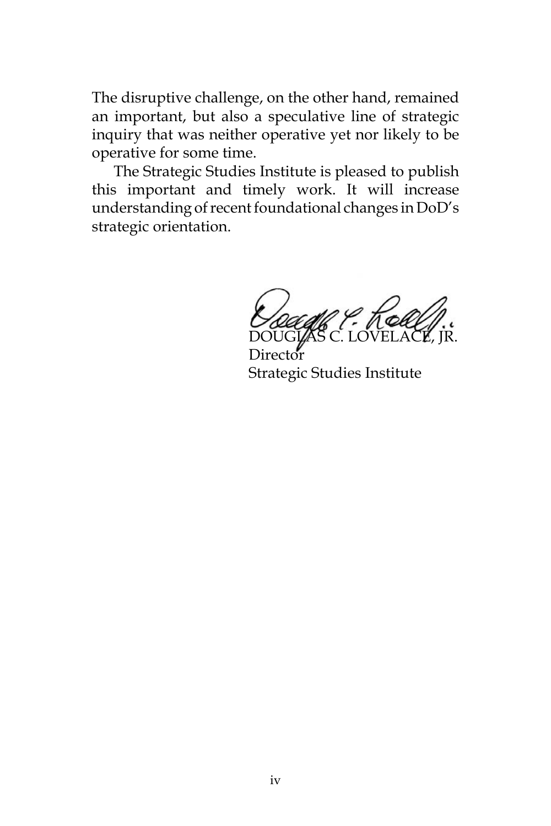The disruptive challenge, on the other hand, remained an important, but also a speculative line of strategic inquiry that was neither operative yet nor likely to be operative for some time.

The Strategic Studies Institute is pleased to publish this important and timely work. It will increase understanding of recent foundational changes in DoD's strategic orientation.

DOUGLAS C. LOVELACE, JR.

**Director** Strategic Studies Institute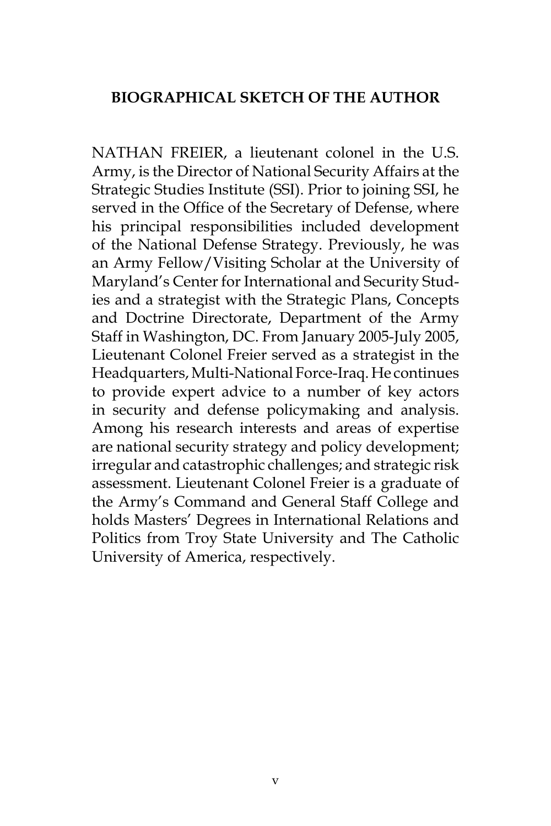## **BIOGRAPHICAL SKETCH OF THE AUTHOR**

NATHAN FREIER, a lieutenant colonel in the U.S. Army, is the Director of National Security Affairs at the Strategic Studies Institute (SSI). Prior to joining SSI, he served in the Office of the Secretary of Defense, where his principal responsibilities included development of the National Defense Strategy. Previously, he was an Army Fellow/Visiting Scholar at the University of Maryland's Center for International and Security Studies and a strategist with the Strategic Plans, Concepts and Doctrine Directorate, Department of the Army Staff in Washington, DC. From January 2005-July 2005, Lieutenant Colonel Freier served as a strategist in the Headquarters, Multi-National Force-Iraq. He continues to provide expert advice to a number of key actors in security and defense policymaking and analysis. Among his research interests and areas of expertise are national security strategy and policy development; irregular and catastrophic challenges; and strategic risk assessment. Lieutenant Colonel Freier is a graduate of the Army's Command and General Staff College and holds Masters' Degrees in International Relations and Politics from Troy State University and The Catholic University of America, respectively.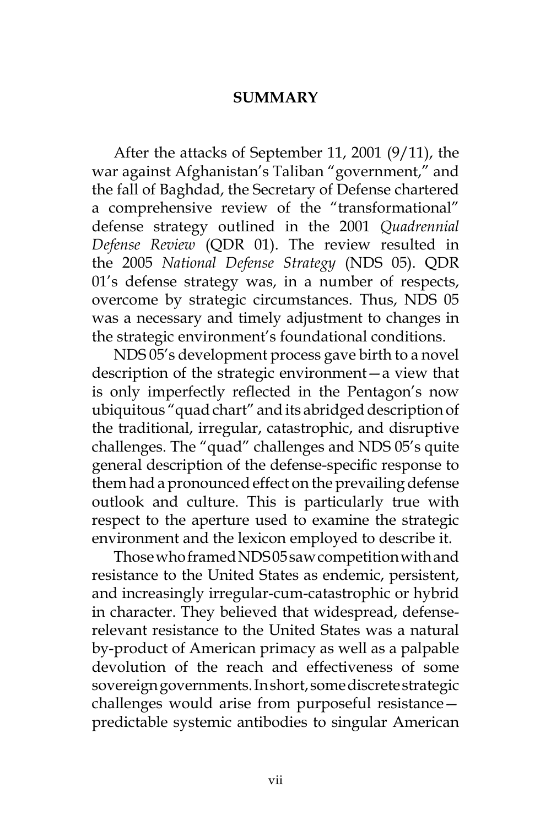## **SUMMARY**

After the attacks of September 11, 2001 (9/11), the war against Afghanistan's Taliban "government," and the fall of Baghdad, the Secretary of Defense chartered a comprehensive review of the "transformational" defense strategy outlined in the 2001 *Quadrennial Defense Review* (QDR 01). The review resulted in the 2005 *National Defense Strategy* (NDS 05). QDR 01's defense strategy was, in a number of respects, overcome by strategic circumstances. Thus, NDS 05 was a necessary and timely adjustment to changes in the strategic environment's foundational conditions.

NDS 05's development process gave birth to a novel description of the strategic environment—a view that is only imperfectly reflected in the Pentagon's now ubiquitous "quad chart" and its abridged description of the traditional, irregular, catastrophic, and disruptive challenges. The "quad" challenges and NDS 05's quite general description of the defense-specific response to them had a pronounced effect on the prevailing defense outlook and culture. This is particularly true with respect to the aperture used to examine the strategic environment and the lexicon employed to describe it.

Those who framed NDS 05 saw competition with and resistance to the United States as endemic, persistent, and increasingly irregular-cum-catastrophic or hybrid in character. They believed that widespread, defenserelevant resistance to the United States was a natural by-product of American primacy as well as a palpable devolution of the reach and effectiveness of some sovereign governments. In short, some discrete strategic challenges would arise from purposeful resistance predictable systemic antibodies to singular American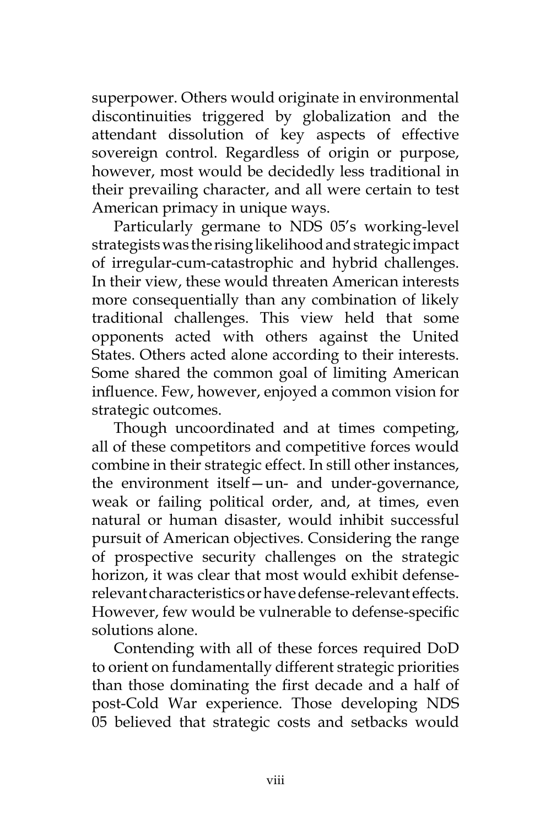superpower. Others would originate in environmental discontinuities triggered by globalization and the attendant dissolution of key aspects of effective sovereign control. Regardless of origin or purpose, however, most would be decidedly less traditional in their prevailing character, and all were certain to test American primacy in unique ways.

Particularly germane to NDS 05's working-level strategists was the rising likelihood and strategic impact of irregular-cum-catastrophic and hybrid challenges. In their view, these would threaten American interests more consequentially than any combination of likely traditional challenges. This view held that some opponents acted with others against the United States. Others acted alone according to their interests. Some shared the common goal of limiting American influence. Few, however, enjoyed a common vision for strategic outcomes.

Though uncoordinated and at times competing, all of these competitors and competitive forces would combine in their strategic effect. In still other instances, the environment itself—un- and under-governance, weak or failing political order, and, at times, even natural or human disaster, would inhibit successful pursuit of American objectives. Considering the range of prospective security challenges on the strategic horizon, it was clear that most would exhibit defenserelevant characteristics or have defense-relevant effects. However, few would be vulnerable to defense-specific solutions alone.

Contending with all of these forces required DoD to orient on fundamentally different strategic priorities than those dominating the first decade and a half of post-Cold War experience. Those developing NDS 05 believed that strategic costs and setbacks would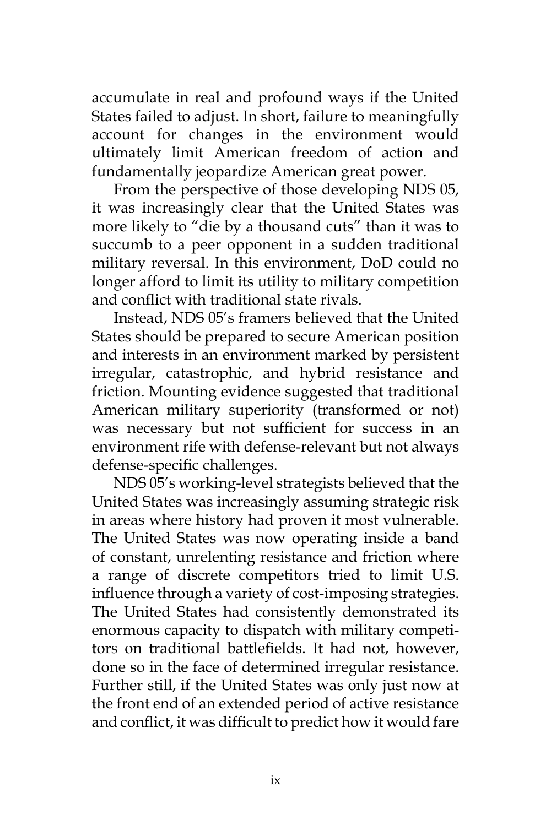accumulate in real and profound ways if the United States failed to adjust. In short, failure to meaningfully account for changes in the environment would ultimately limit American freedom of action and fundamentally jeopardize American great power.

From the perspective of those developing NDS 05, it was increasingly clear that the United States was more likely to "die by a thousand cuts" than it was to succumb to a peer opponent in a sudden traditional military reversal. In this environment, DoD could no longer afford to limit its utility to military competition and conflict with traditional state rivals.

Instead, NDS 05's framers believed that the United States should be prepared to secure American position and interests in an environment marked by persistent irregular, catastrophic, and hybrid resistance and friction. Mounting evidence suggested that traditional American military superiority (transformed or not) was necessary but not sufficient for success in an environment rife with defense-relevant but not always defense-specific challenges.

NDS 05's working-level strategists believed that the United States was increasingly assuming strategic risk in areas where history had proven it most vulnerable. The United States was now operating inside a band of constant, unrelenting resistance and friction where a range of discrete competitors tried to limit U.S. influence through a variety of cost-imposing strategies. The United States had consistently demonstrated its enormous capacity to dispatch with military competitors on traditional battlefields. It had not, however, done so in the face of determined irregular resistance. Further still, if the United States was only just now at the front end of an extended period of active resistance and conflict, it was difficult to predict how it would fare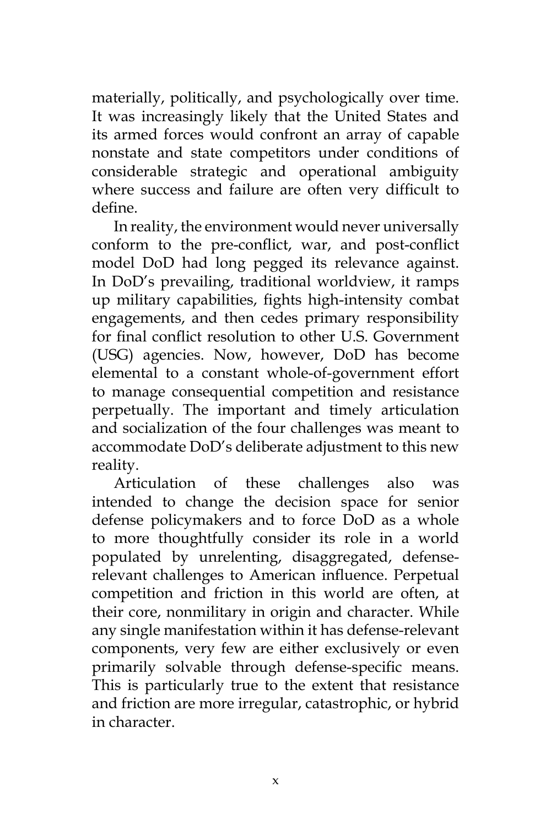materially, politically, and psychologically over time. It was increasingly likely that the United States and its armed forces would confront an array of capable nonstate and state competitors under conditions of considerable strategic and operational ambiguity where success and failure are often very difficult to define.

In reality, the environment would never universally conform to the pre-conflict, war, and post-conflict model DoD had long pegged its relevance against. In DoD's prevailing, traditional worldview, it ramps up military capabilities, fights high-intensity combat engagements, and then cedes primary responsibility for final conflict resolution to other U.S. Government (USG) agencies. Now, however, DoD has become elemental to a constant whole-of-government effort to manage consequential competition and resistance perpetually. The important and timely articulation and socialization of the four challenges was meant to accommodate DoD's deliberate adjustment to this new reality.

Articulation of these challenges also was intended to change the decision space for senior defense policymakers and to force DoD as a whole to more thoughtfully consider its role in a world populated by unrelenting, disaggregated, defenserelevant challenges to American influence. Perpetual competition and friction in this world are often, at their core, nonmilitary in origin and character. While any single manifestation within it has defense-relevant components, very few are either exclusively or even primarily solvable through defense-specific means. This is particularly true to the extent that resistance and friction are more irregular, catastrophic, or hybrid in character.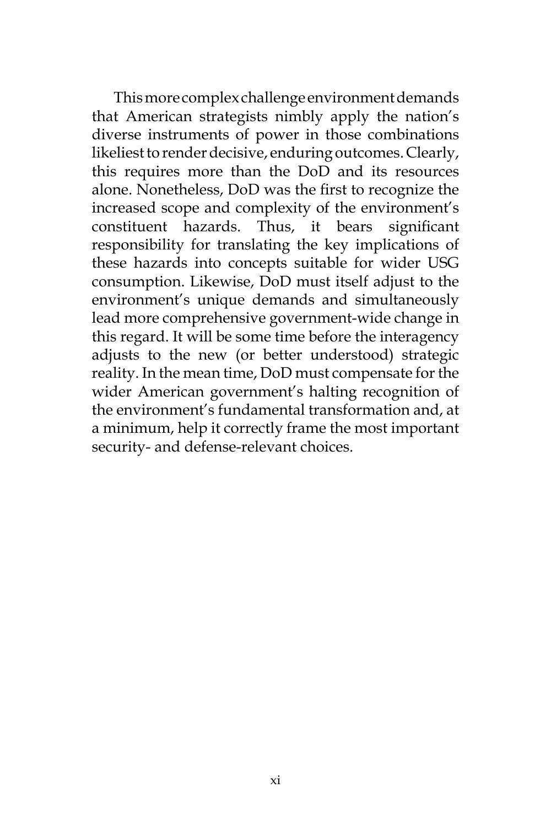This more complex challenge environment demands that American strategists nimbly apply the nation's diverse instruments of power in those combinations likeliest to render decisive, enduring outcomes. Clearly, this requires more than the DoD and its resources alone. Nonetheless, DoD was the first to recognize the increased scope and complexity of the environment's constituent hazards. Thus, it bears significant responsibility for translating the key implications of these hazards into concepts suitable for wider USG consumption. Likewise, DoD must itself adjust to the environment's unique demands and simultaneously lead more comprehensive government-wide change in this regard. It will be some time before the interagency adjusts to the new (or better understood) strategic reality. In the mean time, DoD must compensate for the wider American government's halting recognition of the environment's fundamental transformation and, at a minimum, help it correctly frame the most important security- and defense-relevant choices.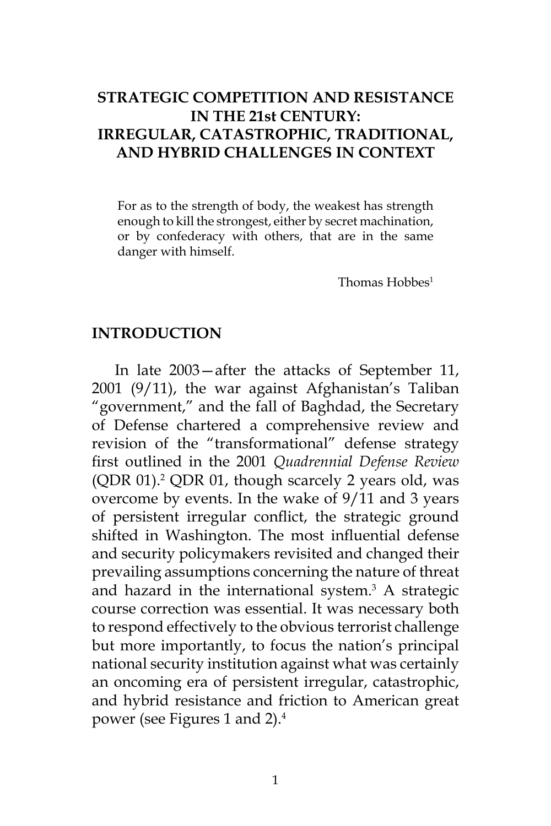# **STRATEGIC COMPETITION AND RESISTANCE IN THE 21st CENTURY: IRREGULAR, CATASTROPHIC, TRADITIONAL, AND HYBRID CHALLENGES IN CONTEXT**

For as to the strength of body, the weakest has strength enough to kill the strongest, either by secret machination, or by confederacy with others, that are in the same danger with himself.

Thomas Hobbes<sup>1</sup>

## **INTRODUCTION**

In late 2003—after the attacks of September 11, 2001 (9/11), the war against Afghanistan's Taliban "government," and the fall of Baghdad, the Secretary of Defense chartered a comprehensive review and revision of the "transformational" defense strategy first outlined in the 2001 *Quadrennial Defense Review* (QDR 01).<sup>2</sup> QDR 01, though scarcely 2 years old, was overcome by events. In the wake of 9/11 and 3 years of persistent irregular conflict, the strategic ground shifted in Washington. The most influential defense and security policymakers revisited and changed their prevailing assumptions concerning the nature of threat and hazard in the international system.<sup>3</sup> A strategic course correction was essential. It was necessary both to respond effectively to the obvious terrorist challenge but more importantly, to focus the nation's principal national security institution against what was certainly an oncoming era of persistent irregular, catastrophic, and hybrid resistance and friction to American great power (see Figures 1 and 2).4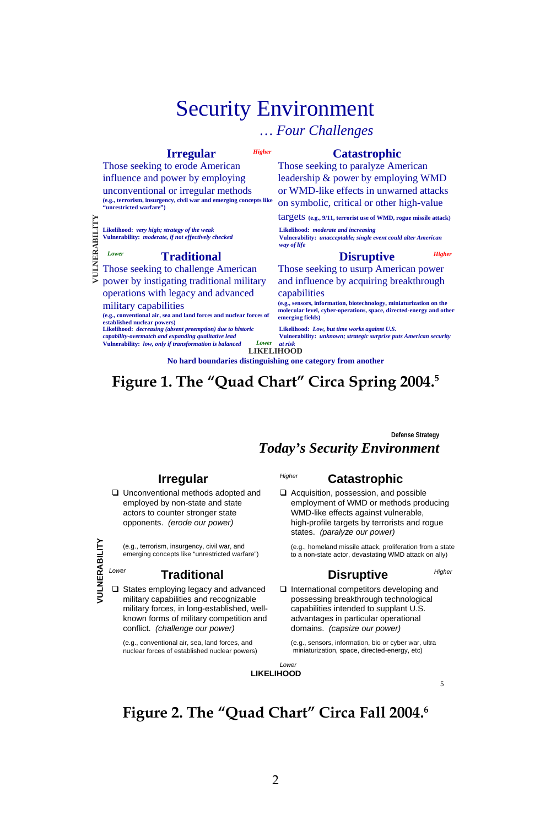# Security Environment

*Higher*

## *… Four Challenges*

## **Irregular**

Those seeking to erode American influence and power by employing unconventional or irregular methods **(e.g., terrorism, insurgency, civil war and emerging concepts like "unrestricted warfare")**

**Likelihood:** *very high; strategy of the weak* **Vulnerability:** *moderate, if not effectively checked*

#### **Traditional**

**VULNERABILITY** VULNERABILITY Those seeking to challenge American power by instigating traditional military operations with legacy and advanced

military capabilities

*Lower*

**(e.g., conventional air, sea and land forces and nuclear forces of established nuclear powers) Likelihood:** *decreasing (absent preemption) due to historic* 

*capability-overmatch and expanding qualitative lead* **Vulnerability:** *low, only if transformation is balanced* **Catastrophic**

Those seeking to paralyze American leadership & power by employing WMD or WMD-like effects in unwarned attacks on symbolic, critical or other high-value

targets **(e.g., 9/11, terrorist use of WMD, rogue missile attack)**

**Likelihood:** *moderate and increasing* **Vulnerability:** *unacceptable; single event could alter American way of life*

#### **Disruptive**

Those seeking to usurp American power and influence by acquiring breakthrough capabilities

**(e.g., sensors, information, biotechnology, miniaturization on the molecular level, cyber-operations, space, directed-energy and other emerging fields)**

**Likelihood:** *Low, but time works against U.S.* **Vulnerability:** *unknown; strategic surprise puts American security* 

*at risk* **LIKELIHOOD No hard boundaries distinguishing one category from another**

*Lower*

# **Figure 1. The "Quad Chart" Circa Spring 2004.5**

*Higher*

**Defense Strategy**

*Higher*

## *Today's Security Environment*

### **Irregular**

□ Unconventional methods adopted and employed by non-state and state actors to counter stronger state opponents. *(erode our power)*

(e.g., terrorism, insurgency, civil war, and emerging concepts like "unrestricted warfare")

## **Traditional**

□ States employing legacy and advanced military capabilities and recognizable military forces, in long-established, wellknown forms of military competition and conflict. *(challenge our power)*

(e.g., conventional air, sea, land forces, and nuclear forces of established nuclear powers)

## **Catastrophic**

Acquisition, possession, and possible employment of WMD or methods producing WMD-like effects against vulnerable, high-profile targets by terrorists and rogue states. *(paralyze our power)*

(e.g., homeland missile attack, proliferation from a state to a non-state actor, devastating WMD attack on ally)

 $\Box$  International competitors developing and possessing breakthrough technological capabilities intended to supplant U.S. advantages in particular operational domains. *(capsize our power)*  **VULNERABILITY** *Lower Higher*

**Disruptive**

(e.g., sensors, information, bio or cyber war, ultra miniaturization, space, directed-energy, etc)



5

# **Figure 2. The "Quad Chart" Circa Fall 2004.6**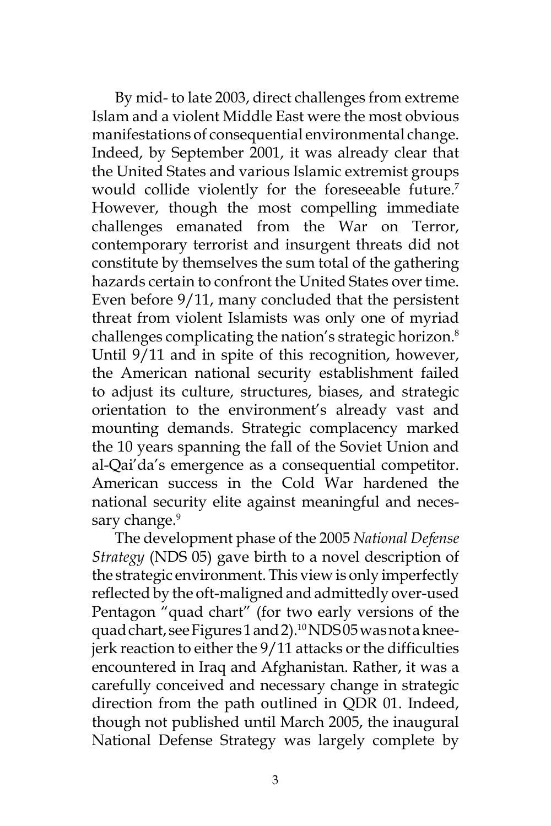By mid- to late 2003, direct challenges from extreme Islam and a violent Middle East were the most obvious manifestations of consequential environmental change. Indeed, by September 2001, it was already clear that the United States and various Islamic extremist groups would collide violently for the foreseeable future.<sup>7</sup> However, though the most compelling immediate challenges emanated from the War on Terror, contemporary terrorist and insurgent threats did not constitute by themselves the sum total of the gathering hazards certain to confront the United States over time. Even before 9/11, many concluded that the persistent threat from violent Islamists was only one of myriad challenges complicating the nation's strategic horizon.<sup>8</sup> Until 9/11 and in spite of this recognition, however, the American national security establishment failed to adjust its culture, structures, biases, and strategic orientation to the environment's already vast and mounting demands. Strategic complacency marked the 10 years spanning the fall of the Soviet Union and al-Qai'da's emergence as a consequential competitor. American success in the Cold War hardened the national security elite against meaningful and necessary change.<sup>9</sup>

The development phase of the 2005 *National Defense Strategy* (NDS 05) gave birth to a novel description of the strategic environment. This view is only imperfectly reflected by the oft-maligned and admittedly over-used Pentagon "quad chart" (for two early versions of the quad chart, see Figures 1 and 2).<sup>10</sup>NDS05 was not a kneejerk reaction to either the 9/11 attacks or the difficulties encountered in Iraq and Afghanistan. Rather, it was a carefully conceived and necessary change in strategic direction from the path outlined in QDR 01. Indeed, though not published until March 2005, the inaugural National Defense Strategy was largely complete by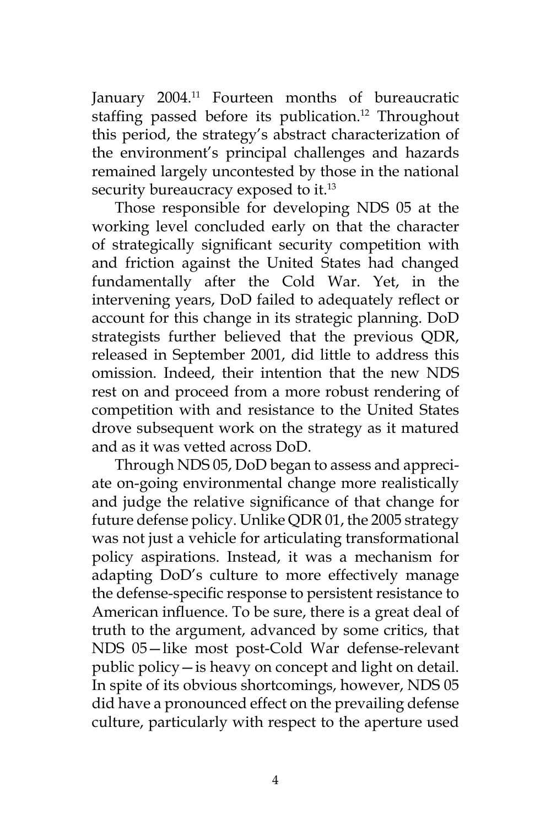January 2004.<sup>11</sup> Fourteen months of bureaucratic staffing passed before its publication.<sup>12</sup> Throughout this period, the strategy's abstract characterization of the environment's principal challenges and hazards remained largely uncontested by those in the national security bureaucracy exposed to it.<sup>13</sup>

Those responsible for developing NDS 05 at the working level concluded early on that the character of strategically significant security competition with and friction against the United States had changed fundamentally after the Cold War. Yet, in the intervening years, DoD failed to adequately reflect or account for this change in its strategic planning. DoD strategists further believed that the previous QDR, released in September 2001, did little to address this omission. Indeed, their intention that the new NDS rest on and proceed from a more robust rendering of competition with and resistance to the United States drove subsequent work on the strategy as it matured and as it was vetted across DoD.

Through NDS 05, DoD began to assess and appreciate on-going environmental change more realistically and judge the relative significance of that change for future defense policy. Unlike QDR 01, the 2005 strategy was not just a vehicle for articulating transformational policy aspirations. Instead, it was a mechanism for adapting DoD's culture to more effectively manage the defense-specific response to persistent resistance to American influence. To be sure, there is a great deal of truth to the argument, advanced by some critics, that NDS 05—like most post-Cold War defense-relevant public policy—is heavy on concept and light on detail. In spite of its obvious shortcomings, however, NDS 05 did have a pronounced effect on the prevailing defense culture, particularly with respect to the aperture used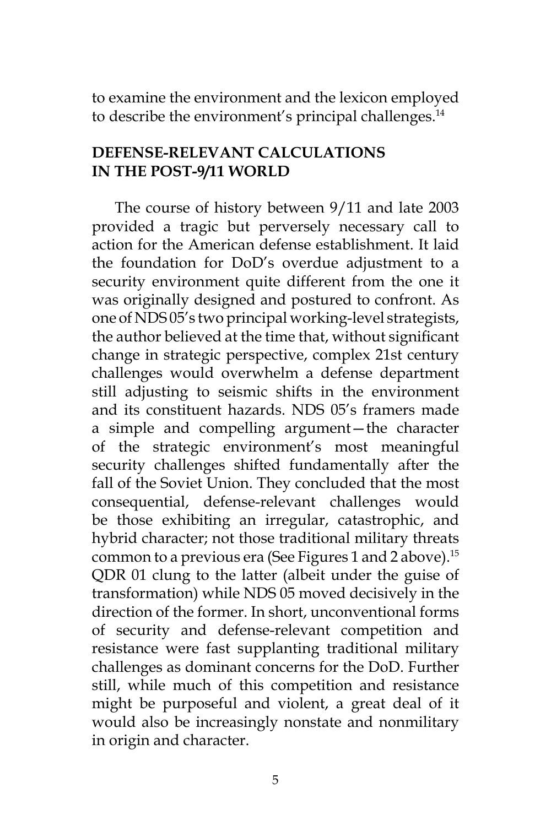to examine the environment and the lexicon employed to describe the environment's principal challenges.<sup>14</sup>

## **DEFENSE-RELEVANT CALCULATIONS IN THE POST-9/11 WORLD**

The course of history between 9/11 and late 2003 provided a tragic but perversely necessary call to action for the American defense establishment. It laid the foundation for DoD's overdue adjustment to a security environment quite different from the one it was originally designed and postured to confront. As one of NDS 05's two principal working-level strategists, the author believed at the time that, without significant change in strategic perspective, complex 21st century challenges would overwhelm a defense department still adjusting to seismic shifts in the environment and its constituent hazards. NDS 05's framers made a simple and compelling argument—the character of the strategic environment's most meaningful security challenges shifted fundamentally after the fall of the Soviet Union. They concluded that the most consequential, defense-relevant challenges would be those exhibiting an irregular, catastrophic, and hybrid character; not those traditional military threats common to a previous era (See Figures 1 and 2 above).<sup>15</sup> QDR 01 clung to the latter (albeit under the guise of transformation) while NDS 05 moved decisively in the direction of the former. In short, unconventional forms of security and defense-relevant competition and resistance were fast supplanting traditional military challenges as dominant concerns for the DoD. Further still, while much of this competition and resistance might be purposeful and violent, a great deal of it would also be increasingly nonstate and nonmilitary in origin and character.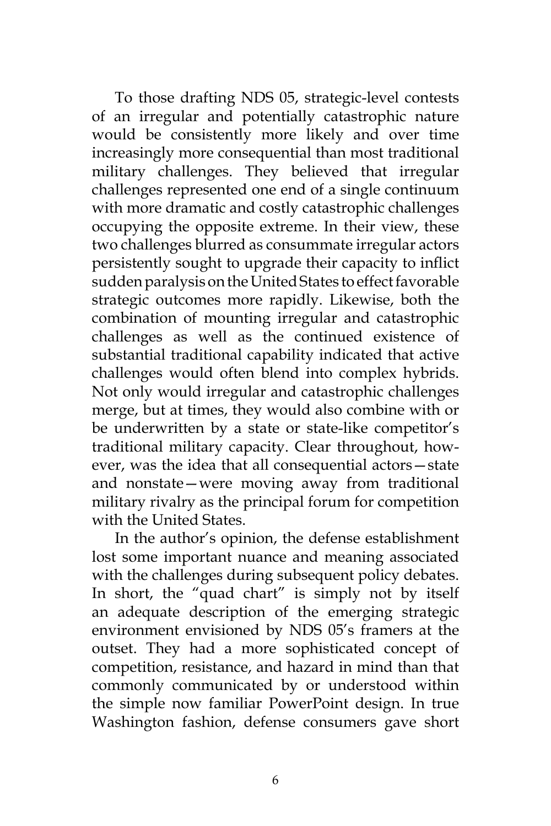To those drafting NDS 05, strategic-level contests of an irregular and potentially catastrophic nature would be consistently more likely and over time increasingly more consequential than most traditional military challenges. They believed that irregular challenges represented one end of a single continuum with more dramatic and costly catastrophic challenges occupying the opposite extreme. In their view, these two challenges blurred as consummate irregular actors persistently sought to upgrade their capacity to inflict sudden paralysis on the United States to effect favorable strategic outcomes more rapidly. Likewise, both the combination of mounting irregular and catastrophic challenges as well as the continued existence of substantial traditional capability indicated that active challenges would often blend into complex hybrids. Not only would irregular and catastrophic challenges merge, but at times, they would also combine with or be underwritten by a state or state-like competitor's traditional military capacity. Clear throughout, however, was the idea that all consequential actors—state and nonstate—were moving away from traditional military rivalry as the principal forum for competition with the United States.

In the author's opinion, the defense establishment lost some important nuance and meaning associated with the challenges during subsequent policy debates. In short, the "quad chart" is simply not by itself an adequate description of the emerging strategic environment envisioned by NDS 05's framers at the outset. They had a more sophisticated concept of competition, resistance, and hazard in mind than that commonly communicated by or understood within the simple now familiar PowerPoint design. In true Washington fashion, defense consumers gave short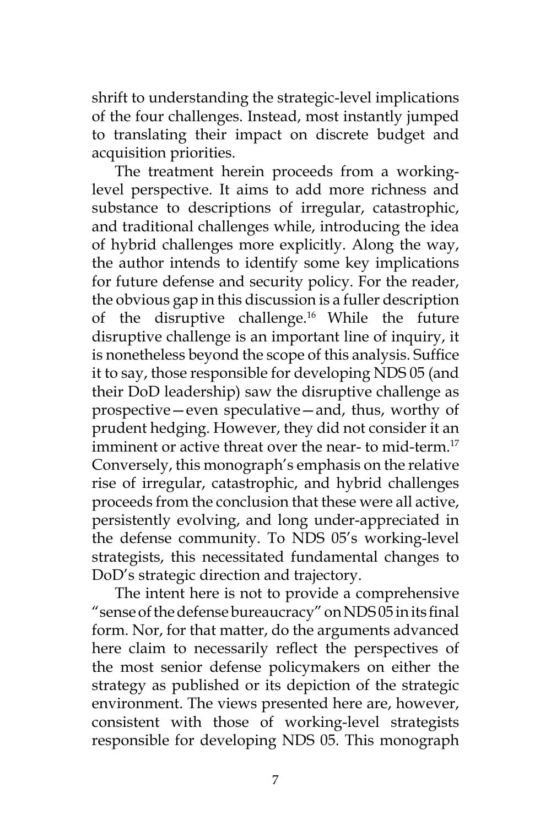shrift to understanding the strategic-level implications of the four challenges. Instead, most instantly jumped to translating their impact on discrete budget and acquisition priorities.

The treatment herein proceeds from a workinglevel perspective. It aims to add more richness and substance to descriptions of irregular, catastrophic, and traditional challenges while, introducing the idea of hybrid challenges more explicitly. Along the way, the author intends to identify some key implications for future defense and security policy. For the reader, the obvious gap in this discussion is a fuller description of the disruptive challenge.<sup>16</sup> While the future disruptive challenge is an important line of inquiry, it is nonetheless beyond the scope of this analysis. Suffice it to say, those responsible for developing NDS 05 (and their DoD leadership) saw the disruptive challenge as prospective—even speculative—and, thus, worthy of prudent hedging. However, they did not consider it an imminent or active threat over the near- to mid-term.<sup>17</sup> Conversely, this monograph's emphasis on the relative rise of irregular, catastrophic, and hybrid challenges proceeds from the conclusion that these were all active, persistently evolving, and long under-appreciated in the defense community. To NDS 05's working-level strategists, this necessitated fundamental changes to DoD's strategic direction and trajectory.

The intent here is not to provide a comprehensive "sense of the defense bureaucracy" on NDS 05 in its final form. Nor, for that matter, do the arguments advanced here claim to necessarily reflect the perspectives of the most senior defense policymakers on either the strategy as published or its depiction of the strategic environment. The views presented here are, however, consistent with those of working-level strategists responsible for developing NDS 05. This monograph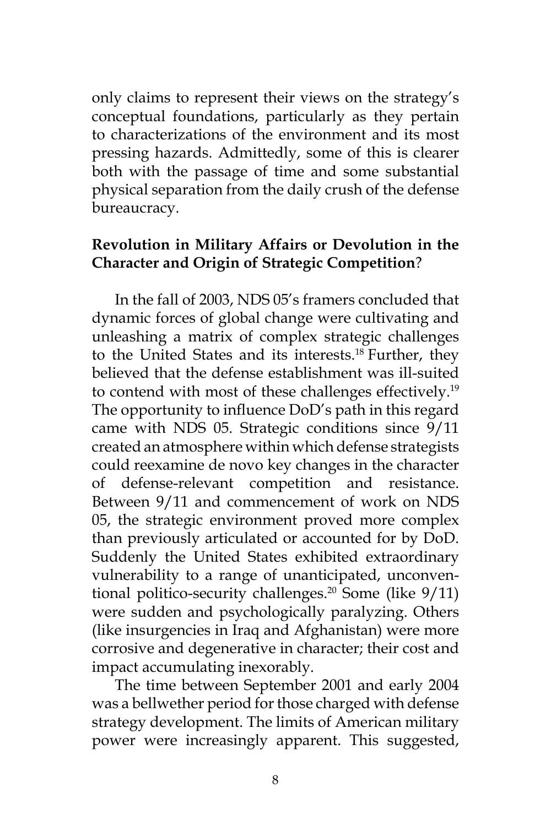only claims to represent their views on the strategy's conceptual foundations, particularly as they pertain to characterizations of the environment and its most pressing hazards. Admittedly, some of this is clearer both with the passage of time and some substantial physical separation from the daily crush of the defense bureaucracy.

## **Revolution in Military Affairs or Devolution in the Character and Origin of Strategic Competition**?

In the fall of 2003, NDS 05's framers concluded that dynamic forces of global change were cultivating and unleashing a matrix of complex strategic challenges to the United States and its interests.<sup>18</sup> Further, they believed that the defense establishment was ill-suited to contend with most of these challenges effectively.<sup>19</sup> The opportunity to influence DoD's path in this regard came with NDS 05. Strategic conditions since 9/11 created an atmosphere within which defense strategists could reexamine de novo key changes in the character of defense-relevant competition and resistance. Between 9/11 and commencement of work on NDS 05, the strategic environment proved more complex than previously articulated or accounted for by DoD. Suddenly the United States exhibited extraordinary vulnerability to a range of unanticipated, unconventional politico-security challenges.<sup>20</sup> Some (like  $9/11$ ) were sudden and psychologically paralyzing. Others (like insurgencies in Iraq and Afghanistan) were more corrosive and degenerative in character; their cost and impact accumulating inexorably.

The time between September 2001 and early 2004 was a bellwether period for those charged with defense strategy development. The limits of American military power were increasingly apparent. This suggested,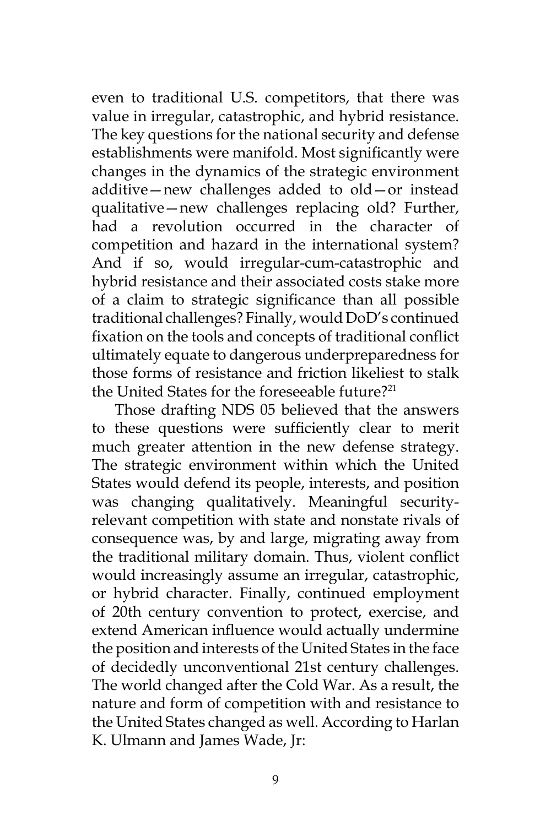even to traditional U.S. competitors, that there was value in irregular, catastrophic, and hybrid resistance. The key questions for the national security and defense establishments were manifold. Most significantly were changes in the dynamics of the strategic environment additive—new challenges added to old—or instead qualitative—new challenges replacing old? Further, had a revolution occurred in the character of competition and hazard in the international system? And if so, would irregular-cum-catastrophic and hybrid resistance and their associated costs stake more of a claim to strategic significance than all possible traditional challenges? Finally, would DoD's continued fixation on the tools and concepts of traditional conflict ultimately equate to dangerous underpreparedness for those forms of resistance and friction likeliest to stalk the United States for the foreseeable future?21

Those drafting NDS 05 believed that the answers to these questions were sufficiently clear to merit much greater attention in the new defense strategy. The strategic environment within which the United States would defend its people, interests, and position was changing qualitatively. Meaningful securityrelevant competition with state and nonstate rivals of consequence was, by and large, migrating away from the traditional military domain. Thus, violent conflict would increasingly assume an irregular, catastrophic, or hybrid character. Finally, continued employment of 20th century convention to protect, exercise, and extend American influence would actually undermine the position and interests of the United States in the face of decidedly unconventional 21st century challenges. The world changed after the Cold War. As a result, the nature and form of competition with and resistance to the United States changed as well. According to Harlan K. Ulmann and James Wade, Jr: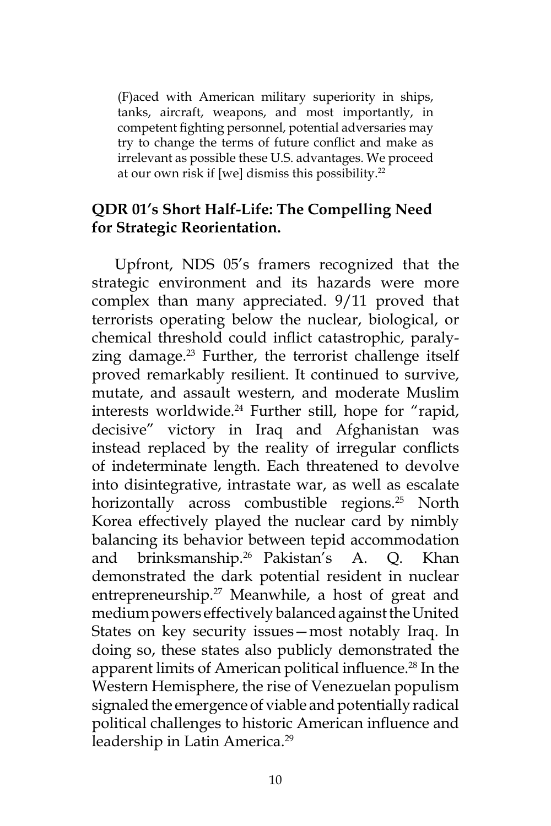(F)aced with American military superiority in ships, tanks, aircraft, weapons, and most importantly, in competent fighting personnel, potential adversaries may try to change the terms of future conflict and make as irrelevant as possible these U.S. advantages. We proceed at our own risk if [we] dismiss this possibility.22

## **QDR 01's Short Half-Life: The Compelling Need for Strategic Reorientation.**

Upfront, NDS 05's framers recognized that the strategic environment and its hazards were more complex than many appreciated. 9/11 proved that terrorists operating below the nuclear, biological, or chemical threshold could inflict catastrophic, paralyzing damage.<sup>23</sup> Further, the terrorist challenge itself proved remarkably resilient. It continued to survive, mutate, and assault western, and moderate Muslim interests worldwide.<sup>24</sup> Further still, hope for "rapid, decisive" victory in Iraq and Afghanistan was instead replaced by the reality of irregular conflicts of indeterminate length. Each threatened to devolve into disintegrative, intrastate war, as well as escalate horizontally across combustible regions.<sup>25</sup> North Korea effectively played the nuclear card by nimbly balancing its behavior between tepid accommodation and brinksmanship.26 Pakistan's A. Q. Khan demonstrated the dark potential resident in nuclear entrepreneurship.<sup>27</sup> Meanwhile, a host of great and medium powers effectively balanced against the United States on key security issues—most notably Iraq. In doing so, these states also publicly demonstrated the apparent limits of American political influence.<sup>28</sup> In the Western Hemisphere, the rise of Venezuelan populism signaled the emergence of viable and potentially radical political challenges to historic American influence and leadership in Latin America.<sup>29</sup>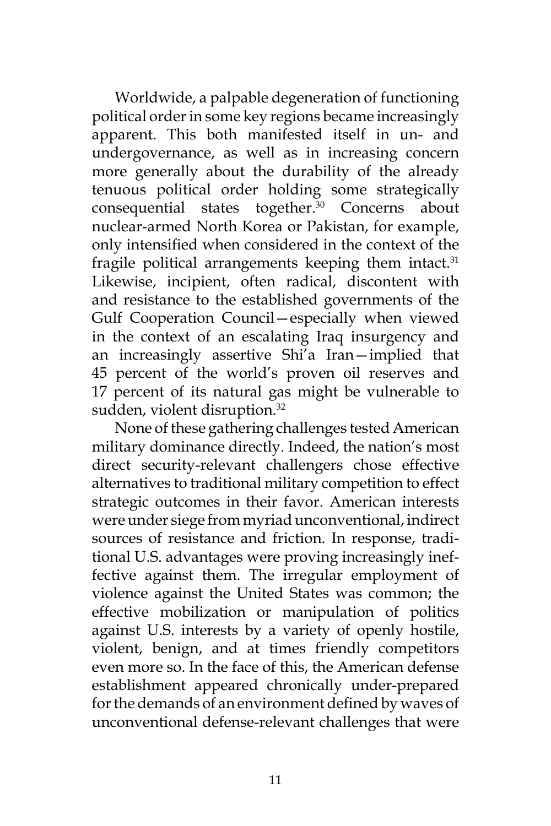Worldwide, a palpable degeneration of functioning political order in some key regions became increasingly apparent. This both manifested itself in un- and undergovernance, as well as in increasing concern more generally about the durability of the already tenuous political order holding some strategically consequential states together.<sup>30</sup> Concerns about nuclear-armed North Korea or Pakistan, for example, only intensified when considered in the context of the fragile political arrangements keeping them intact. $31$ Likewise, incipient, often radical, discontent with and resistance to the established governments of the Gulf Cooperation Council—especially when viewed in the context of an escalating Iraq insurgency and an increasingly assertive Shi'a Iran—implied that 45 percent of the world's proven oil reserves and 17 percent of its natural gas might be vulnerable to sudden, violent disruption.<sup>32</sup>

None of these gathering challenges tested American military dominance directly. Indeed, the nation's most direct security-relevant challengers chose effective alternatives to traditional military competition to effect strategic outcomes in their favor. American interests were under siege from myriad unconventional, indirect sources of resistance and friction. In response, traditional U.S. advantages were proving increasingly ineffective against them. The irregular employment of violence against the United States was common; the effective mobilization or manipulation of politics against U.S. interests by a variety of openly hostile, violent, benign, and at times friendly competitors even more so. In the face of this, the American defense establishment appeared chronically under-prepared for the demands of an environment defined by waves of unconventional defense-relevant challenges that were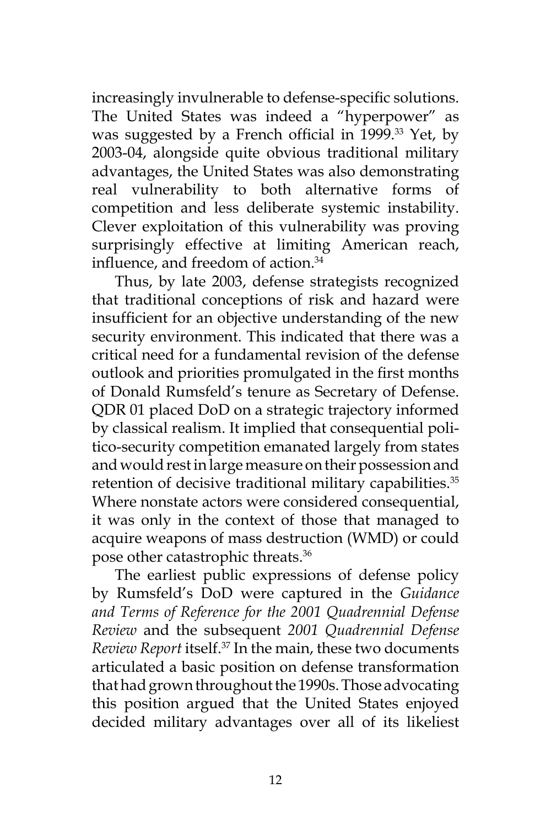increasingly invulnerable to defense-specific solutions. The United States was indeed a "hyperpower" as was suggested by a French official in 1999.<sup>33</sup> Yet, by 2003-04, alongside quite obvious traditional military advantages, the United States was also demonstrating real vulnerability to both alternative forms of competition and less deliberate systemic instability. Clever exploitation of this vulnerability was proving surprisingly effective at limiting American reach, influence, and freedom of action.<sup>34</sup>

Thus, by late 2003, defense strategists recognized that traditional conceptions of risk and hazard were insufficient for an objective understanding of the new security environment. This indicated that there was a critical need for a fundamental revision of the defense outlook and priorities promulgated in the first months of Donald Rumsfeld's tenure as Secretary of Defense. QDR 01 placed DoD on a strategic trajectory informed by classical realism. It implied that consequential politico-security competition emanated largely from states and would rest in large measure on their possession and retention of decisive traditional military capabilities.<sup>35</sup> Where nonstate actors were considered consequential, it was only in the context of those that managed to acquire weapons of mass destruction (WMD) or could pose other catastrophic threats.<sup>36</sup>

The earliest public expressions of defense policy by Rumsfeld's DoD were captured in the *Guidance and Terms of Reference for the 2001 Quadrennial Defense Review* and the subsequent *2001 Quadrennial Defense Review Report* itself.37 In the main, these two documents articulated a basic position on defense transformation that had grown throughout the 1990s. Those advocating this position argued that the United States enjoyed decided military advantages over all of its likeliest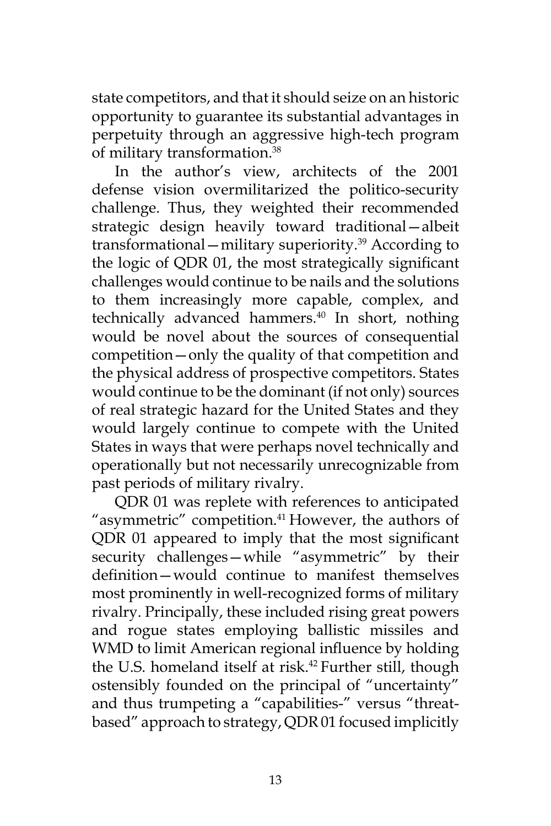state competitors, and that it should seize on an historic opportunity to guarantee its substantial advantages in perpetuity through an aggressive high-tech program of military transformation.<sup>38</sup>

In the author's view, architects of the 2001 defense vision overmilitarized the politico-security challenge. Thus, they weighted their recommended strategic design heavily toward traditional—albeit transformational—military superiority.<sup>39</sup> According to the logic of QDR 01, the most strategically significant challenges would continue to be nails and the solutions to them increasingly more capable, complex, and technically advanced hammers.<sup>40</sup> In short, nothing would be novel about the sources of consequential competition—only the quality of that competition and the physical address of prospective competitors. States would continue to be the dominant (if not only) sources of real strategic hazard for the United States and they would largely continue to compete with the United States in ways that were perhaps novel technically and operationally but not necessarily unrecognizable from past periods of military rivalry.

QDR 01 was replete with references to anticipated "asymmetric" competition.<sup>41</sup> However, the authors of QDR 01 appeared to imply that the most significant security challenges—while "asymmetric" by their definition—would continue to manifest themselves most prominently in well-recognized forms of military rivalry. Principally, these included rising great powers and rogue states employing ballistic missiles and WMD to limit American regional influence by holding the U.S. homeland itself at risk.<sup>42</sup> Further still, though ostensibly founded on the principal of "uncertainty" and thus trumpeting a "capabilities-" versus "threatbased" approach to strategy, QDR 01 focused implicitly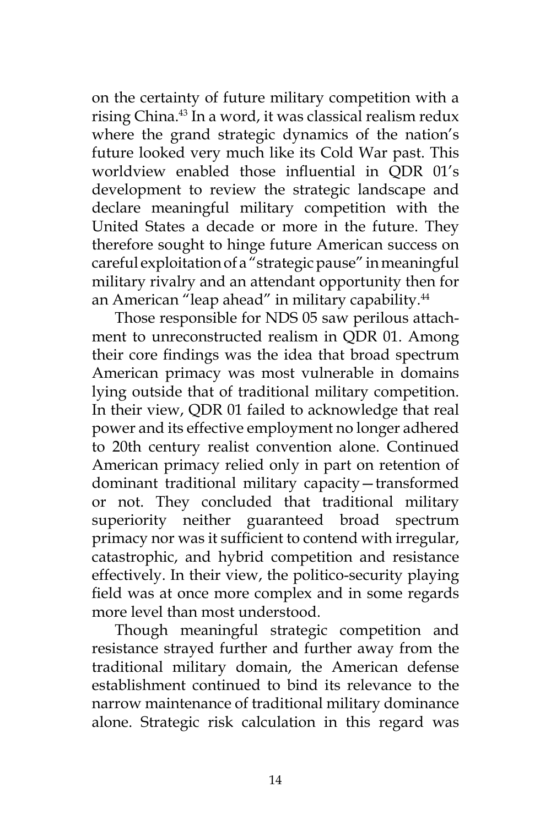on the certainty of future military competition with a rising China.<sup>43</sup> In a word, it was classical realism redux where the grand strategic dynamics of the nation's future looked very much like its Cold War past. This worldview enabled those influential in QDR 01's development to review the strategic landscape and declare meaningful military competition with the United States a decade or more in the future. They therefore sought to hinge future American success on careful exploitation of a "strategic pause" in meaningful military rivalry and an attendant opportunity then for an American "leap ahead" in military capability.<sup>44</sup>

Those responsible for NDS 05 saw perilous attachment to unreconstructed realism in QDR 01. Among their core findings was the idea that broad spectrum American primacy was most vulnerable in domains lying outside that of traditional military competition. In their view, QDR 01 failed to acknowledge that real power and its effective employment no longer adhered to 20th century realist convention alone. Continued American primacy relied only in part on retention of dominant traditional military capacity—transformed or not. They concluded that traditional military superiority neither guaranteed broad spectrum primacy nor was it sufficient to contend with irregular, catastrophic, and hybrid competition and resistance effectively. In their view, the politico-security playing field was at once more complex and in some regards more level than most understood.

Though meaningful strategic competition and resistance strayed further and further away from the traditional military domain, the American defense establishment continued to bind its relevance to the narrow maintenance of traditional military dominance alone. Strategic risk calculation in this regard was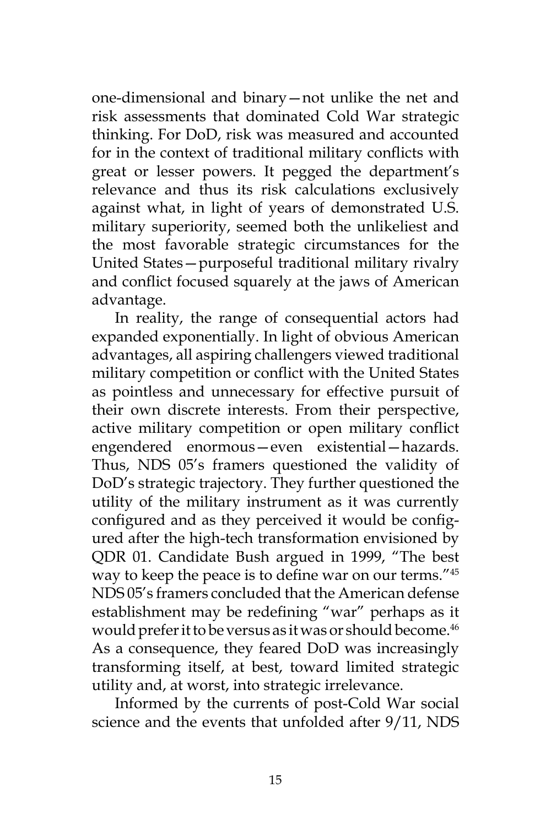one-dimensional and binary—not unlike the net and risk assessments that dominated Cold War strategic thinking. For DoD, risk was measured and accounted for in the context of traditional military conflicts with great or lesser powers. It pegged the department's relevance and thus its risk calculations exclusively against what, in light of years of demonstrated U.S. military superiority, seemed both the unlikeliest and the most favorable strategic circumstances for the United States—purposeful traditional military rivalry and conflict focused squarely at the jaws of American advantage.

In reality, the range of consequential actors had expanded exponentially. In light of obvious American advantages, all aspiring challengers viewed traditional military competition or conflict with the United States as pointless and unnecessary for effective pursuit of their own discrete interests. From their perspective, active military competition or open military conflict engendered enormous—even existential—hazards. Thus, NDS 05's framers questioned the validity of DoD's strategic trajectory. They further questioned the utility of the military instrument as it was currently configured and as they perceived it would be configured after the high-tech transformation envisioned by QDR 01. Candidate Bush argued in 1999, "The best way to keep the peace is to define war on our terms."<sup>45</sup> NDS 05's framers concluded that the American defense establishment may be redefining "war" perhaps as it would prefer it to be versus as it was or should become.<sup>46</sup> As a consequence, they feared DoD was increasingly transforming itself, at best, toward limited strategic utility and, at worst, into strategic irrelevance.

Informed by the currents of post-Cold War social science and the events that unfolded after 9/11, NDS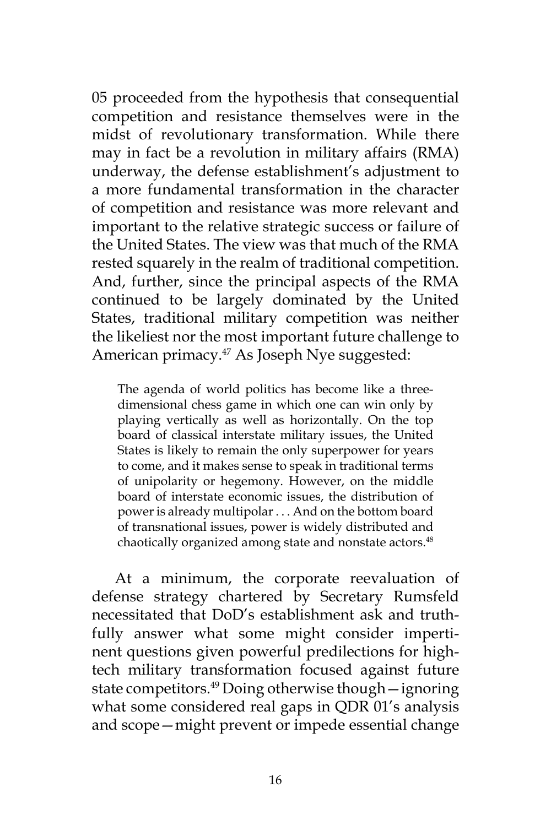05 proceeded from the hypothesis that consequential competition and resistance themselves were in the midst of revolutionary transformation. While there may in fact be a revolution in military affairs (RMA) underway, the defense establishment's adjustment to a more fundamental transformation in the character of competition and resistance was more relevant and important to the relative strategic success or failure of the United States. The view was that much of the RMA rested squarely in the realm of traditional competition. And, further, since the principal aspects of the RMA continued to be largely dominated by the United States, traditional military competition was neither the likeliest nor the most important future challenge to American primacy.<sup>47</sup> As Joseph Nye suggested:

The agenda of world politics has become like a threedimensional chess game in which one can win only by playing vertically as well as horizontally. On the top board of classical interstate military issues, the United States is likely to remain the only superpower for years to come, and it makes sense to speak in traditional terms of unipolarity or hegemony. However, on the middle board of interstate economic issues, the distribution of power is already multipolar . . . And on the bottom board of transnational issues, power is widely distributed and chaotically organized among state and nonstate actors.<sup>48</sup>

At a minimum, the corporate reevaluation of defense strategy chartered by Secretary Rumsfeld necessitated that DoD's establishment ask and truthfully answer what some might consider impertinent questions given powerful predilections for hightech military transformation focused against future state competitors.<sup>49</sup> Doing otherwise though — ignoring what some considered real gaps in QDR 01's analysis and scope—might prevent or impede essential change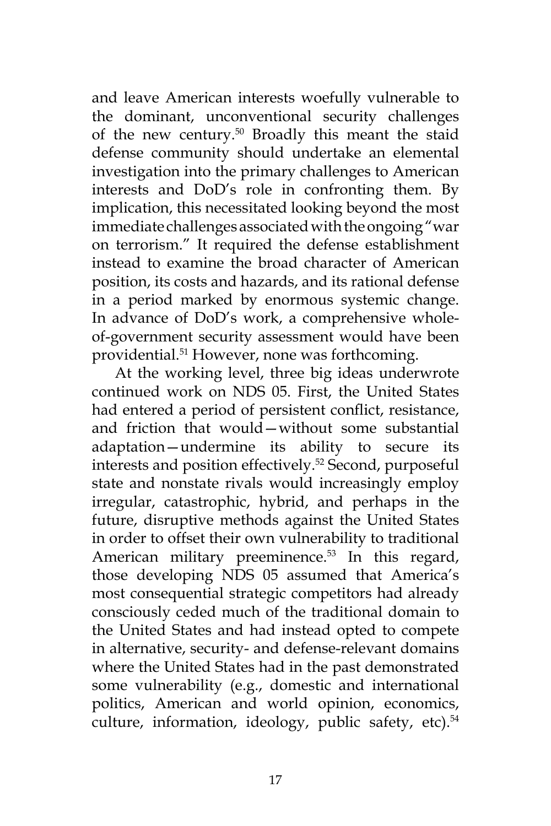and leave American interests woefully vulnerable to the dominant, unconventional security challenges of the new century.<sup>50</sup> Broadly this meant the staid defense community should undertake an elemental investigation into the primary challenges to American interests and DoD's role in confronting them. By implication, this necessitated looking beyond the most immediate challenges associated with the ongoing "war on terrorism." It required the defense establishment instead to examine the broad character of American position, its costs and hazards, and its rational defense in a period marked by enormous systemic change. In advance of DoD's work, a comprehensive wholeof-government security assessment would have been providential.51 However, none was forthcoming.

At the working level, three big ideas underwrote continued work on NDS 05. First, the United States had entered a period of persistent conflict, resistance, and friction that would—without some substantial adaptation—undermine its ability to secure its interests and position effectively.<sup>52</sup> Second, purposeful state and nonstate rivals would increasingly employ irregular, catastrophic, hybrid, and perhaps in the future, disruptive methods against the United States in order to offset their own vulnerability to traditional American military preeminence.<sup>53</sup> In this regard, those developing NDS 05 assumed that America's most consequential strategic competitors had already consciously ceded much of the traditional domain to the United States and had instead opted to compete in alternative, security- and defense-relevant domains where the United States had in the past demonstrated some vulnerability (e.g., domestic and international politics, American and world opinion, economics, culture, information, ideology, public safety, etc).<sup>54</sup>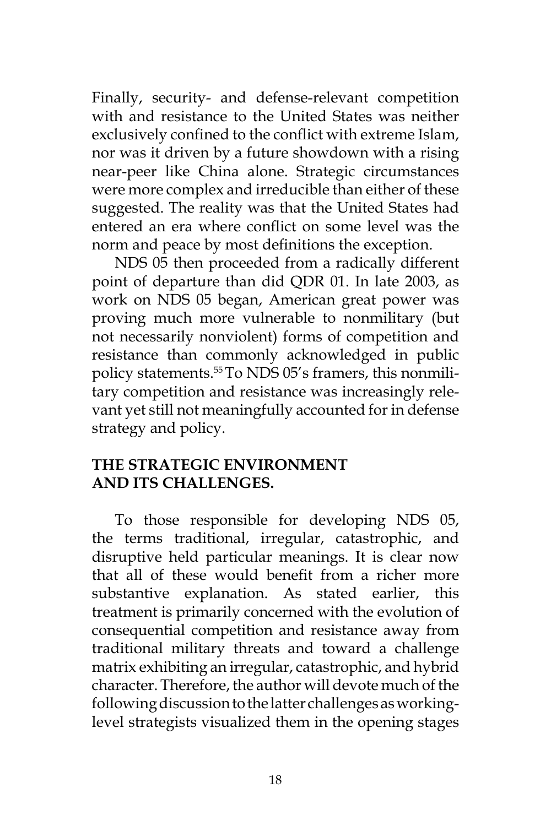Finally, security- and defense-relevant competition with and resistance to the United States was neither exclusively confined to the conflict with extreme Islam, nor was it driven by a future showdown with a rising near-peer like China alone. Strategic circumstances were more complex and irreducible than either of these suggested. The reality was that the United States had entered an era where conflict on some level was the norm and peace by most definitions the exception.

NDS 05 then proceeded from a radically different point of departure than did QDR 01. In late 2003, as work on NDS 05 began, American great power was proving much more vulnerable to nonmilitary (but not necessarily nonviolent) forms of competition and resistance than commonly acknowledged in public policy statements.55 To NDS 05's framers, this nonmilitary competition and resistance was increasingly relevant yet still not meaningfully accounted for in defense strategy and policy.

## **The Strategic Environment and Its Challenges.**

To those responsible for developing NDS 05, the terms traditional, irregular, catastrophic, and disruptive held particular meanings. It is clear now that all of these would benefit from a richer more substantive explanation. As stated earlier, this treatment is primarily concerned with the evolution of consequential competition and resistance away from traditional military threats and toward a challenge matrix exhibiting an irregular, catastrophic, and hybrid character. Therefore, the author will devote much of the following discussion to the latter challenges as workinglevel strategists visualized them in the opening stages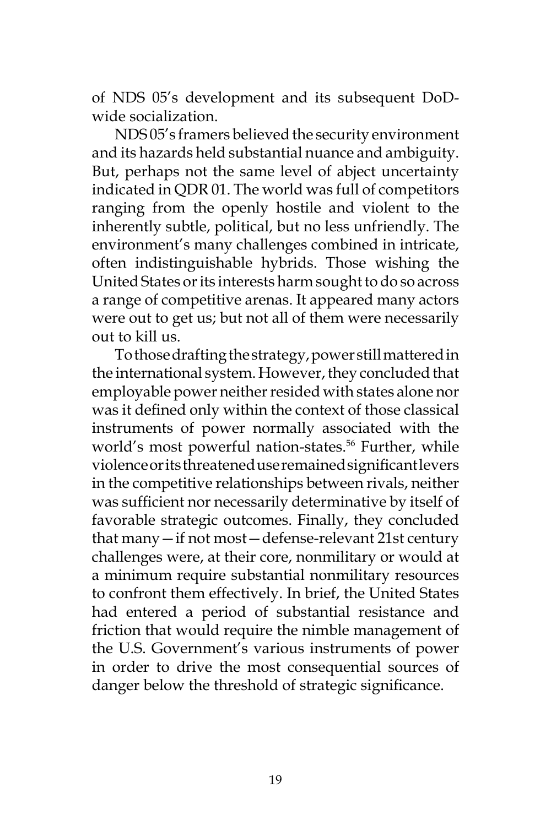of NDS 05's development and its subsequent DoDwide socialization.

NDS 05's framers believed the security environment and its hazards held substantial nuance and ambiguity. But, perhaps not the same level of abject uncertainty indicated in QDR 01. The world was full of competitors ranging from the openly hostile and violent to the inherently subtle, political, but no less unfriendly. The environment's many challenges combined in intricate, often indistinguishable hybrids. Those wishing the United States or its interests harm sought to do so across a range of competitive arenas. It appeared many actors were out to get us; but not all of them were necessarily out to kill us.

To those drafting the strategy, power still mattered in the international system. However, they concluded that employable power neither resided with states alone nor was it defined only within the context of those classical instruments of power normally associated with the world's most powerful nation-states.<sup>56</sup> Further, while violence or its threatened use remained significant levers in the competitive relationships between rivals, neither was sufficient nor necessarily determinative by itself of favorable strategic outcomes. Finally, they concluded that many—if not most—defense-relevant 21st century challenges were, at their core, nonmilitary or would at a minimum require substantial nonmilitary resources to confront them effectively. In brief, the United States had entered a period of substantial resistance and friction that would require the nimble management of the U.S. Government's various instruments of power in order to drive the most consequential sources of danger below the threshold of strategic significance.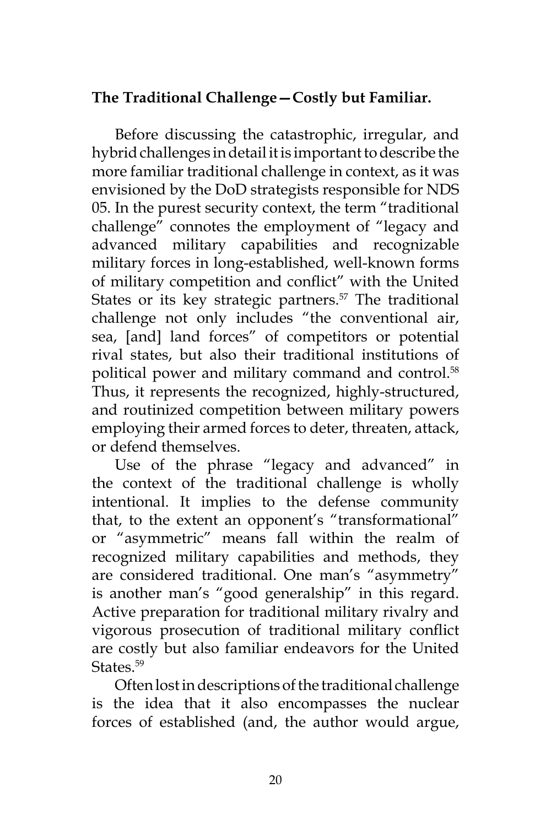# **The Traditional Challenge—Costly but Familiar.**

Before discussing the catastrophic, irregular, and hybrid challenges in detail it is important to describe the more familiar traditional challenge in context, as it was envisioned by the DoD strategists responsible for NDS 05. In the purest security context, the term "traditional challenge" connotes the employment of "legacy and advanced military capabilities and recognizable military forces in long-established, well-known forms of military competition and conflict" with the United States or its key strategic partners.<sup>57</sup> The traditional challenge not only includes "the conventional air, sea, [and] land forces" of competitors or potential rival states, but also their traditional institutions of political power and military command and control.<sup>58</sup> Thus, it represents the recognized, highly-structured, and routinized competition between military powers employing their armed forces to deter, threaten, attack, or defend themselves.

Use of the phrase "legacy and advanced" in the context of the traditional challenge is wholly intentional. It implies to the defense community that, to the extent an opponent's "transformational" or "asymmetric" means fall within the realm of recognized military capabilities and methods, they are considered traditional. One man's "asymmetry" is another man's "good generalship" in this regard. Active preparation for traditional military rivalry and vigorous prosecution of traditional military conflict are costly but also familiar endeavors for the United States.<sup>59</sup>

Often lost in descriptions of the traditional challenge is the idea that it also encompasses the nuclear forces of established (and, the author would argue,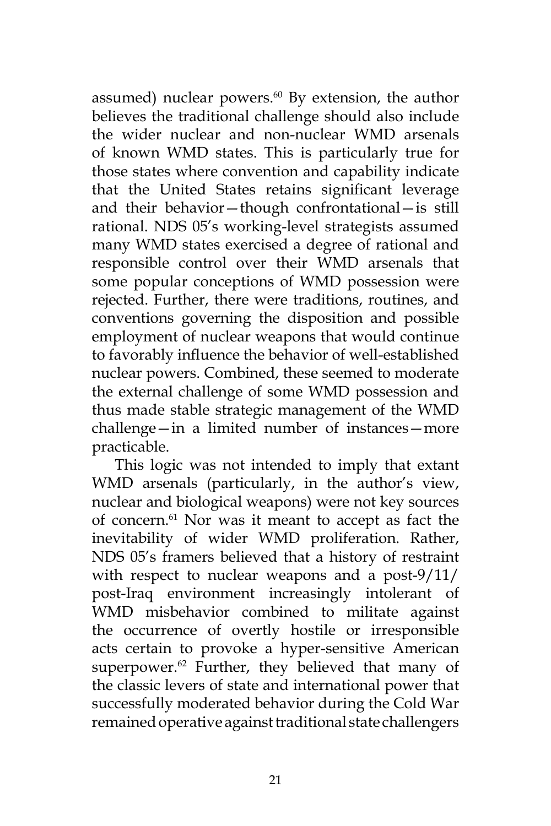assumed) nuclear powers.<sup>60</sup> By extension, the author believes the traditional challenge should also include the wider nuclear and non-nuclear WMD arsenals of known WMD states. This is particularly true for those states where convention and capability indicate that the United States retains significant leverage and their behavior—though confrontational—is still rational. NDS 05's working-level strategists assumed many WMD states exercised a degree of rational and responsible control over their WMD arsenals that some popular conceptions of WMD possession were rejected. Further, there were traditions, routines, and conventions governing the disposition and possible employment of nuclear weapons that would continue to favorably influence the behavior of well-established nuclear powers. Combined, these seemed to moderate the external challenge of some WMD possession and thus made stable strategic management of the WMD challenge—in a limited number of instances—more practicable.

This logic was not intended to imply that extant WMD arsenals (particularly, in the author's view, nuclear and biological weapons) were not key sources of concern.<sup>61</sup> Nor was it meant to accept as fact the inevitability of wider WMD proliferation. Rather, NDS 05's framers believed that a history of restraint with respect to nuclear weapons and a post-9/11/ post-Iraq environment increasingly intolerant of WMD misbehavior combined to militate against the occurrence of overtly hostile or irresponsible acts certain to provoke a hyper-sensitive American superpower.<sup>62</sup> Further, they believed that many of the classic levers of state and international power that successfully moderated behavior during the Cold War remained operative against traditional state challengers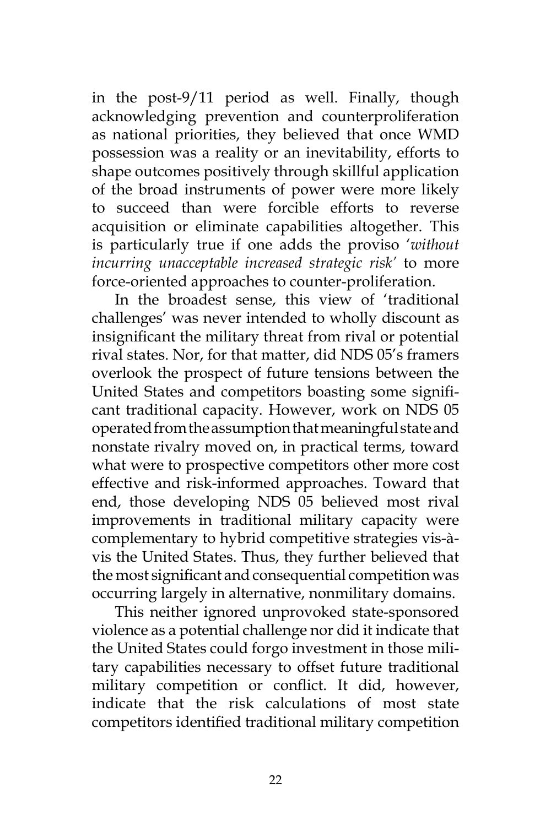in the post-9/11 period as well. Finally, though acknowledging prevention and counterproliferation as national priorities, they believed that once WMD possession was a reality or an inevitability, efforts to shape outcomes positively through skillful application of the broad instruments of power were more likely to succeed than were forcible efforts to reverse acquisition or eliminate capabilities altogether. This is particularly true if one adds the proviso '*without incurring unacceptable increased strategic risk'* to more force-oriented approaches to counter-proliferation.

In the broadest sense, this view of 'traditional challenges' was never intended to wholly discount as insignificant the military threat from rival or potential rival states. Nor, for that matter, did NDS 05's framers overlook the prospect of future tensions between the United States and competitors boasting some significant traditional capacity. However, work on NDS 05 operated from the assumption that meaningful state and nonstate rivalry moved on, in practical terms, toward what were to prospective competitors other more cost effective and risk-informed approaches. Toward that end, those developing NDS 05 believed most rival improvements in traditional military capacity were complementary to hybrid competitive strategies vis-àvis the United States. Thus, they further believed that the most significant and consequential competition was occurring largely in alternative, nonmilitary domains.

This neither ignored unprovoked state-sponsored violence as a potential challenge nor did it indicate that the United States could forgo investment in those military capabilities necessary to offset future traditional military competition or conflict. It did, however, indicate that the risk calculations of most state competitors identified traditional military competition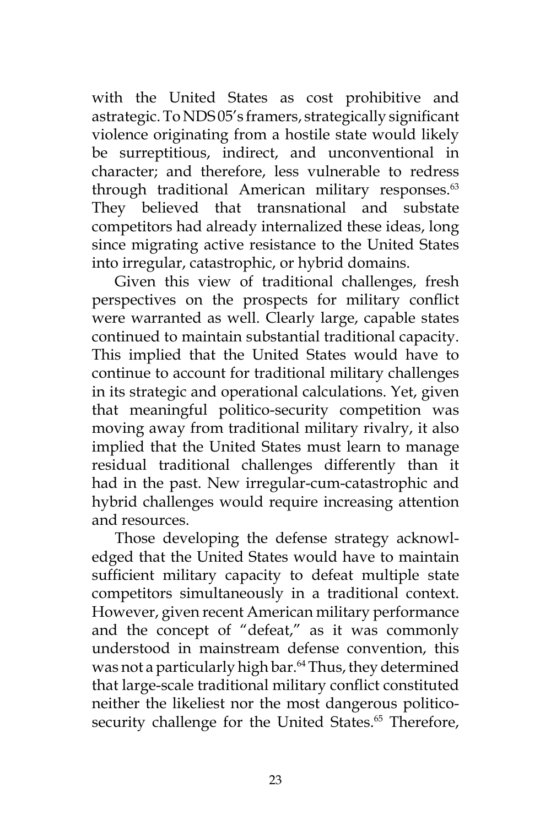with the United States as cost prohibitive and astrategic. To NDS 05's framers, strategically significant violence originating from a hostile state would likely be surreptitious, indirect, and unconventional in character; and therefore, less vulnerable to redress through traditional American military responses.<sup>63</sup> They believed that transnational and substate competitors had already internalized these ideas, long since migrating active resistance to the United States into irregular, catastrophic, or hybrid domains.

Given this view of traditional challenges, fresh perspectives on the prospects for military conflict were warranted as well. Clearly large, capable states continued to maintain substantial traditional capacity. This implied that the United States would have to continue to account for traditional military challenges in its strategic and operational calculations. Yet, given that meaningful politico-security competition was moving away from traditional military rivalry, it also implied that the United States must learn to manage residual traditional challenges differently than it had in the past. New irregular-cum-catastrophic and hybrid challenges would require increasing attention and resources.

Those developing the defense strategy acknowledged that the United States would have to maintain sufficient military capacity to defeat multiple state competitors simultaneously in a traditional context. However, given recent American military performance and the concept of "defeat," as it was commonly understood in mainstream defense convention, this was not a particularly high bar.<sup>64</sup> Thus, they determined that large-scale traditional military conflict constituted neither the likeliest nor the most dangerous politicosecurity challenge for the United States.<sup>65</sup> Therefore,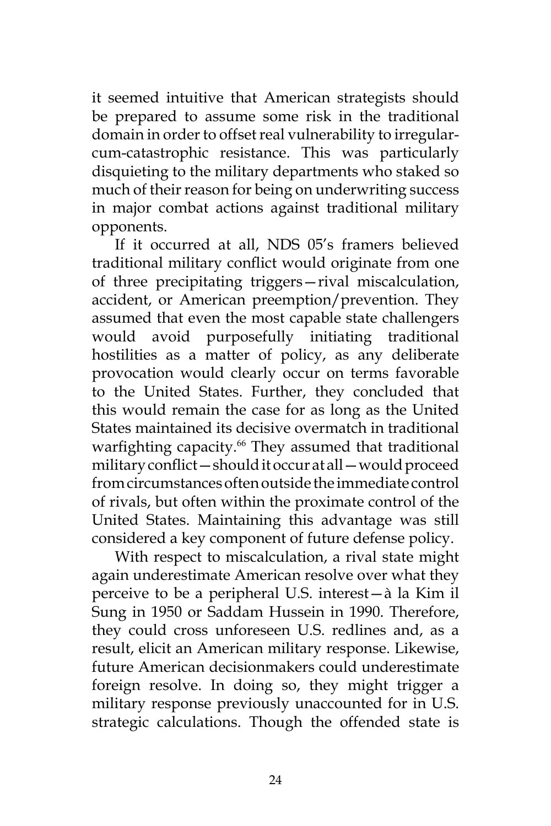it seemed intuitive that American strategists should be prepared to assume some risk in the traditional domain in order to offset real vulnerability to irregularcum-catastrophic resistance. This was particularly disquieting to the military departments who staked so much of their reason for being on underwriting success in major combat actions against traditional military opponents.

If it occurred at all, NDS 05's framers believed traditional military conflict would originate from one of three precipitating triggers—rival miscalculation, accident, or American preemption/prevention. They assumed that even the most capable state challengers would avoid purposefully initiating traditional hostilities as a matter of policy, as any deliberate provocation would clearly occur on terms favorable to the United States. Further, they concluded that this would remain the case for as long as the United States maintained its decisive overmatch in traditional warfighting capacity.<sup>66</sup> They assumed that traditional military conflict—should it occur at all—would proceed from circumstances often outside the immediate control of rivals, but often within the proximate control of the United States. Maintaining this advantage was still considered a key component of future defense policy.

With respect to miscalculation, a rival state might again underestimate American resolve over what they perceive to be a peripheral U.S. interest—à la Kim il Sung in 1950 or Saddam Hussein in 1990. Therefore, they could cross unforeseen U.S. redlines and, as a result, elicit an American military response. Likewise, future American decisionmakers could underestimate foreign resolve. In doing so, they might trigger a military response previously unaccounted for in U.S. strategic calculations. Though the offended state is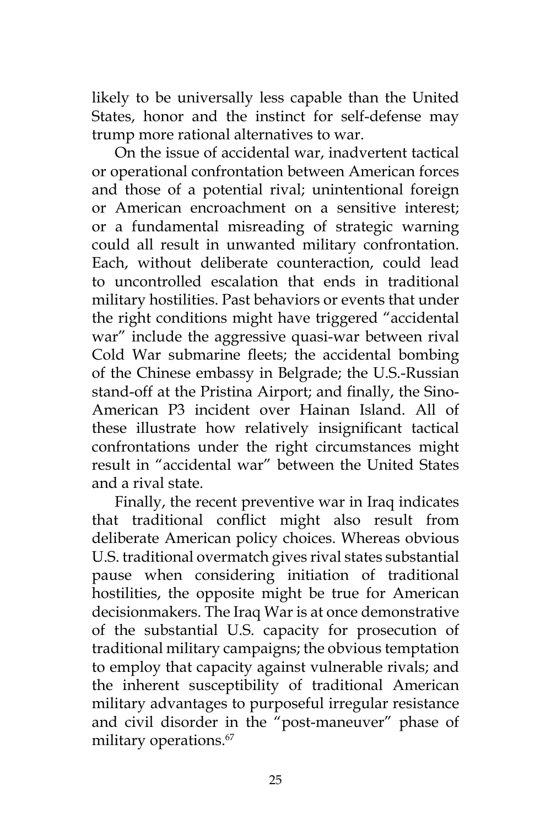likely to be universally less capable than the United States, honor and the instinct for self-defense may trump more rational alternatives to war.

On the issue of accidental war, inadvertent tactical or operational confrontation between American forces and those of a potential rival; unintentional foreign or American encroachment on a sensitive interest; or a fundamental misreading of strategic warning could all result in unwanted military confrontation. Each, without deliberate counteraction, could lead to uncontrolled escalation that ends in traditional military hostilities. Past behaviors or events that under the right conditions might have triggered "accidental war" include the aggressive quasi-war between rival Cold War submarine fleets; the accidental bombing of the Chinese embassy in Belgrade; the U.S.-Russian stand-off at the Pristina Airport; and finally, the Sino-American P3 incident over Hainan Island. All of these illustrate how relatively insignificant tactical confrontations under the right circumstances might result in "accidental war" between the United States and a rival state.

Finally, the recent preventive war in Iraq indicates that traditional conflict might also result from deliberate American policy choices. Whereas obvious U.S. traditional overmatch gives rival states substantial pause when considering initiation of traditional hostilities, the opposite might be true for American decisionmakers. The Iraq War is at once demonstrative of the substantial U.S. capacity for prosecution of traditional military campaigns; the obvious temptation to employ that capacity against vulnerable rivals; and the inherent susceptibility of traditional American military advantages to purposeful irregular resistance and civil disorder in the "post-maneuver" phase of military operations.<sup>67</sup>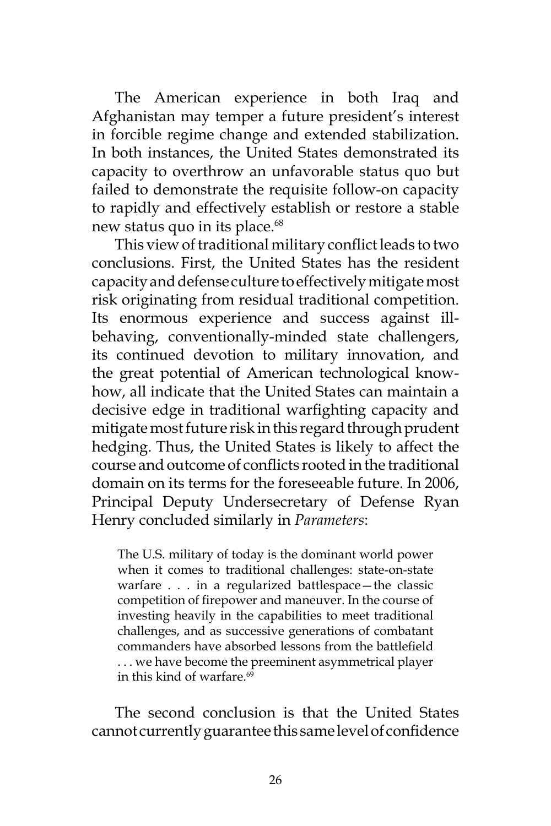The American experience in both Iraq and Afghanistan may temper a future president's interest in forcible regime change and extended stabilization. In both instances, the United States demonstrated its capacity to overthrow an unfavorable status quo but failed to demonstrate the requisite follow-on capacity to rapidly and effectively establish or restore a stable new status quo in its place.<sup>68</sup>

This view of traditional military conflict leads to two conclusions. First, the United States has the resident capacity and defense culture to effectively mitigate most risk originating from residual traditional competition. Its enormous experience and success against illbehaving, conventionally-minded state challengers, its continued devotion to military innovation, and the great potential of American technological knowhow, all indicate that the United States can maintain a decisive edge in traditional warfighting capacity and mitigate most future risk in this regard through prudent hedging. Thus, the United States is likely to affect the course and outcome of conflicts rooted in the traditional domain on its terms for the foreseeable future. In 2006, Principal Deputy Undersecretary of Defense Ryan Henry concluded similarly in *Parameters*:

The U.S. military of today is the dominant world power when it comes to traditional challenges: state-on-state warfare . . . in a regularized battlespace—the classic competition of firepower and maneuver. In the course of investing heavily in the capabilities to meet traditional challenges, and as successive generations of combatant commanders have absorbed lessons from the battlefield . . . we have become the preeminent asymmetrical player in this kind of warfare.<sup>69</sup>

The second conclusion is that the United States cannot currently guarantee this same level of confidence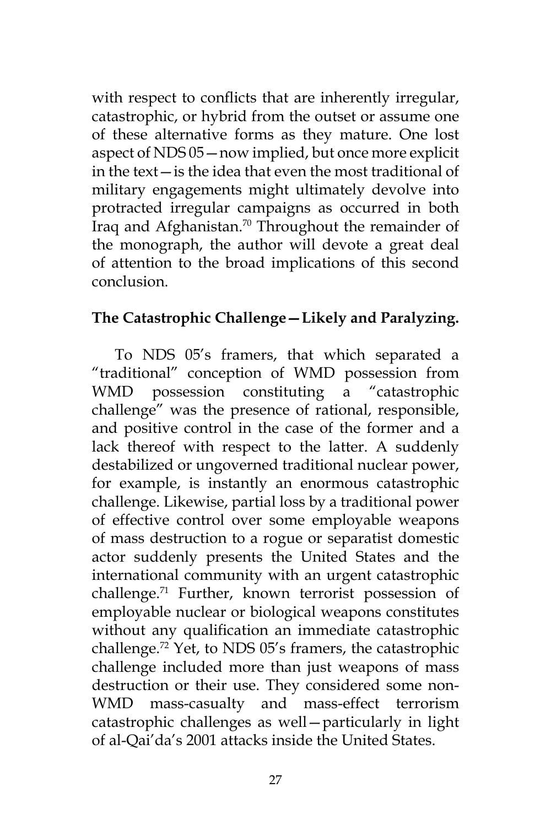with respect to conflicts that are inherently irregular, catastrophic, or hybrid from the outset or assume one of these alternative forms as they mature. One lost aspect of NDS 05—now implied, but once more explicit in the text—is the idea that even the most traditional of military engagements might ultimately devolve into protracted irregular campaigns as occurred in both Iraq and Afghanistan.<sup>70</sup> Throughout the remainder of the monograph, the author will devote a great deal of attention to the broad implications of this second conclusion.

## **The Catastrophic Challenge—Likely and Paralyzing.**

To NDS 05's framers, that which separated a "traditional" conception of WMD possession from WMD possession constituting a "catastrophic challenge" was the presence of rational, responsible, and positive control in the case of the former and a lack thereof with respect to the latter. A suddenly destabilized or ungoverned traditional nuclear power, for example, is instantly an enormous catastrophic challenge. Likewise, partial loss by a traditional power of effective control over some employable weapons of mass destruction to a rogue or separatist domestic actor suddenly presents the United States and the international community with an urgent catastrophic challenge.71 Further, known terrorist possession of employable nuclear or biological weapons constitutes without any qualification an immediate catastrophic challenge.72 Yet, to NDS 05's framers, the catastrophic challenge included more than just weapons of mass destruction or their use. They considered some non-WMD mass-casualty and mass-effect terrorism catastrophic challenges as well—particularly in light of al-Qai'da's 2001 attacks inside the United States.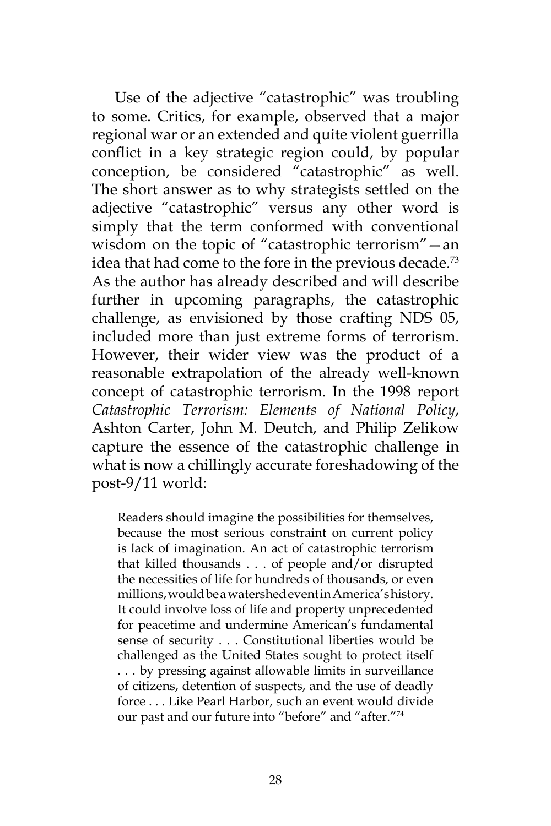Use of the adjective "catastrophic" was troubling to some. Critics, for example, observed that a major regional war or an extended and quite violent guerrilla conflict in a key strategic region could, by popular conception, be considered "catastrophic" as well. The short answer as to why strategists settled on the adjective "catastrophic" versus any other word is simply that the term conformed with conventional wisdom on the topic of "catastrophic terrorism"—an idea that had come to the fore in the previous decade.<sup>73</sup> As the author has already described and will describe further in upcoming paragraphs, the catastrophic challenge, as envisioned by those crafting NDS 05, included more than just extreme forms of terrorism. However, their wider view was the product of a reasonable extrapolation of the already well-known concept of catastrophic terrorism. In the 1998 report *Catastrophic Terrorism: Elements of National Policy*, Ashton Carter, John M. Deutch, and Philip Zelikow capture the essence of the catastrophic challenge in what is now a chillingly accurate foreshadowing of the post-9/11 world:

Readers should imagine the possibilities for themselves, because the most serious constraint on current policy is lack of imagination. An act of catastrophic terrorism that killed thousands . . . of people and/or disrupted the necessities of life for hundreds of thousands, or even millions, would be a watershed event in America's history. It could involve loss of life and property unprecedented for peacetime and undermine American's fundamental sense of security . . . Constitutional liberties would be challenged as the United States sought to protect itself . . . by pressing against allowable limits in surveillance of citizens, detention of suspects, and the use of deadly force . . . Like Pearl Harbor, such an event would divide our past and our future into "before" and "after."74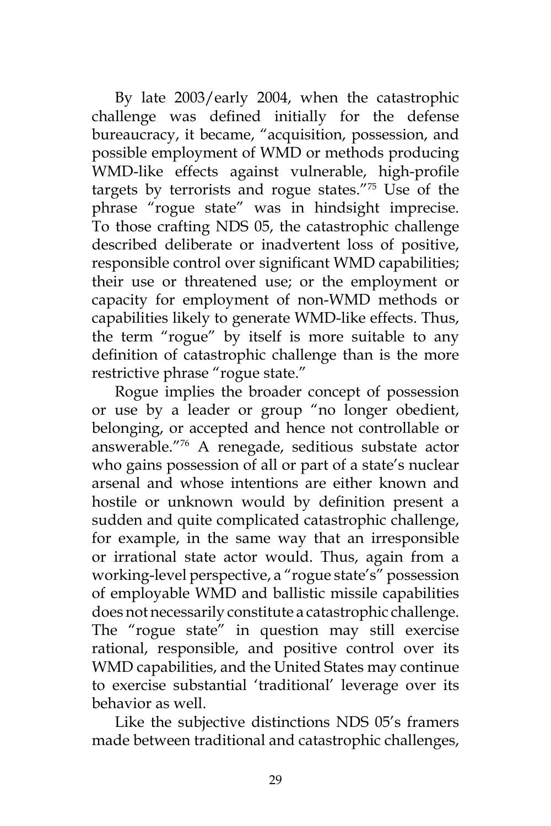By late 2003/early 2004, when the catastrophic challenge was defined initially for the defense bureaucracy, it became, "acquisition, possession, and possible employment of WMD or methods producing WMD-like effects against vulnerable, high-profile targets by terrorists and rogue states."75 Use of the phrase "rogue state" was in hindsight imprecise. To those crafting NDS 05, the catastrophic challenge described deliberate or inadvertent loss of positive, responsible control over significant WMD capabilities; their use or threatened use; or the employment or capacity for employment of non-WMD methods or capabilities likely to generate WMD-like effects. Thus, the term "rogue" by itself is more suitable to any definition of catastrophic challenge than is the more restrictive phrase "rogue state."

Rogue implies the broader concept of possession or use by a leader or group "no longer obedient, belonging, or accepted and hence not controllable or answerable."76 A renegade, seditious substate actor who gains possession of all or part of a state's nuclear arsenal and whose intentions are either known and hostile or unknown would by definition present a sudden and quite complicated catastrophic challenge, for example, in the same way that an irresponsible or irrational state actor would. Thus, again from a working-level perspective, a "rogue state's" possession of employable WMD and ballistic missile capabilities does not necessarily constitute a catastrophic challenge. The "rogue state" in question may still exercise rational, responsible, and positive control over its WMD capabilities, and the United States may continue to exercise substantial 'traditional' leverage over its behavior as well.

Like the subjective distinctions NDS 05's framers made between traditional and catastrophic challenges,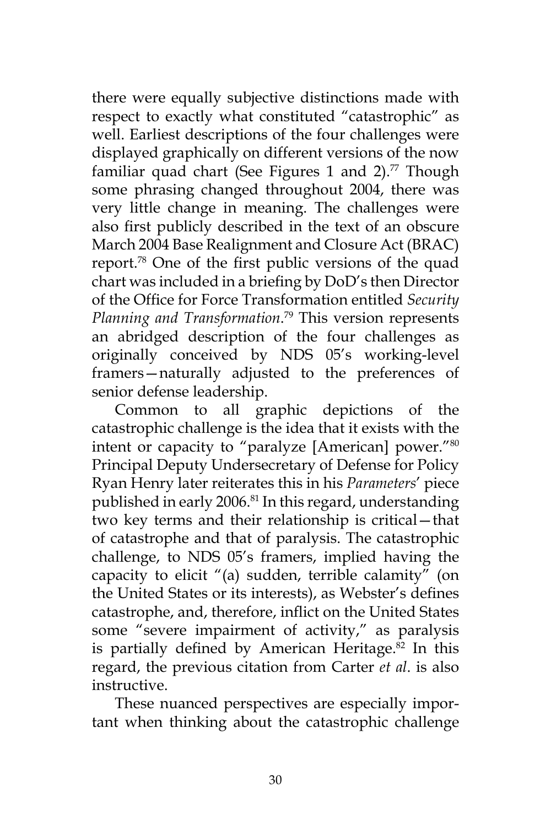there were equally subjective distinctions made with respect to exactly what constituted "catastrophic" as well. Earliest descriptions of the four challenges were displayed graphically on different versions of the now familiar quad chart (See Figures 1 and 2).<sup>77</sup> Though some phrasing changed throughout 2004, there was very little change in meaning. The challenges were also first publicly described in the text of an obscure March 2004 Base Realignment and Closure Act (BRAC) report.78 One of the first public versions of the quad chart was included in a briefing by DoD's then Director of the Office for Force Transformation entitled *Security Planning and Transformation*. <sup>79</sup> This version represents an abridged description of the four challenges as originally conceived by NDS 05's working-level framers—naturally adjusted to the preferences of senior defense leadership.

Common to all graphic depictions of the catastrophic challenge is the idea that it exists with the intent or capacity to "paralyze [American] power."80 Principal Deputy Undersecretary of Defense for Policy Ryan Henry later reiterates this in his *Parameters*' piece published in early 2006.<sup>81</sup> In this regard, understanding two key terms and their relationship is critical—that of catastrophe and that of paralysis. The catastrophic challenge, to NDS 05's framers, implied having the capacity to elicit "(a) sudden, terrible calamity" (on the United States or its interests), as Webster's defines catastrophe, and, therefore, inflict on the United States some "severe impairment of activity," as paralysis is partially defined by American Heritage.<sup>82</sup> In this regard, the previous citation from Carter *et al*. is also instructive.

These nuanced perspectives are especially important when thinking about the catastrophic challenge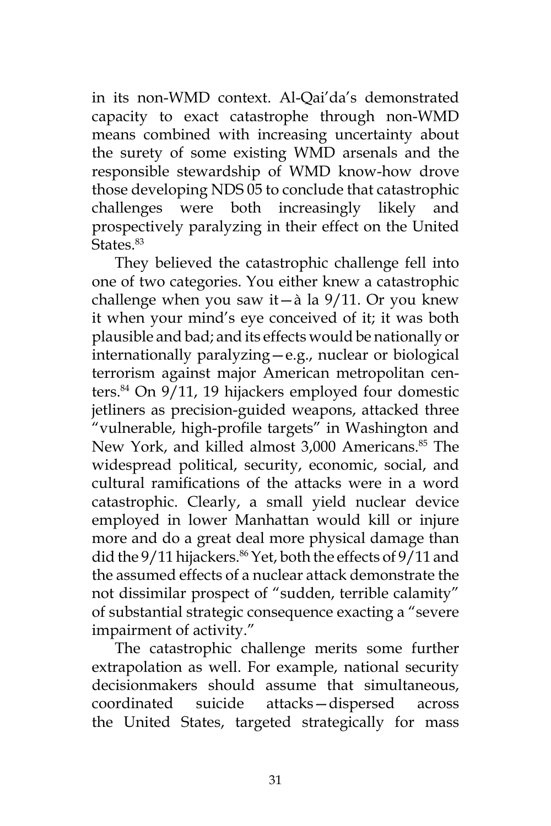in its non-WMD context. Al-Qai'da's demonstrated capacity to exact catastrophe through non-WMD means combined with increasing uncertainty about the surety of some existing WMD arsenals and the responsible stewardship of WMD know-how drove those developing NDS 05 to conclude that catastrophic challenges were both increasingly likely and prospectively paralyzing in their effect on the United States.<sup>83</sup>

They believed the catastrophic challenge fell into one of two categories. You either knew a catastrophic challenge when you saw it—à la  $9/11$ . Or you knew it when your mind's eye conceived of it; it was both plausible and bad; and its effects would be nationally or internationally paralyzing—e.g., nuclear or biological terrorism against major American metropolitan centers.84 On 9/11, 19 hijackers employed four domestic jetliners as precision-guided weapons, attacked three "vulnerable, high-profile targets" in Washington and New York, and killed almost 3,000 Americans.<sup>85</sup> The widespread political, security, economic, social, and cultural ramifications of the attacks were in a word catastrophic. Clearly, a small yield nuclear device employed in lower Manhattan would kill or injure more and do a great deal more physical damage than did the 9/11 hijackers.<sup>86</sup> Yet, both the effects of 9/11 and the assumed effects of a nuclear attack demonstrate the not dissimilar prospect of "sudden, terrible calamity" of substantial strategic consequence exacting a "severe impairment of activity."

The catastrophic challenge merits some further extrapolation as well. For example, national security decisionmakers should assume that simultaneous, coordinated suicide attacks—dispersed across the United States, targeted strategically for mass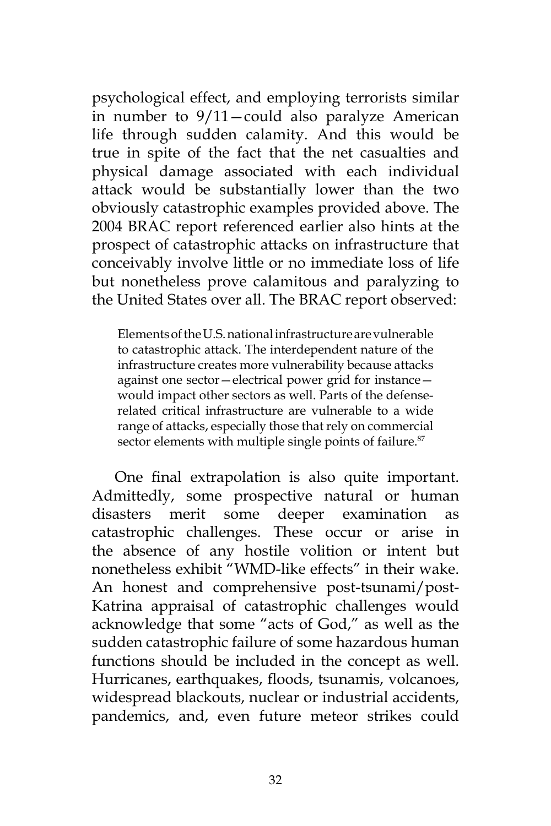psychological effect, and employing terrorists similar in number to 9/11—could also paralyze American life through sudden calamity. And this would be true in spite of the fact that the net casualties and physical damage associated with each individual attack would be substantially lower than the two obviously catastrophic examples provided above. The 2004 BRAC report referenced earlier also hints at the prospect of catastrophic attacks on infrastructure that conceivably involve little or no immediate loss of life but nonetheless prove calamitous and paralyzing to the United States over all. The BRAC report observed:

Elements of the U.S. national infrastructure are vulnerable to catastrophic attack. The interdependent nature of the infrastructure creates more vulnerability because attacks against one sector—electrical power grid for instance would impact other sectors as well. Parts of the defenserelated critical infrastructure are vulnerable to a wide range of attacks, especially those that rely on commercial sector elements with multiple single points of failure.<sup>87</sup>

One final extrapolation is also quite important. Admittedly, some prospective natural or human disasters merit some deeper examination as catastrophic challenges. These occur or arise in the absence of any hostile volition or intent but nonetheless exhibit "WMD-like effects" in their wake. An honest and comprehensive post-tsunami/post-Katrina appraisal of catastrophic challenges would acknowledge that some "acts of God," as well as the sudden catastrophic failure of some hazardous human functions should be included in the concept as well. Hurricanes, earthquakes, floods, tsunamis, volcanoes, widespread blackouts, nuclear or industrial accidents, pandemics, and, even future meteor strikes could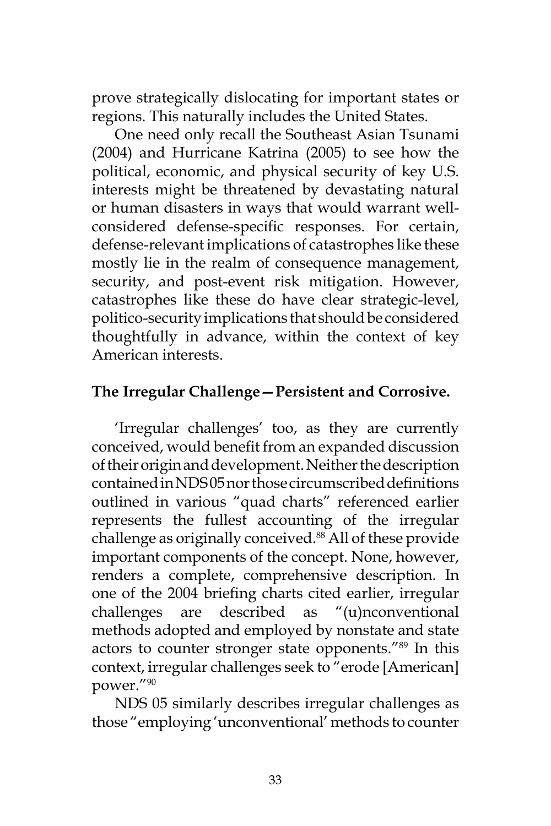prove strategically dislocating for important states or regions. This naturally includes the United States.

One need only recall the Southeast Asian Tsunami (2004) and Hurricane Katrina (2005) to see how the political, economic, and physical security of key U.S. interests might be threatened by devastating natural or human disasters in ways that would warrant wellconsidered defense-specific responses. For certain, defense-relevant implications of catastrophes like these mostly lie in the realm of consequence management, security, and post-event risk mitigation. However, catastrophes like these do have clear strategic-level, politico-security implications that should be considered thoughtfully in advance, within the context of key American interests.

## **The Irregular Challenge—Persistent and Corrosive.**

'Irregular challenges' too, as they are currently conceived, would benefit from an expanded discussion of their origin and development. Neither the description contained in NDS 05 nor those circumscribed definitions outlined in various "quad charts" referenced earlier represents the fullest accounting of the irregular challenge as originally conceived.<sup>88</sup> All of these provide important components of the concept. None, however, renders a complete, comprehensive description. In one of the 2004 briefing charts cited earlier, irregular challenges are described as "(u)nconventional methods adopted and employed by nonstate and state actors to counter stronger state opponents."89 In this context, irregular challenges seek to "erode [American] power."90

NDS 05 similarly describes irregular challenges as those "employing 'unconventional' methods to counter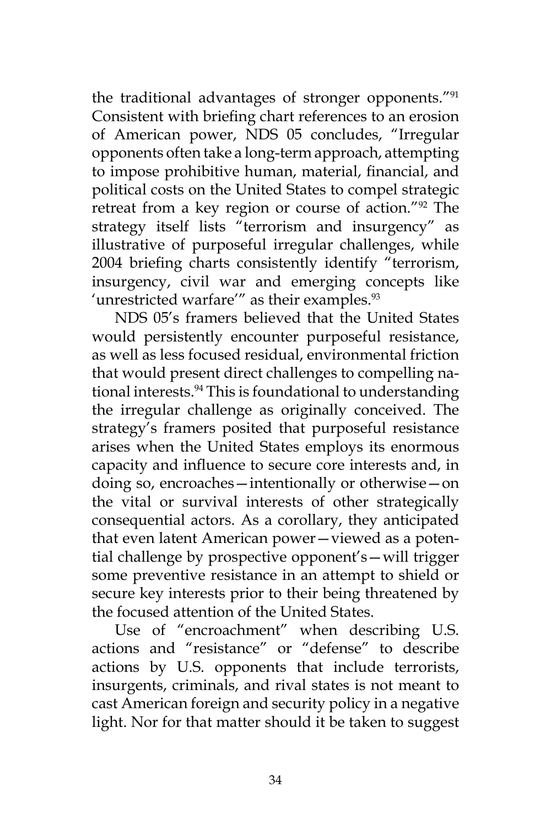the traditional advantages of stronger opponents."<sup>91</sup> Consistent with briefing chart references to an erosion of American power, NDS 05 concludes, "Irregular opponents often take a long-term approach, attempting to impose prohibitive human, material, financial, and political costs on the United States to compel strategic retreat from a key region or course of action."92 The strategy itself lists "terrorism and insurgency" as illustrative of purposeful irregular challenges, while 2004 briefing charts consistently identify "terrorism, insurgency, civil war and emerging concepts like 'unrestricted warfare'" as their examples.<sup>93</sup>

NDS 05's framers believed that the United States would persistently encounter purposeful resistance, as well as less focused residual, environmental friction that would present direct challenges to compelling national interests.<sup>94</sup> This is foundational to understanding the irregular challenge as originally conceived. The strategy's framers posited that purposeful resistance arises when the United States employs its enormous capacity and influence to secure core interests and, in doing so, encroaches—intentionally or otherwise—on the vital or survival interests of other strategically consequential actors. As a corollary, they anticipated that even latent American power—viewed as a potential challenge by prospective opponent's—will trigger some preventive resistance in an attempt to shield or secure key interests prior to their being threatened by the focused attention of the United States.

Use of "encroachment" when describing U.S. actions and "resistance" or "defense" to describe actions by U.S. opponents that include terrorists, insurgents, criminals, and rival states is not meant to cast American foreign and security policy in a negative light. Nor for that matter should it be taken to suggest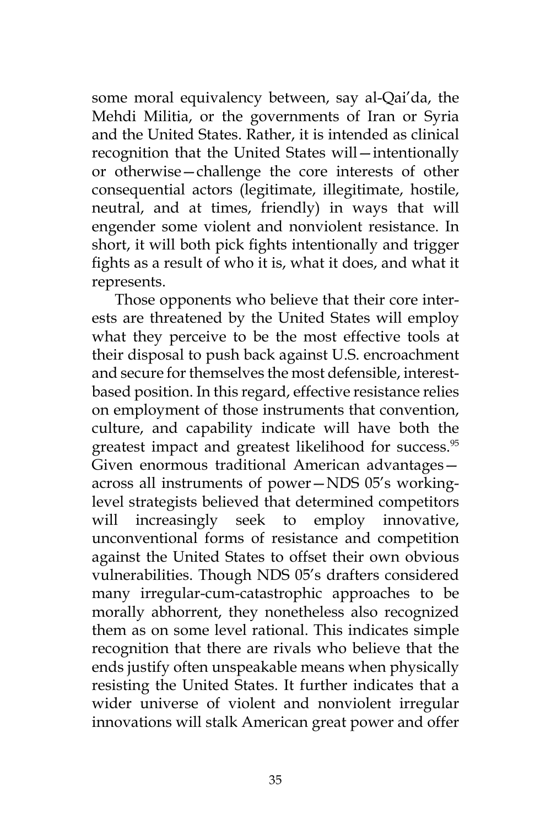some moral equivalency between, say al-Qai'da, the Mehdi Militia, or the governments of Iran or Syria and the United States. Rather, it is intended as clinical recognition that the United States will—intentionally or otherwise—challenge the core interests of other consequential actors (legitimate, illegitimate, hostile, neutral, and at times, friendly) in ways that will engender some violent and nonviolent resistance. In short, it will both pick fights intentionally and trigger fights as a result of who it is, what it does, and what it represents.

Those opponents who believe that their core interests are threatened by the United States will employ what they perceive to be the most effective tools at their disposal to push back against U.S. encroachment and secure for themselves the most defensible, interestbased position. In this regard, effective resistance relies on employment of those instruments that convention, culture, and capability indicate will have both the greatest impact and greatest likelihood for success.<sup>95</sup> Given enormous traditional American advantages across all instruments of power—NDS 05's workinglevel strategists believed that determined competitors will increasingly seek to employ innovative, unconventional forms of resistance and competition against the United States to offset their own obvious vulnerabilities. Though NDS 05's drafters considered many irregular-cum-catastrophic approaches to be morally abhorrent, they nonetheless also recognized them as on some level rational. This indicates simple recognition that there are rivals who believe that the ends justify often unspeakable means when physically resisting the United States. It further indicates that a wider universe of violent and nonviolent irregular innovations will stalk American great power and offer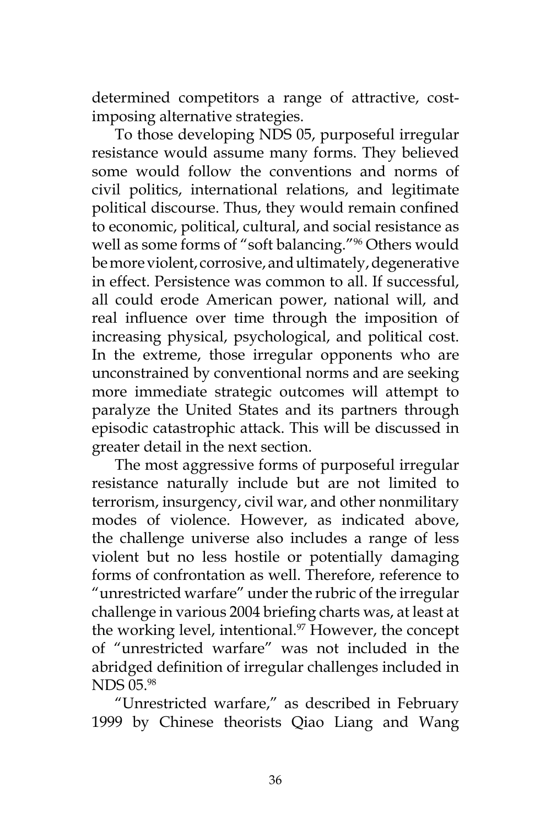determined competitors a range of attractive, costimposing alternative strategies.

To those developing NDS 05, purposeful irregular resistance would assume many forms. They believed some would follow the conventions and norms of civil politics, international relations, and legitimate political discourse. Thus, they would remain confined to economic, political, cultural, and social resistance as well as some forms of "soft balancing."96 Others would be more violent, corrosive, and ultimately, degenerative in effect. Persistence was common to all. If successful, all could erode American power, national will, and real influence over time through the imposition of increasing physical, psychological, and political cost. In the extreme, those irregular opponents who are unconstrained by conventional norms and are seeking more immediate strategic outcomes will attempt to paralyze the United States and its partners through episodic catastrophic attack. This will be discussed in greater detail in the next section.

The most aggressive forms of purposeful irregular resistance naturally include but are not limited to terrorism, insurgency, civil war, and other nonmilitary modes of violence. However, as indicated above, the challenge universe also includes a range of less violent but no less hostile or potentially damaging forms of confrontation as well. Therefore, reference to "unrestricted warfare" under the rubric of the irregular challenge in various 2004 briefing charts was, at least at the working level, intentional.<sup>97</sup> However, the concept of "unrestricted warfare" was not included in the abridged definition of irregular challenges included in NDS 05.98

"Unrestricted warfare," as described in February 1999 by Chinese theorists Qiao Liang and Wang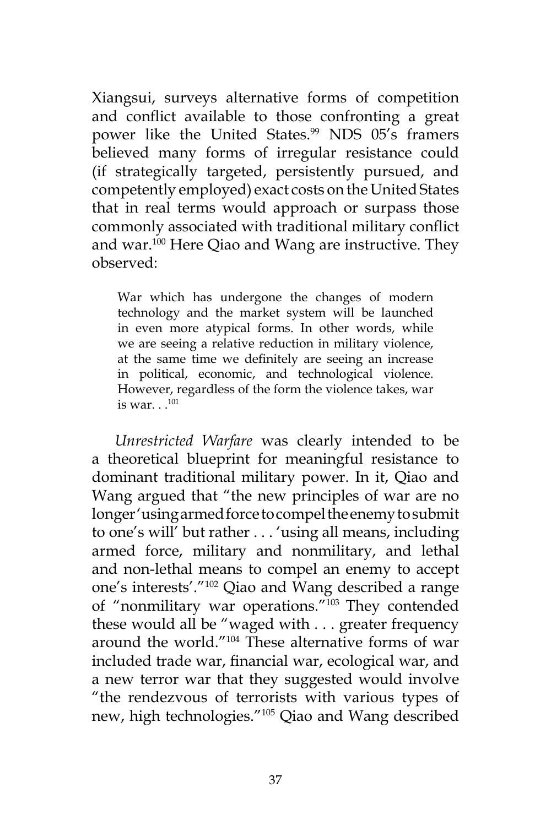Xiangsui, surveys alternative forms of competition and conflict available to those confronting a great power like the United States.<sup>99</sup> NDS 05's framers believed many forms of irregular resistance could (if strategically targeted, persistently pursued, and competently employed) exact costs on the United States that in real terms would approach or surpass those commonly associated with traditional military conflict and war.<sup>100</sup> Here Qiao and Wang are instructive. They observed:

War which has undergone the changes of modern technology and the market system will be launched in even more atypical forms. In other words, while we are seeing a relative reduction in military violence, at the same time we definitely are seeing an increase in political, economic, and technological violence. However, regardless of the form the violence takes, war is war.  $.101$ 

*Unrestricted Warfare* was clearly intended to be a theoretical blueprint for meaningful resistance to dominant traditional military power. In it, Qiao and Wang argued that "the new principles of war are no longer 'using armed force to compel the enemy to submit to one's will' but rather . . . 'using all means, including armed force, military and nonmilitary, and lethal and non-lethal means to compel an enemy to accept one's interests'."<sup>102</sup> Qiao and Wang described a range of "nonmilitary war operations."<sup>103</sup> They contended these would all be "waged with . . . greater frequency around the world."104 These alternative forms of war included trade war, financial war, ecological war, and a new terror war that they suggested would involve "the rendezvous of terrorists with various types of new, high technologies."105 Qiao and Wang described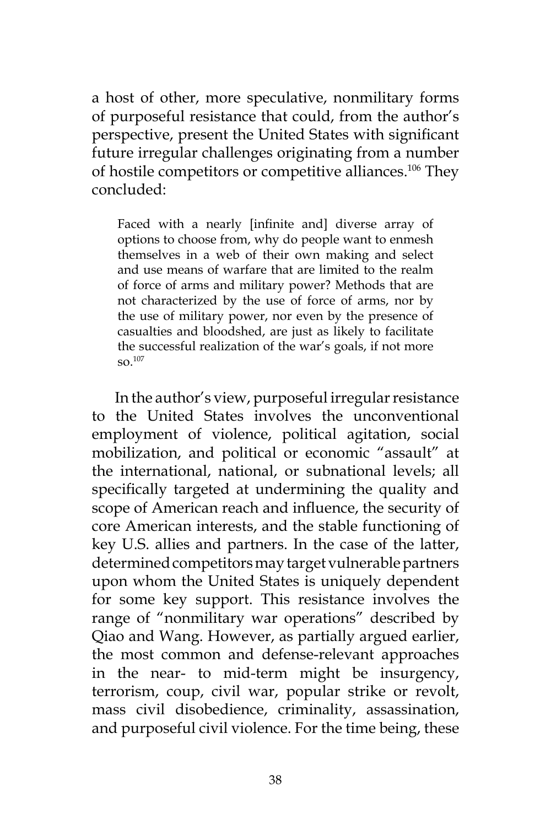a host of other, more speculative, nonmilitary forms of purposeful resistance that could, from the author's perspective, present the United States with significant future irregular challenges originating from a number of hostile competitors or competitive alliances.<sup>106</sup> They concluded:

Faced with a nearly [infinite and] diverse array of options to choose from, why do people want to enmesh themselves in a web of their own making and select and use means of warfare that are limited to the realm of force of arms and military power? Methods that are not characterized by the use of force of arms, nor by the use of military power, nor even by the presence of casualties and bloodshed, are just as likely to facilitate the successful realization of the war's goals, if not more so.107

In the author's view, purposeful irregular resistance to the United States involves the unconventional employment of violence, political agitation, social mobilization, and political or economic "assault" at the international, national, or subnational levels; all specifically targeted at undermining the quality and scope of American reach and influence, the security of core American interests, and the stable functioning of key U.S. allies and partners. In the case of the latter, determined competitors may target vulnerable partners upon whom the United States is uniquely dependent for some key support. This resistance involves the range of "nonmilitary war operations" described by Qiao and Wang. However, as partially argued earlier, the most common and defense-relevant approaches in the near- to mid-term might be insurgency, terrorism, coup, civil war, popular strike or revolt, mass civil disobedience, criminality, assassination, and purposeful civil violence. For the time being, these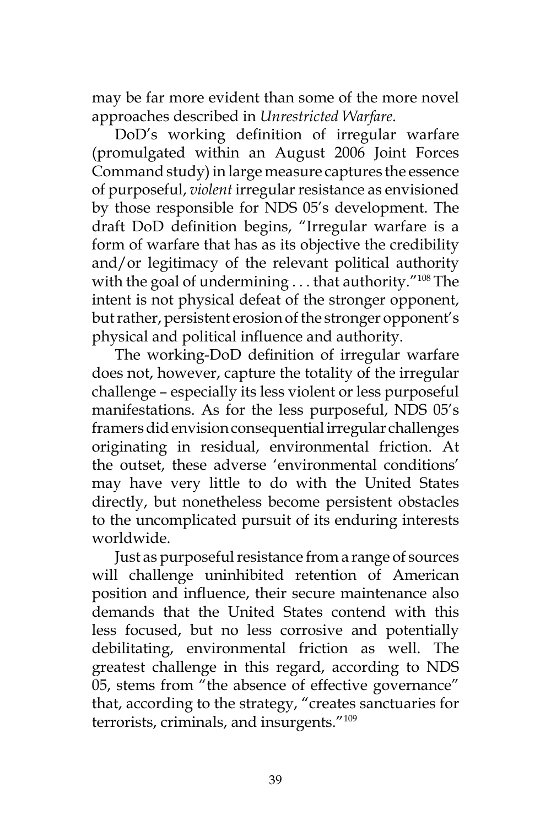may be far more evident than some of the more novel approaches described in *Unrestricted Warfare*.

DoD's working definition of irregular warfare (promulgated within an August 2006 Joint Forces Command study) in large measure captures the essence of purposeful, *violent* irregular resistance as envisioned by those responsible for NDS 05's development. The draft DoD definition begins, "Irregular warfare is a form of warfare that has as its objective the credibility and/or legitimacy of the relevant political authority with the goal of undermining . . . that authority."<sup>108</sup> The intent is not physical defeat of the stronger opponent, but rather, persistent erosion of the stronger opponent's physical and political influence and authority.

The working-DoD definition of irregular warfare does not, however, capture the totality of the irregular challenge – especially its less violent or less purposeful manifestations. As for the less purposeful, NDS 05's framers did envision consequential irregular challenges originating in residual, environmental friction. At the outset, these adverse 'environmental conditions' may have very little to do with the United States directly, but nonetheless become persistent obstacles to the uncomplicated pursuit of its enduring interests worldwide.

Just as purposeful resistance from a range of sources will challenge uninhibited retention of American position and influence, their secure maintenance also demands that the United States contend with this less focused, but no less corrosive and potentially debilitating, environmental friction as well. The greatest challenge in this regard, according to NDS 05, stems from "the absence of effective governance" that, according to the strategy, "creates sanctuaries for terrorists, criminals, and insurgents."109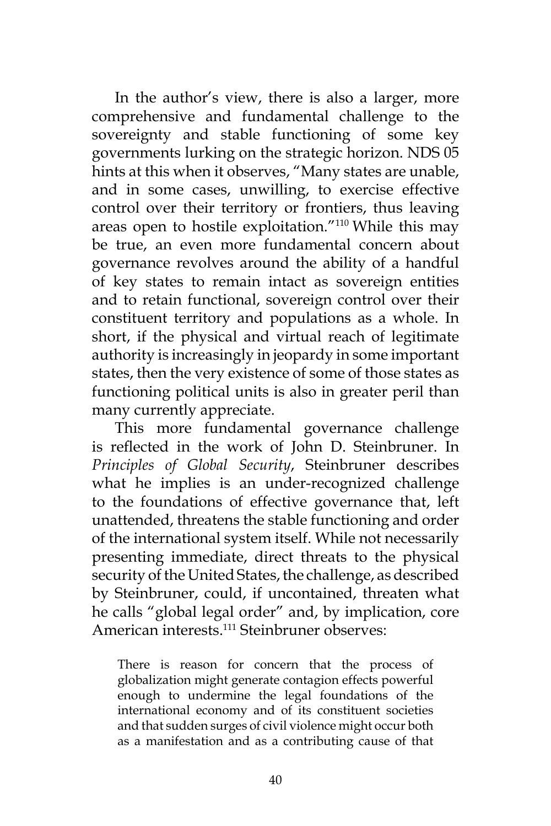In the author's view, there is also a larger, more comprehensive and fundamental challenge to the sovereignty and stable functioning of some key governments lurking on the strategic horizon. NDS 05 hints at this when it observes, "Many states are unable, and in some cases, unwilling, to exercise effective control over their territory or frontiers, thus leaving areas open to hostile exploitation."<sup>110</sup> While this may be true, an even more fundamental concern about governance revolves around the ability of a handful of key states to remain intact as sovereign entities and to retain functional, sovereign control over their constituent territory and populations as a whole. In short, if the physical and virtual reach of legitimate authority is increasingly in jeopardy in some important states, then the very existence of some of those states as functioning political units is also in greater peril than many currently appreciate.

This more fundamental governance challenge is reflected in the work of John D. Steinbruner. In *Principles of Global Security*, Steinbruner describes what he implies is an under-recognized challenge to the foundations of effective governance that, left unattended, threatens the stable functioning and order of the international system itself. While not necessarily presenting immediate, direct threats to the physical security of the United States, the challenge, as described by Steinbruner, could, if uncontained, threaten what he calls "global legal order" and, by implication, core American interests.111 Steinbruner observes:

There is reason for concern that the process of globalization might generate contagion effects powerful enough to undermine the legal foundations of the international economy and of its constituent societies and that sudden surges of civil violence might occur both as a manifestation and as a contributing cause of that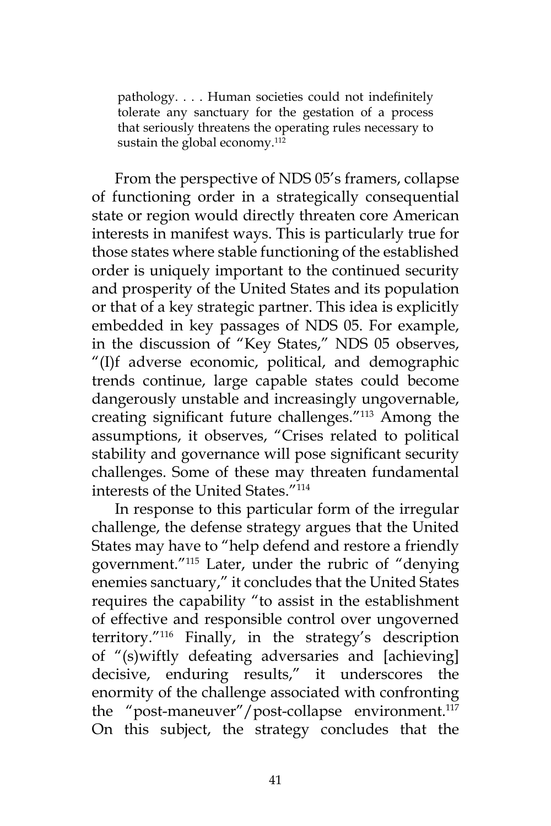pathology. . . . Human societies could not indefinitely tolerate any sanctuary for the gestation of a process that seriously threatens the operating rules necessary to sustain the global economy.112

From the perspective of NDS 05's framers, collapse of functioning order in a strategically consequential state or region would directly threaten core American interests in manifest ways. This is particularly true for those states where stable functioning of the established order is uniquely important to the continued security and prosperity of the United States and its population or that of a key strategic partner. This idea is explicitly embedded in key passages of NDS 05. For example, in the discussion of "Key States," NDS 05 observes, "(I)f adverse economic, political, and demographic trends continue, large capable states could become dangerously unstable and increasingly ungovernable, creating significant future challenges."113 Among the assumptions, it observes, "Crises related to political stability and governance will pose significant security challenges. Some of these may threaten fundamental interests of the United States."<sup>114</sup>

In response to this particular form of the irregular challenge, the defense strategy argues that the United States may have to "help defend and restore a friendly government."<sup>115</sup> Later, under the rubric of "denying enemies sanctuary," it concludes that the United States requires the capability "to assist in the establishment of effective and responsible control over ungoverned territory."116 Finally, in the strategy's description of "(s)wiftly defeating adversaries and [achieving] decisive, enduring results," it underscores the enormity of the challenge associated with confronting the "post-maneuver"/post-collapse environment.<sup>117</sup> On this subject, the strategy concludes that the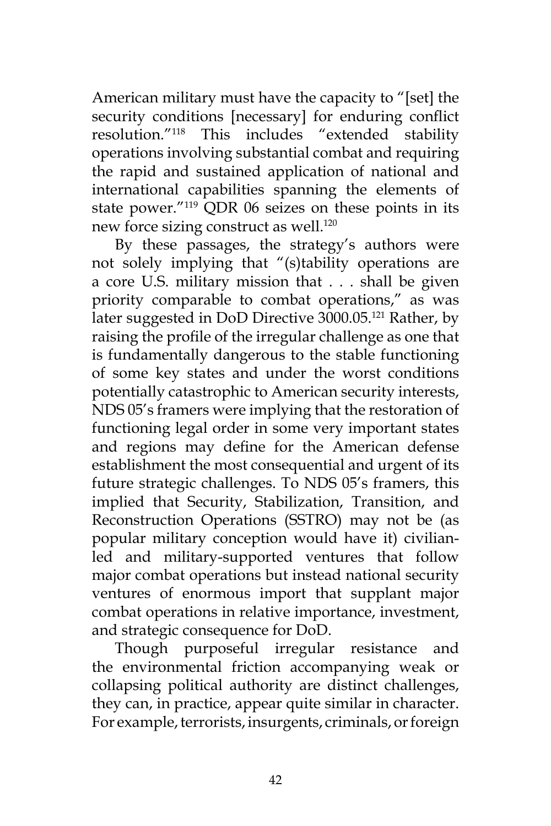American military must have the capacity to "[set] the security conditions [necessary] for enduring conflict resolution."118 This includes "extended stability operations involving substantial combat and requiring the rapid and sustained application of national and international capabilities spanning the elements of state power."<sup>119</sup> QDR 06 seizes on these points in its new force sizing construct as well.<sup>120</sup>

By these passages, the strategy's authors were not solely implying that "(s)tability operations are a core U.S. military mission that . . . shall be given priority comparable to combat operations," as was later suggested in DoD Directive 3000.05.<sup>121</sup> Rather, by raising the profile of the irregular challenge as one that is fundamentally dangerous to the stable functioning of some key states and under the worst conditions potentially catastrophic to American security interests, NDS 05's framers were implying that the restoration of functioning legal order in some very important states and regions may define for the American defense establishment the most consequential and urgent of its future strategic challenges. To NDS 05's framers, this implied that Security, Stabilization, Transition, and Reconstruction Operations (SSTRO) may not be (as popular military conception would have it) civilianled and military-supported ventures that follow major combat operations but instead national security ventures of enormous import that supplant major combat operations in relative importance, investment, and strategic consequence for DoD.

Though purposeful irregular resistance and the environmental friction accompanying weak or collapsing political authority are distinct challenges, they can, in practice, appear quite similar in character. For example, terrorists, insurgents, criminals, or foreign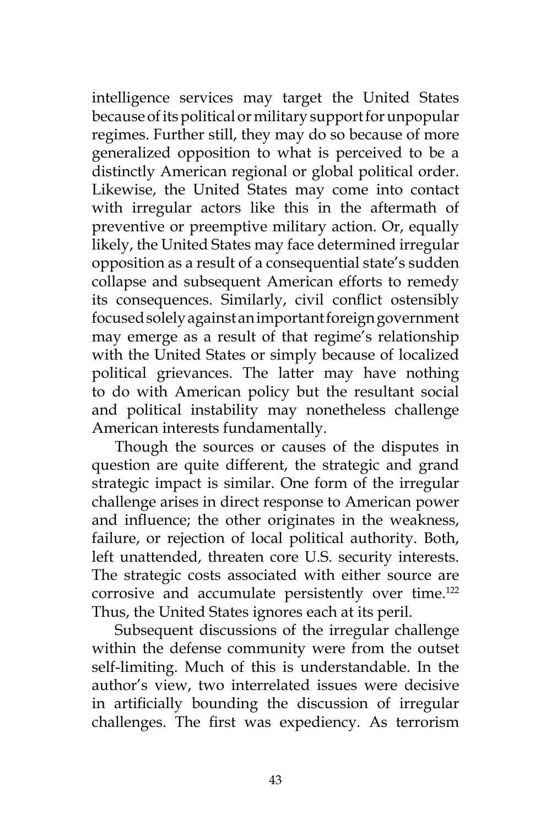intelligence services may target the United States because of its political or military support for unpopular regimes. Further still, they may do so because of more generalized opposition to what is perceived to be a distinctly American regional or global political order. Likewise, the United States may come into contact with irregular actors like this in the aftermath of preventive or preemptive military action. Or, equally likely, the United States may face determined irregular opposition as a result of a consequential state's sudden collapse and subsequent American efforts to remedy its consequences. Similarly, civil conflict ostensibly focused solely against an important foreign government may emerge as a result of that regime's relationship with the United States or simply because of localized political grievances. The latter may have nothing to do with American policy but the resultant social and political instability may nonetheless challenge American interests fundamentally.

Though the sources or causes of the disputes in question are quite different, the strategic and grand strategic impact is similar. One form of the irregular challenge arises in direct response to American power and influence; the other originates in the weakness, failure, or rejection of local political authority. Both, left unattended, threaten core U.S. security interests. The strategic costs associated with either source are corrosive and accumulate persistently over time.<sup>122</sup> Thus, the United States ignores each at its peril.

Subsequent discussions of the irregular challenge within the defense community were from the outset self-limiting. Much of this is understandable. In the author's view, two interrelated issues were decisive in artificially bounding the discussion of irregular challenges. The first was expediency. As terrorism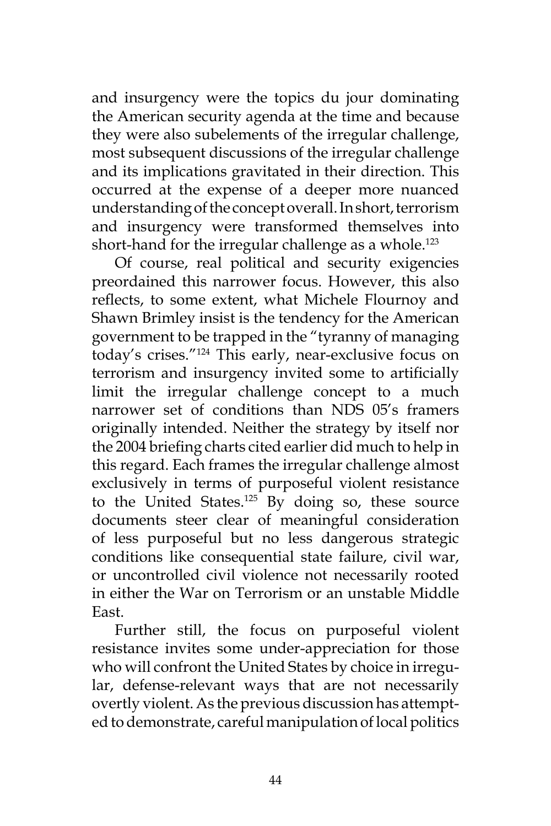and insurgency were the topics du jour dominating the American security agenda at the time and because they were also subelements of the irregular challenge, most subsequent discussions of the irregular challenge and its implications gravitated in their direction. This occurred at the expense of a deeper more nuanced understanding of the concept overall. In short, terrorism and insurgency were transformed themselves into short-hand for the irregular challenge as a whole.<sup>123</sup>

Of course, real political and security exigencies preordained this narrower focus. However, this also reflects, to some extent, what Michele Flournoy and Shawn Brimley insist is the tendency for the American government to be trapped in the "tyranny of managing today's crises."<sup>124</sup> This early, near-exclusive focus on terrorism and insurgency invited some to artificially limit the irregular challenge concept to a much narrower set of conditions than NDS 05's framers originally intended. Neither the strategy by itself nor the 2004 briefing charts cited earlier did much to help in this regard. Each frames the irregular challenge almost exclusively in terms of purposeful violent resistance to the United States.<sup>125</sup> By doing so, these source documents steer clear of meaningful consideration of less purposeful but no less dangerous strategic conditions like consequential state failure, civil war, or uncontrolled civil violence not necessarily rooted in either the War on Terrorism or an unstable Middle East.

Further still, the focus on purposeful violent resistance invites some under-appreciation for those who will confront the United States by choice in irregular, defense-relevant ways that are not necessarily overtly violent. As the previous discussion has attempted to demonstrate, careful manipulation of local politics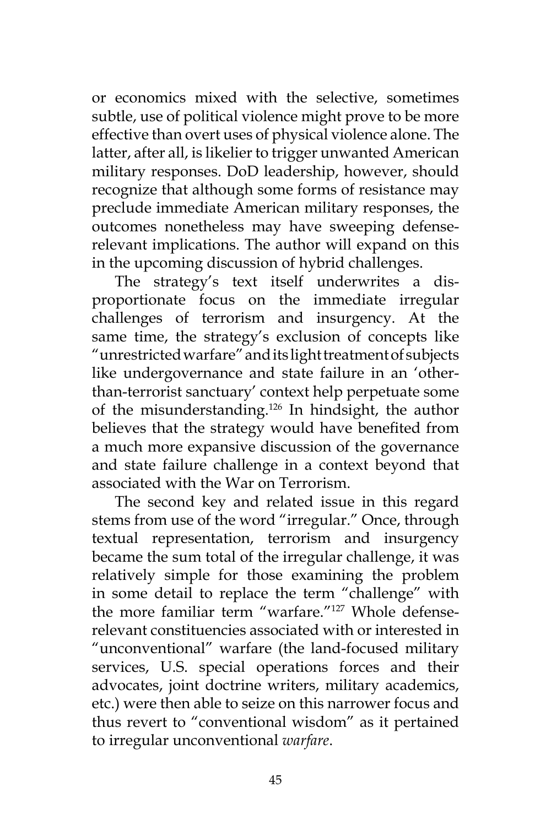or economics mixed with the selective, sometimes subtle, use of political violence might prove to be more effective than overt uses of physical violence alone. The latter, after all, is likelier to trigger unwanted American military responses. DoD leadership, however, should recognize that although some forms of resistance may preclude immediate American military responses, the outcomes nonetheless may have sweeping defenserelevant implications. The author will expand on this in the upcoming discussion of hybrid challenges.

The strategy's text itself underwrites a disproportionate focus on the immediate irregular challenges of terrorism and insurgency. At the same time, the strategy's exclusion of concepts like "unrestricted warfare" and its light treatment of subjects like undergovernance and state failure in an 'otherthan-terrorist sanctuary' context help perpetuate some of the misunderstanding.<sup>126</sup> In hindsight, the author believes that the strategy would have benefited from a much more expansive discussion of the governance and state failure challenge in a context beyond that associated with the War on Terrorism.

The second key and related issue in this regard stems from use of the word "irregular." Once, through textual representation, terrorism and insurgency became the sum total of the irregular challenge, it was relatively simple for those examining the problem in some detail to replace the term "challenge" with the more familiar term "warfare."127 Whole defenserelevant constituencies associated with or interested in "unconventional" warfare (the land-focused military services, U.S. special operations forces and their advocates, joint doctrine writers, military academics, etc.) were then able to seize on this narrower focus and thus revert to "conventional wisdom" as it pertained to irregular unconventional *warfare*.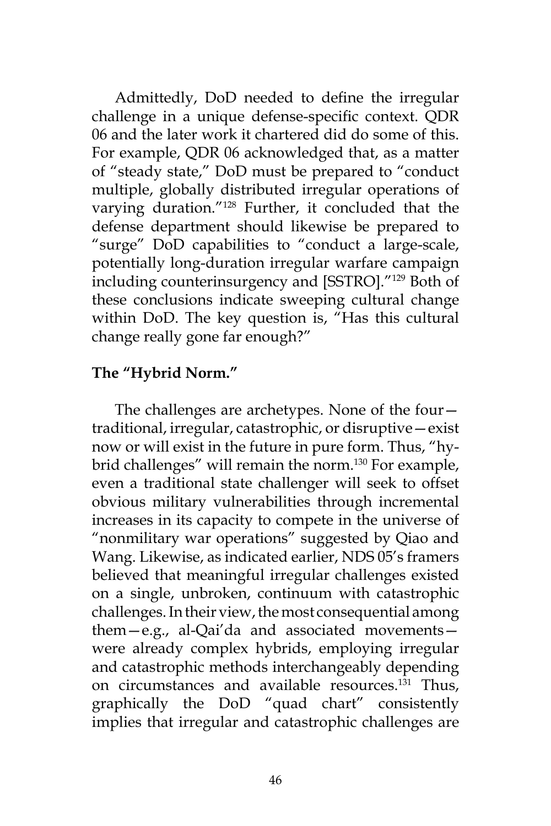Admittedly, DoD needed to define the irregular challenge in a unique defense-specific context. QDR 06 and the later work it chartered did do some of this. For example, QDR 06 acknowledged that, as a matter of "steady state," DoD must be prepared to "conduct multiple, globally distributed irregular operations of varying duration."128 Further, it concluded that the defense department should likewise be prepared to "surge" DoD capabilities to "conduct a large-scale, potentially long-duration irregular warfare campaign including counterinsurgency and [SSTRO]."129 Both of these conclusions indicate sweeping cultural change within DoD. The key question is, "Has this cultural change really gone far enough?"

## **The "Hybrid Norm."**

The challenges are archetypes. None of the four traditional, irregular, catastrophic, or disruptive—exist now or will exist in the future in pure form. Thus, "hybrid challenges" will remain the norm.<sup>130</sup> For example, even a traditional state challenger will seek to offset obvious military vulnerabilities through incremental increases in its capacity to compete in the universe of "nonmilitary war operations" suggested by Qiao and Wang. Likewise, as indicated earlier, NDS 05's framers believed that meaningful irregular challenges existed on a single, unbroken, continuum with catastrophic challenges. In their view, the most consequential among them—e.g., al-Qai'da and associated movements were already complex hybrids, employing irregular and catastrophic methods interchangeably depending on circumstances and available resources.<sup>131</sup> Thus, graphically the DoD "quad chart" consistently implies that irregular and catastrophic challenges are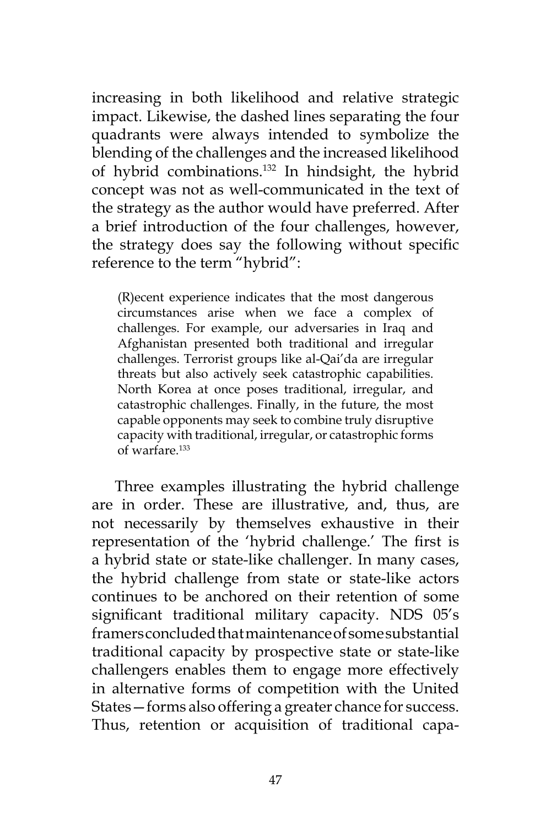increasing in both likelihood and relative strategic impact. Likewise, the dashed lines separating the four quadrants were always intended to symbolize the blending of the challenges and the increased likelihood of hybrid combinations.132 In hindsight, the hybrid concept was not as well-communicated in the text of the strategy as the author would have preferred. After a brief introduction of the four challenges, however, the strategy does say the following without specific reference to the term "hybrid":

(R)ecent experience indicates that the most dangerous circumstances arise when we face a complex of challenges. For example, our adversaries in Iraq and Afghanistan presented both traditional and irregular challenges. Terrorist groups like al-Qai'da are irregular threats but also actively seek catastrophic capabilities. North Korea at once poses traditional, irregular, and catastrophic challenges. Finally, in the future, the most capable opponents may seek to combine truly disruptive capacity with traditional, irregular, or catastrophic forms of warfare.133

Three examples illustrating the hybrid challenge are in order. These are illustrative, and, thus, are not necessarily by themselves exhaustive in their representation of the 'hybrid challenge.' The first is a hybrid state or state-like challenger. In many cases, the hybrid challenge from state or state-like actors continues to be anchored on their retention of some significant traditional military capacity. NDS 05's framers concluded that maintenance of some substantial traditional capacity by prospective state or state-like challengers enables them to engage more effectively in alternative forms of competition with the United States—forms also offering a greater chance for success. Thus, retention or acquisition of traditional capa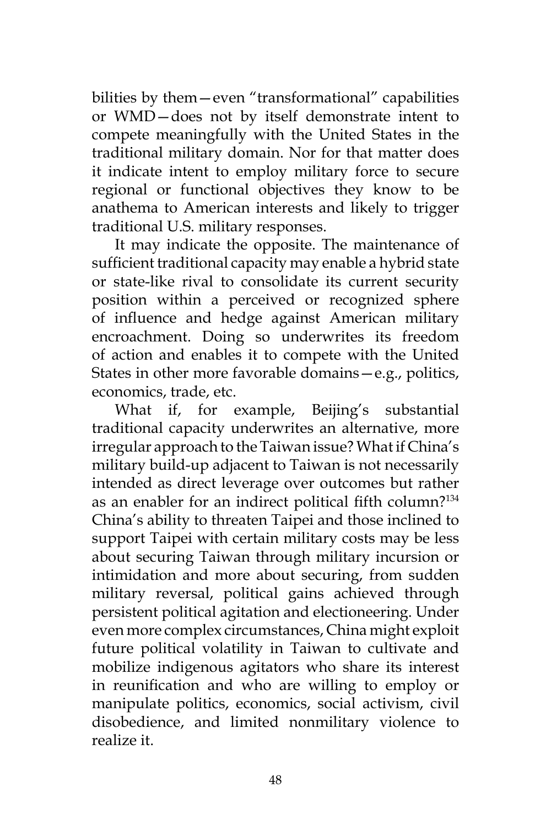bilities by them—even "transformational" capabilities or WMD—does not by itself demonstrate intent to compete meaningfully with the United States in the traditional military domain. Nor for that matter does it indicate intent to employ military force to secure regional or functional objectives they know to be anathema to American interests and likely to trigger traditional U.S. military responses.

It may indicate the opposite. The maintenance of sufficient traditional capacity may enable a hybrid state or state-like rival to consolidate its current security position within a perceived or recognized sphere of influence and hedge against American military encroachment. Doing so underwrites its freedom of action and enables it to compete with the United States in other more favorable domains—e.g., politics, economics, trade, etc.

What if, for example, Beijing's substantial traditional capacity underwrites an alternative, more irregular approach to the Taiwan issue? What if China's military build-up adjacent to Taiwan is not necessarily intended as direct leverage over outcomes but rather as an enabler for an indirect political fifth column?<sup>134</sup> China's ability to threaten Taipei and those inclined to support Taipei with certain military costs may be less about securing Taiwan through military incursion or intimidation and more about securing, from sudden military reversal, political gains achieved through persistent political agitation and electioneering. Under even more complex circumstances, China might exploit future political volatility in Taiwan to cultivate and mobilize indigenous agitators who share its interest in reunification and who are willing to employ or manipulate politics, economics, social activism, civil disobedience, and limited nonmilitary violence to realize it.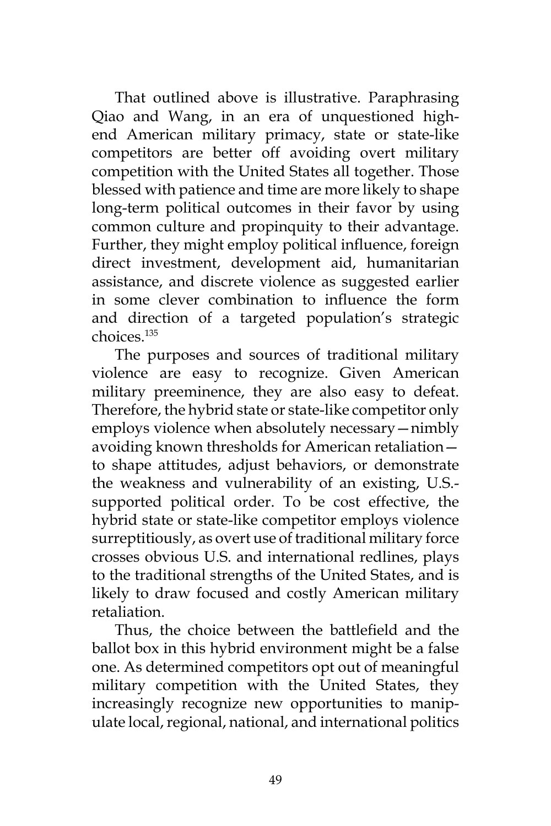That outlined above is illustrative. Paraphrasing Qiao and Wang, in an era of unquestioned highend American military primacy, state or state-like competitors are better off avoiding overt military competition with the United States all together. Those blessed with patience and time are more likely to shape long-term political outcomes in their favor by using common culture and propinquity to their advantage. Further, they might employ political influence, foreign direct investment, development aid, humanitarian assistance, and discrete violence as suggested earlier in some clever combination to influence the form and direction of a targeted population's strategic choices.135

The purposes and sources of traditional military violence are easy to recognize. Given American military preeminence, they are also easy to defeat. Therefore, the hybrid state or state-like competitor only employs violence when absolutely necessary—nimbly avoiding known thresholds for American retaliation to shape attitudes, adjust behaviors, or demonstrate the weakness and vulnerability of an existing, U.S. supported political order. To be cost effective, the hybrid state or state-like competitor employs violence surreptitiously, as overt use of traditional military force crosses obvious U.S. and international redlines, plays to the traditional strengths of the United States, and is likely to draw focused and costly American military retaliation.

Thus, the choice between the battlefield and the ballot box in this hybrid environment might be a false one. As determined competitors opt out of meaningful military competition with the United States, they increasingly recognize new opportunities to manipulate local, regional, national, and international politics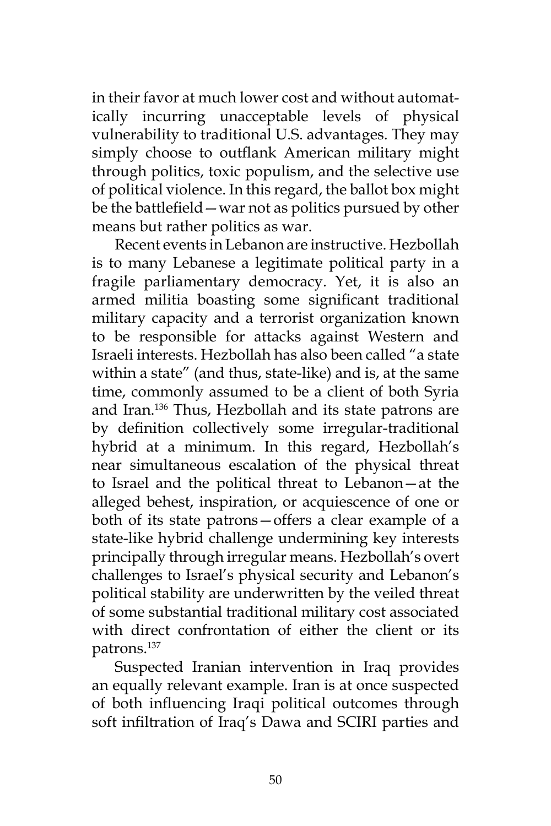in their favor at much lower cost and without automatically incurring unacceptable levels of physical vulnerability to traditional U.S. advantages. They may simply choose to outflank American military might through politics, toxic populism, and the selective use of political violence. In this regard, the ballot box might be the battlefield—war not as politics pursued by other means but rather politics as war.

Recent events in Lebanon are instructive. Hezbollah is to many Lebanese a legitimate political party in a fragile parliamentary democracy. Yet, it is also an armed militia boasting some significant traditional military capacity and a terrorist organization known to be responsible for attacks against Western and Israeli interests. Hezbollah has also been called "a state within a state" (and thus, state-like) and is, at the same time, commonly assumed to be a client of both Syria and Iran.136 Thus, Hezbollah and its state patrons are by definition collectively some irregular-traditional hybrid at a minimum. In this regard, Hezbollah's near simultaneous escalation of the physical threat to Israel and the political threat to Lebanon—at the alleged behest, inspiration, or acquiescence of one or both of its state patrons—offers a clear example of a state-like hybrid challenge undermining key interests principally through irregular means. Hezbollah's overt challenges to Israel's physical security and Lebanon's political stability are underwritten by the veiled threat of some substantial traditional military cost associated with direct confrontation of either the client or its patrons.137

Suspected Iranian intervention in Iraq provides an equally relevant example. Iran is at once suspected of both influencing Iraqi political outcomes through soft infiltration of Iraq's Dawa and SCIRI parties and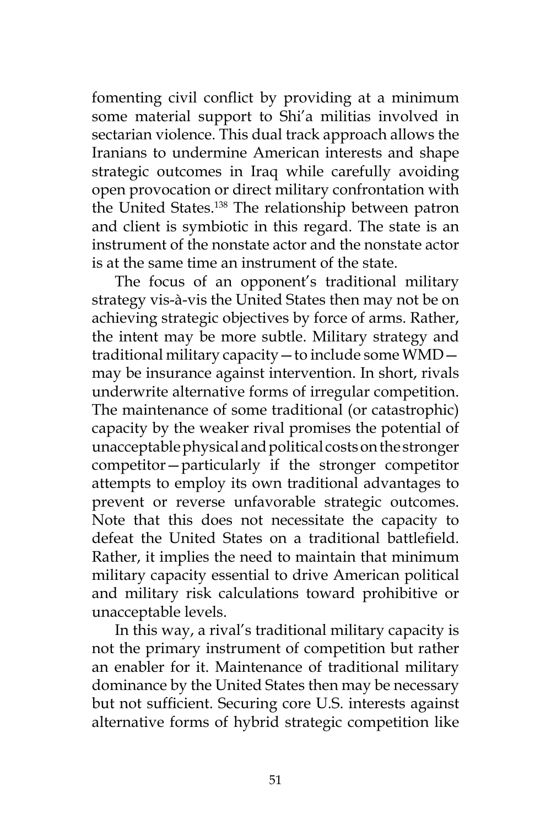fomenting civil conflict by providing at a minimum some material support to Shi'a militias involved in sectarian violence. This dual track approach allows the Iranians to undermine American interests and shape strategic outcomes in Iraq while carefully avoiding open provocation or direct military confrontation with the United States.<sup>138</sup> The relationship between patron and client is symbiotic in this regard. The state is an instrument of the nonstate actor and the nonstate actor is at the same time an instrument of the state.

The focus of an opponent's traditional military strategy vis-à-vis the United States then may not be on achieving strategic objectives by force of arms. Rather, the intent may be more subtle. Military strategy and traditional military capacity—to include some WMD may be insurance against intervention. In short, rivals underwrite alternative forms of irregular competition. The maintenance of some traditional (or catastrophic) capacity by the weaker rival promises the potential of unacceptable physical and political costs on the stronger competitor—particularly if the stronger competitor attempts to employ its own traditional advantages to prevent or reverse unfavorable strategic outcomes. Note that this does not necessitate the capacity to defeat the United States on a traditional battlefield. Rather, it implies the need to maintain that minimum military capacity essential to drive American political and military risk calculations toward prohibitive or unacceptable levels.

In this way, a rival's traditional military capacity is not the primary instrument of competition but rather an enabler for it. Maintenance of traditional military dominance by the United States then may be necessary but not sufficient. Securing core U.S. interests against alternative forms of hybrid strategic competition like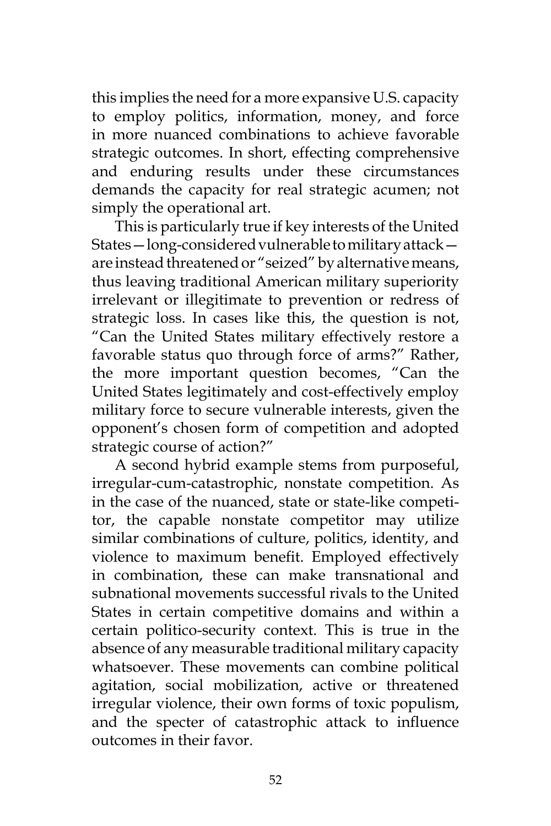this implies the need for a more expansive U.S. capacity to employ politics, information, money, and force in more nuanced combinations to achieve favorable strategic outcomes. In short, effecting comprehensive and enduring results under these circumstances demands the capacity for real strategic acumen; not simply the operational art.

This is particularly true if key interests of the United States—long-considered vulnerable to military attack are instead threatened or "seized" by alternative means, thus leaving traditional American military superiority irrelevant or illegitimate to prevention or redress of strategic loss. In cases like this, the question is not, "Can the United States military effectively restore a favorable status quo through force of arms?" Rather, the more important question becomes, "Can the United States legitimately and cost-effectively employ military force to secure vulnerable interests, given the opponent's chosen form of competition and adopted strategic course of action?"

A second hybrid example stems from purposeful, irregular-cum-catastrophic, nonstate competition. As in the case of the nuanced, state or state-like competitor, the capable nonstate competitor may utilize similar combinations of culture, politics, identity, and violence to maximum benefit. Employed effectively in combination, these can make transnational and subnational movements successful rivals to the United States in certain competitive domains and within a certain politico-security context. This is true in the absence of any measurable traditional military capacity whatsoever. These movements can combine political agitation, social mobilization, active or threatened irregular violence, their own forms of toxic populism, and the specter of catastrophic attack to influence outcomes in their favor.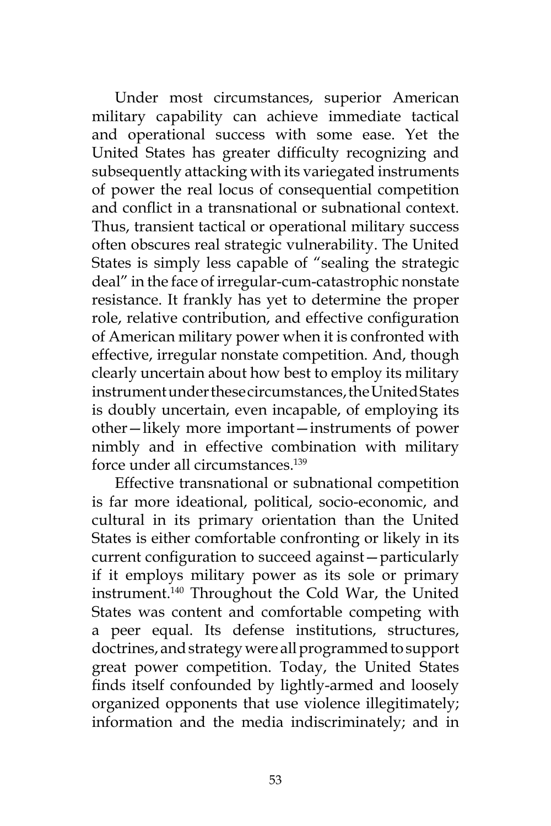Under most circumstances, superior American military capability can achieve immediate tactical and operational success with some ease. Yet the United States has greater difficulty recognizing and subsequently attacking with its variegated instruments of power the real locus of consequential competition and conflict in a transnational or subnational context. Thus, transient tactical or operational military success often obscures real strategic vulnerability. The United States is simply less capable of "sealing the strategic deal" in the face of irregular-cum-catastrophic nonstate resistance. It frankly has yet to determine the proper role, relative contribution, and effective configuration of American military power when it is confronted with effective, irregular nonstate competition. And, though clearly uncertain about how best to employ its military instrument under these circumstances, the United States is doubly uncertain, even incapable, of employing its other—likely more important—instruments of power nimbly and in effective combination with military force under all circumstances.<sup>139</sup>

Effective transnational or subnational competition is far more ideational, political, socio-economic, and cultural in its primary orientation than the United States is either comfortable confronting or likely in its current configuration to succeed against—particularly if it employs military power as its sole or primary instrument.140 Throughout the Cold War, the United States was content and comfortable competing with a peer equal. Its defense institutions, structures, doctrines, and strategy were all programmed to support great power competition. Today, the United States finds itself confounded by lightly-armed and loosely organized opponents that use violence illegitimately; information and the media indiscriminately; and in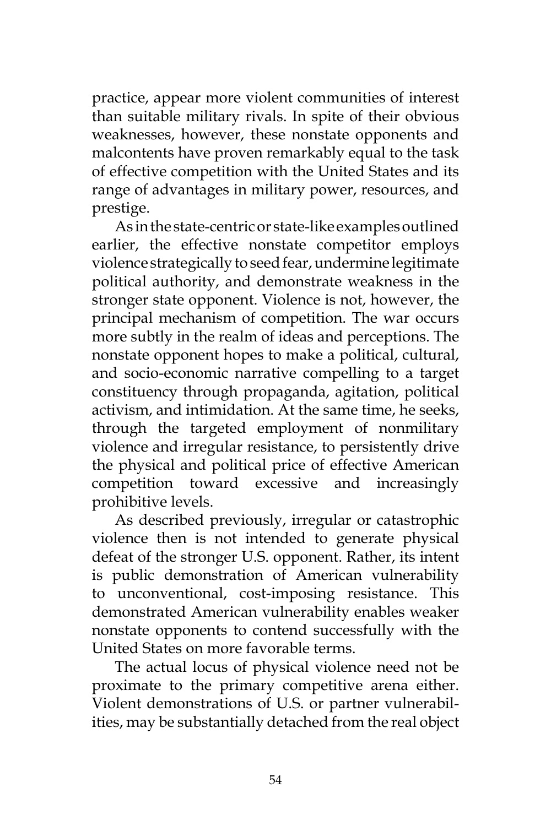practice, appear more violent communities of interest than suitable military rivals. In spite of their obvious weaknesses, however, these nonstate opponents and malcontents have proven remarkably equal to the task of effective competition with the United States and its range of advantages in military power, resources, and prestige.

As in the state-centric or state-like examples outlined earlier, the effective nonstate competitor employs violence strategically to seed fear, undermine legitimate political authority, and demonstrate weakness in the stronger state opponent. Violence is not, however, the principal mechanism of competition. The war occurs more subtly in the realm of ideas and perceptions. The nonstate opponent hopes to make a political, cultural, and socio-economic narrative compelling to a target constituency through propaganda, agitation, political activism, and intimidation. At the same time, he seeks, through the targeted employment of nonmilitary violence and irregular resistance, to persistently drive the physical and political price of effective American competition toward excessive and increasingly prohibitive levels.

As described previously, irregular or catastrophic violence then is not intended to generate physical defeat of the stronger U.S. opponent. Rather, its intent is public demonstration of American vulnerability to unconventional, cost-imposing resistance. This demonstrated American vulnerability enables weaker nonstate opponents to contend successfully with the United States on more favorable terms.

The actual locus of physical violence need not be proximate to the primary competitive arena either. Violent demonstrations of U.S. or partner vulnerabilities, may be substantially detached from the real object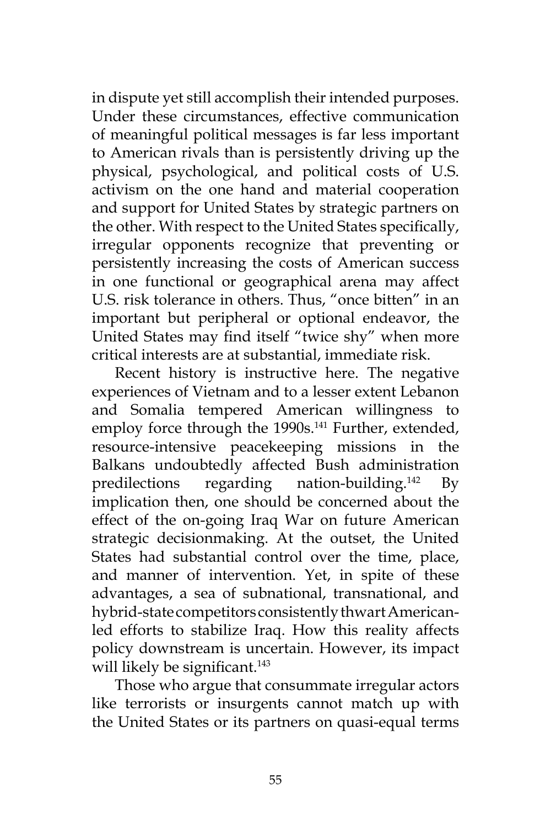in dispute yet still accomplish their intended purposes. Under these circumstances, effective communication of meaningful political messages is far less important to American rivals than is persistently driving up the physical, psychological, and political costs of U.S. activism on the one hand and material cooperation and support for United States by strategic partners on the other. With respect to the United States specifically, irregular opponents recognize that preventing or persistently increasing the costs of American success in one functional or geographical arena may affect U.S. risk tolerance in others. Thus, "once bitten" in an important but peripheral or optional endeavor, the United States may find itself "twice shy" when more critical interests are at substantial, immediate risk.

Recent history is instructive here. The negative experiences of Vietnam and to a lesser extent Lebanon and Somalia tempered American willingness to employ force through the 1990s.<sup>141</sup> Further, extended, resource-intensive peacekeeping missions in the Balkans undoubtedly affected Bush administration predilections regarding nation-building.<sup>142</sup> By implication then, one should be concerned about the effect of the on-going Iraq War on future American strategic decisionmaking. At the outset, the United States had substantial control over the time, place, and manner of intervention. Yet, in spite of these advantages, a sea of subnational, transnational, and hybrid-state competitors consistently thwart Americanled efforts to stabilize Iraq. How this reality affects policy downstream is uncertain. However, its impact will likely be significant.<sup>143</sup>

Those who argue that consummate irregular actors like terrorists or insurgents cannot match up with the United States or its partners on quasi-equal terms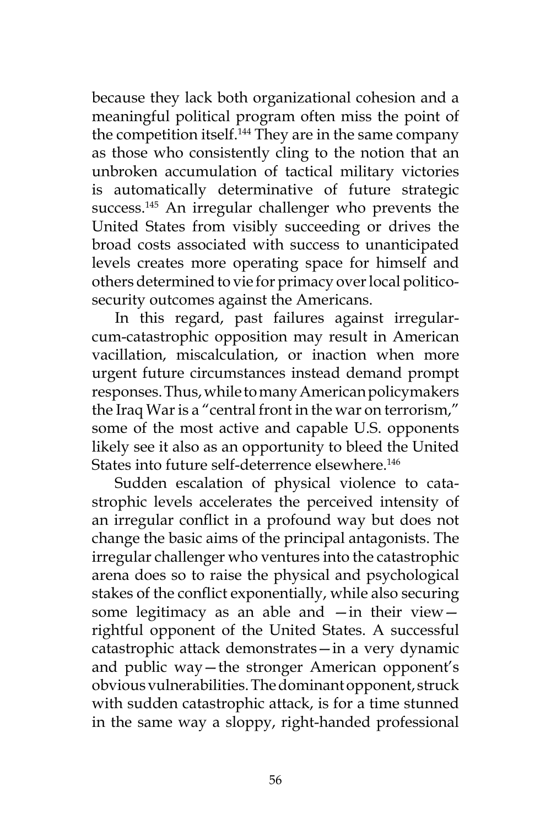because they lack both organizational cohesion and a meaningful political program often miss the point of the competition itself.<sup>144</sup> They are in the same company as those who consistently cling to the notion that an unbroken accumulation of tactical military victories is automatically determinative of future strategic success.<sup>145</sup> An irregular challenger who prevents the United States from visibly succeeding or drives the broad costs associated with success to unanticipated levels creates more operating space for himself and others determined to vie for primacy over local politicosecurity outcomes against the Americans.

In this regard, past failures against irregularcum-catastrophic opposition may result in American vacillation, miscalculation, or inaction when more urgent future circumstances instead demand prompt responses. Thus, while to many American policymakers the Iraq War is a "central front in the war on terrorism," some of the most active and capable U.S. opponents likely see it also as an opportunity to bleed the United States into future self-deterrence elsewhere.<sup>146</sup>

Sudden escalation of physical violence to catastrophic levels accelerates the perceived intensity of an irregular conflict in a profound way but does not change the basic aims of the principal antagonists. The irregular challenger who ventures into the catastrophic arena does so to raise the physical and psychological stakes of the conflict exponentially, while also securing some legitimacy as an able and —in their view rightful opponent of the United States. A successful catastrophic attack demonstrates—in a very dynamic and public way—the stronger American opponent's obvious vulnerabilities. The dominant opponent, struck with sudden catastrophic attack, is for a time stunned in the same way a sloppy, right-handed professional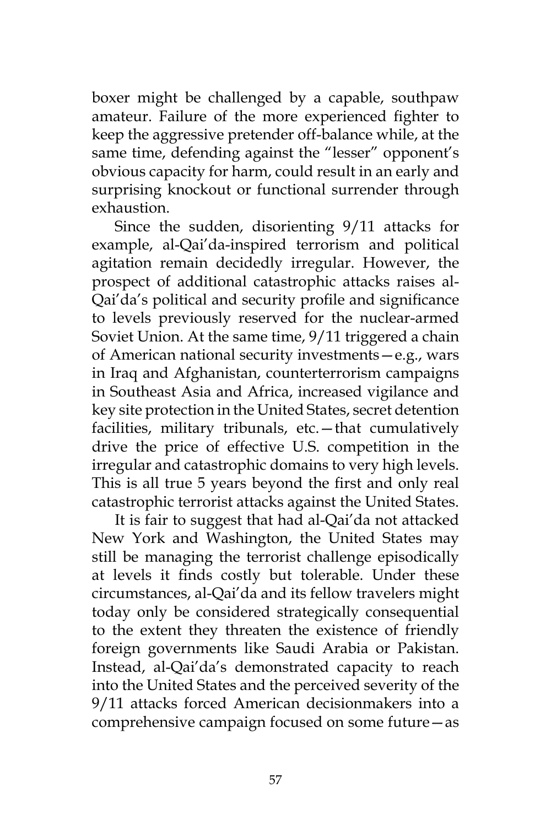boxer might be challenged by a capable, southpaw amateur. Failure of the more experienced fighter to keep the aggressive pretender off-balance while, at the same time, defending against the "lesser" opponent's obvious capacity for harm, could result in an early and surprising knockout or functional surrender through exhaustion.

Since the sudden, disorienting 9/11 attacks for example, al-Qai'da-inspired terrorism and political agitation remain decidedly irregular. However, the prospect of additional catastrophic attacks raises al-Qai'da's political and security profile and significance to levels previously reserved for the nuclear-armed Soviet Union. At the same time, 9/11 triggered a chain of American national security investments—e.g., wars in Iraq and Afghanistan, counterterrorism campaigns in Southeast Asia and Africa, increased vigilance and key site protection in the United States, secret detention facilities, military tribunals, etc.—that cumulatively drive the price of effective U.S. competition in the irregular and catastrophic domains to very high levels. This is all true 5 years beyond the first and only real catastrophic terrorist attacks against the United States.

It is fair to suggest that had al-Qai'da not attacked New York and Washington, the United States may still be managing the terrorist challenge episodically at levels it finds costly but tolerable. Under these circumstances, al-Qai'da and its fellow travelers might today only be considered strategically consequential to the extent they threaten the existence of friendly foreign governments like Saudi Arabia or Pakistan. Instead, al-Qai'da's demonstrated capacity to reach into the United States and the perceived severity of the 9/11 attacks forced American decisionmakers into a comprehensive campaign focused on some future—as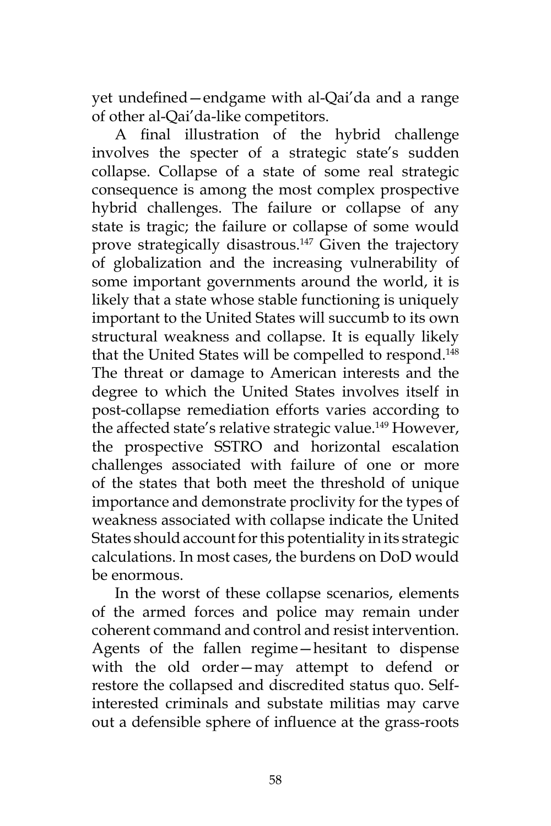yet undefined—endgame with al-Qai'da and a range of other al-Qai'da-like competitors.

A final illustration of the hybrid challenge involves the specter of a strategic state's sudden collapse. Collapse of a state of some real strategic consequence is among the most complex prospective hybrid challenges. The failure or collapse of any state is tragic; the failure or collapse of some would prove strategically disastrous.<sup>147</sup> Given the trajectory of globalization and the increasing vulnerability of some important governments around the world, it is likely that a state whose stable functioning is uniquely important to the United States will succumb to its own structural weakness and collapse. It is equally likely that the United States will be compelled to respond.<sup>148</sup> The threat or damage to American interests and the degree to which the United States involves itself in post-collapse remediation efforts varies according to the affected state's relative strategic value.<sup>149</sup> However, the prospective SSTRO and horizontal escalation challenges associated with failure of one or more of the states that both meet the threshold of unique importance and demonstrate proclivity for the types of weakness associated with collapse indicate the United States should account for this potentiality in its strategic calculations. In most cases, the burdens on DoD would be enormous.

In the worst of these collapse scenarios, elements of the armed forces and police may remain under coherent command and control and resist intervention. Agents of the fallen regime—hesitant to dispense with the old order—may attempt to defend or restore the collapsed and discredited status quo. Selfinterested criminals and substate militias may carve out a defensible sphere of influence at the grass-roots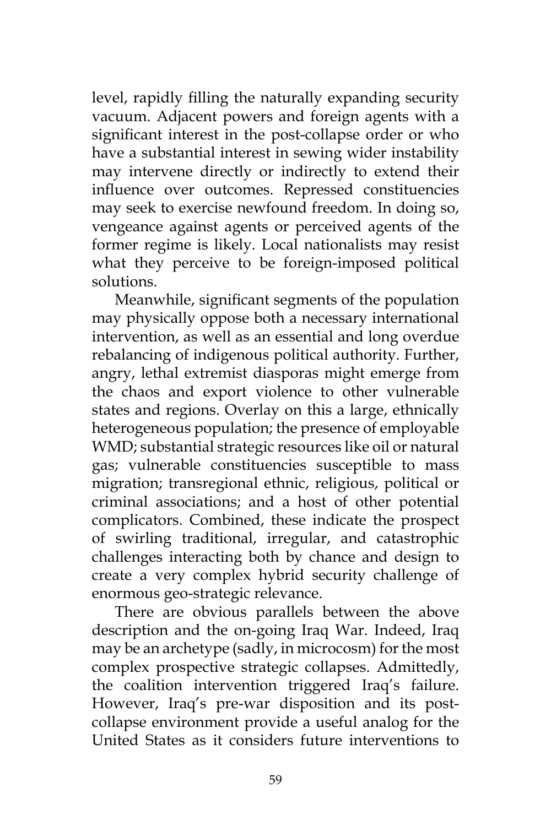level, rapidly filling the naturally expanding security vacuum. Adjacent powers and foreign agents with a significant interest in the post-collapse order or who have a substantial interest in sewing wider instability may intervene directly or indirectly to extend their influence over outcomes. Repressed constituencies may seek to exercise newfound freedom. In doing so, vengeance against agents or perceived agents of the former regime is likely. Local nationalists may resist what they perceive to be foreign-imposed political solutions.

Meanwhile, significant segments of the population may physically oppose both a necessary international intervention, as well as an essential and long overdue rebalancing of indigenous political authority. Further, angry, lethal extremist diasporas might emerge from the chaos and export violence to other vulnerable states and regions. Overlay on this a large, ethnically heterogeneous population; the presence of employable WMD; substantial strategic resources like oil or natural gas; vulnerable constituencies susceptible to mass migration; transregional ethnic, religious, political or criminal associations; and a host of other potential complicators. Combined, these indicate the prospect of swirling traditional, irregular, and catastrophic challenges interacting both by chance and design to create a very complex hybrid security challenge of enormous geo-strategic relevance.

There are obvious parallels between the above description and the on-going Iraq War. Indeed, Iraq may be an archetype (sadly, in microcosm) for the most complex prospective strategic collapses. Admittedly, the coalition intervention triggered Iraq's failure. However, Iraq's pre-war disposition and its postcollapse environment provide a useful analog for the United States as it considers future interventions to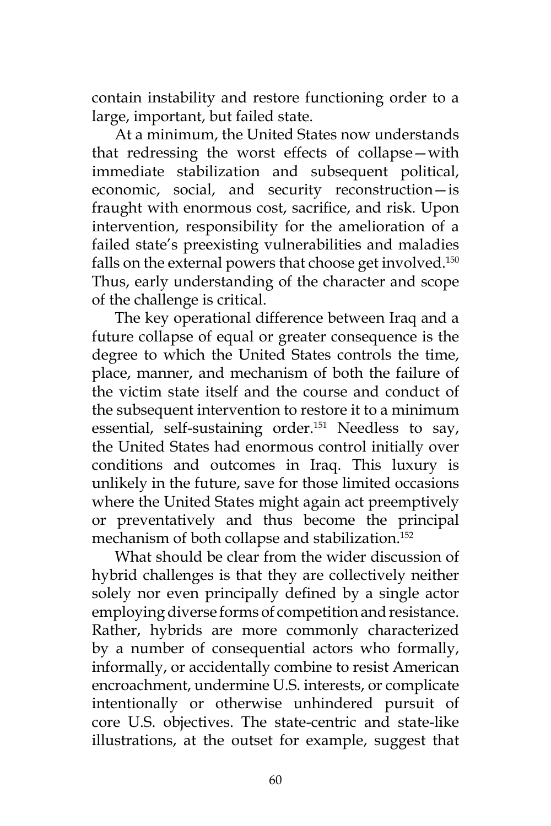contain instability and restore functioning order to a large, important, but failed state.

At a minimum, the United States now understands that redressing the worst effects of collapse—with immediate stabilization and subsequent political, economic, social, and security reconstruction—is fraught with enormous cost, sacrifice, and risk. Upon intervention, responsibility for the amelioration of a failed state's preexisting vulnerabilities and maladies falls on the external powers that choose get involved.<sup>150</sup> Thus, early understanding of the character and scope of the challenge is critical.

The key operational difference between Iraq and a future collapse of equal or greater consequence is the degree to which the United States controls the time, place, manner, and mechanism of both the failure of the victim state itself and the course and conduct of the subsequent intervention to restore it to a minimum essential, self-sustaining order.151 Needless to say, the United States had enormous control initially over conditions and outcomes in Iraq. This luxury is unlikely in the future, save for those limited occasions where the United States might again act preemptively or preventatively and thus become the principal mechanism of both collapse and stabilization.<sup>152</sup>

What should be clear from the wider discussion of hybrid challenges is that they are collectively neither solely nor even principally defined by a single actor employing diverse forms of competition and resistance. Rather, hybrids are more commonly characterized by a number of consequential actors who formally, informally, or accidentally combine to resist American encroachment, undermine U.S. interests, or complicate intentionally or otherwise unhindered pursuit of core U.S. objectives. The state-centric and state-like illustrations, at the outset for example, suggest that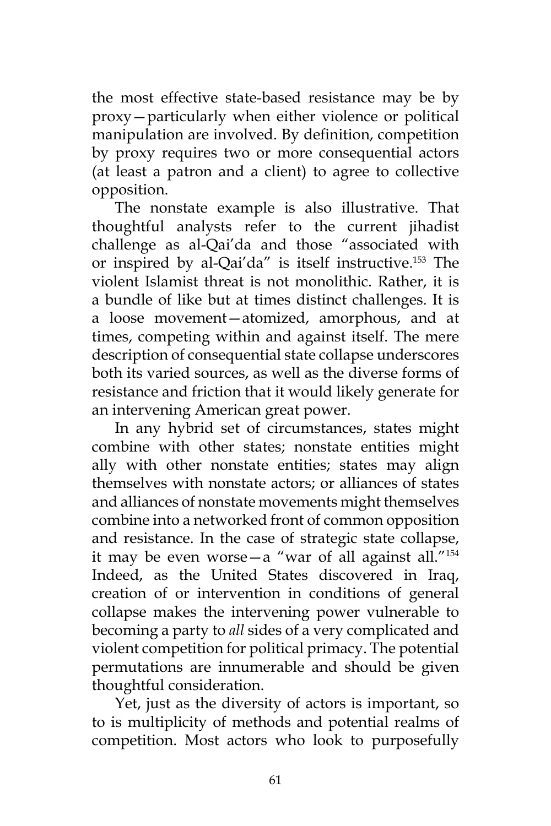the most effective state-based resistance may be by proxy—particularly when either violence or political manipulation are involved. By definition, competition by proxy requires two or more consequential actors (at least a patron and a client) to agree to collective opposition.

The nonstate example is also illustrative. That thoughtful analysts refer to the current jihadist challenge as al-Qai'da and those "associated with or inspired by al-Qai'da" is itself instructive.<sup>153</sup> The violent Islamist threat is not monolithic. Rather, it is a bundle of like but at times distinct challenges. It is a loose movement—atomized, amorphous, and at times, competing within and against itself. The mere description of consequential state collapse underscores both its varied sources, as well as the diverse forms of resistance and friction that it would likely generate for an intervening American great power.

In any hybrid set of circumstances, states might combine with other states; nonstate entities might ally with other nonstate entities; states may align themselves with nonstate actors; or alliances of states and alliances of nonstate movements might themselves combine into a networked front of common opposition and resistance. In the case of strategic state collapse, it may be even worse—a "war of all against all."<sup>154</sup> Indeed, as the United States discovered in Iraq, creation of or intervention in conditions of general collapse makes the intervening power vulnerable to becoming a party to *all* sides of a very complicated and violent competition for political primacy. The potential permutations are innumerable and should be given thoughtful consideration.

Yet, just as the diversity of actors is important, so to is multiplicity of methods and potential realms of competition. Most actors who look to purposefully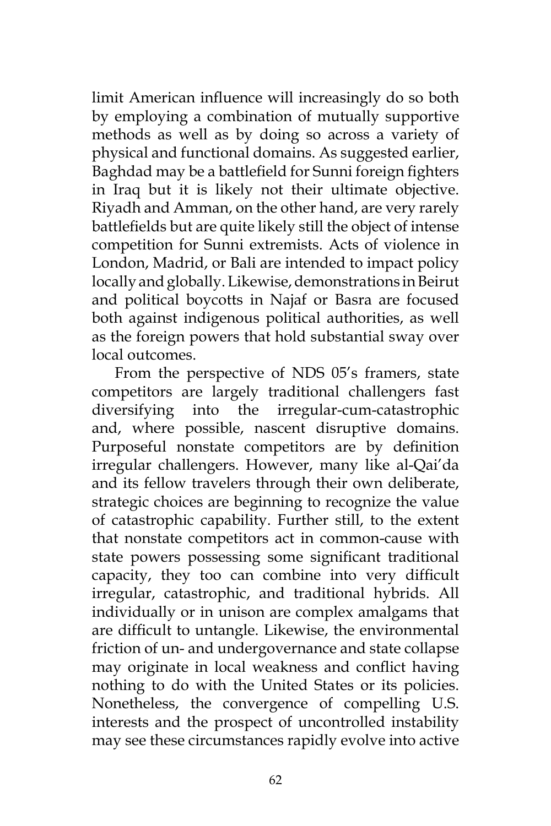limit American influence will increasingly do so both by employing a combination of mutually supportive methods as well as by doing so across a variety of physical and functional domains. As suggested earlier, Baghdad may be a battlefield for Sunni foreign fighters in Iraq but it is likely not their ultimate objective. Riyadh and Amman, on the other hand, are very rarely battlefields but are quite likely still the object of intense competition for Sunni extremists. Acts of violence in London, Madrid, or Bali are intended to impact policy locally and globally. Likewise, demonstrations in Beirut and political boycotts in Najaf or Basra are focused both against indigenous political authorities, as well as the foreign powers that hold substantial sway over local outcomes.

From the perspective of NDS 05's framers, state competitors are largely traditional challengers fast diversifying into the irregular-cum-catastrophic and, where possible, nascent disruptive domains. Purposeful nonstate competitors are by definition irregular challengers. However, many like al-Qai'da and its fellow travelers through their own deliberate, strategic choices are beginning to recognize the value of catastrophic capability. Further still, to the extent that nonstate competitors act in common-cause with state powers possessing some significant traditional capacity, they too can combine into very difficult irregular, catastrophic, and traditional hybrids. All individually or in unison are complex amalgams that are difficult to untangle. Likewise, the environmental friction of un- and undergovernance and state collapse may originate in local weakness and conflict having nothing to do with the United States or its policies. Nonetheless, the convergence of compelling U.S. interests and the prospect of uncontrolled instability may see these circumstances rapidly evolve into active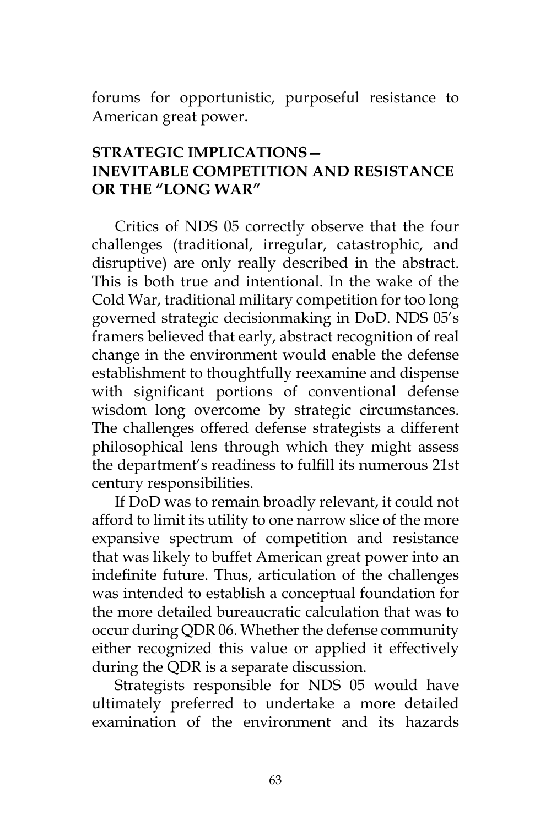forums for opportunistic, purposeful resistance to American great power.

## **Strategic Implications— INEVITABLE COMPETITION AND RESISTANCE OR The "Long War"**

Critics of NDS 05 correctly observe that the four challenges (traditional, irregular, catastrophic, and disruptive) are only really described in the abstract. This is both true and intentional. In the wake of the Cold War, traditional military competition for too long governed strategic decisionmaking in DoD. NDS 05's framers believed that early, abstract recognition of real change in the environment would enable the defense establishment to thoughtfully reexamine and dispense with significant portions of conventional defense wisdom long overcome by strategic circumstances. The challenges offered defense strategists a different philosophical lens through which they might assess the department's readiness to fulfill its numerous 21st century responsibilities.

If DoD was to remain broadly relevant, it could not afford to limit its utility to one narrow slice of the more expansive spectrum of competition and resistance that was likely to buffet American great power into an indefinite future. Thus, articulation of the challenges was intended to establish a conceptual foundation for the more detailed bureaucratic calculation that was to occur during QDR 06. Whether the defense community either recognized this value or applied it effectively during the QDR is a separate discussion.

Strategists responsible for NDS 05 would have ultimately preferred to undertake a more detailed examination of the environment and its hazards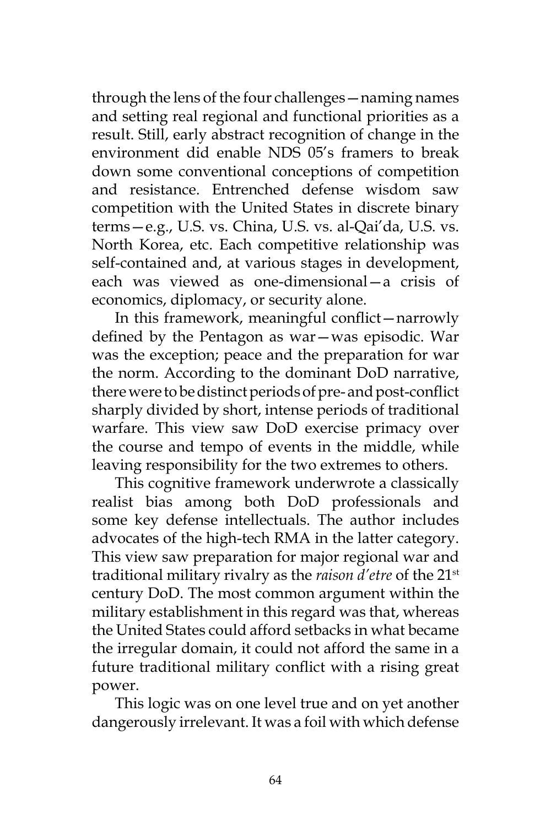through the lens of the four challenges—naming names and setting real regional and functional priorities as a result. Still, early abstract recognition of change in the environment did enable NDS 05's framers to break down some conventional conceptions of competition and resistance. Entrenched defense wisdom saw competition with the United States in discrete binary terms—e.g., U.S. vs. China, U.S. vs. al-Qai'da, U.S. vs. North Korea, etc. Each competitive relationship was self-contained and, at various stages in development, each was viewed as one-dimensional—a crisis of economics, diplomacy, or security alone.

In this framework, meaningful conflict—narrowly defined by the Pentagon as war—was episodic. War was the exception; peace and the preparation for war the norm. According to the dominant DoD narrative, there were to be distinct periods of pre- and post-conflict sharply divided by short, intense periods of traditional warfare. This view saw DoD exercise primacy over the course and tempo of events in the middle, while leaving responsibility for the two extremes to others.

This cognitive framework underwrote a classically realist bias among both DoD professionals and some key defense intellectuals. The author includes advocates of the high-tech RMA in the latter category. This view saw preparation for major regional war and traditional military rivalry as the *raison d'etre* of the 21st century DoD. The most common argument within the military establishment in this regard was that, whereas the United States could afford setbacks in what became the irregular domain, it could not afford the same in a future traditional military conflict with a rising great power.

This logic was on one level true and on yet another dangerously irrelevant. It was a foil with which defense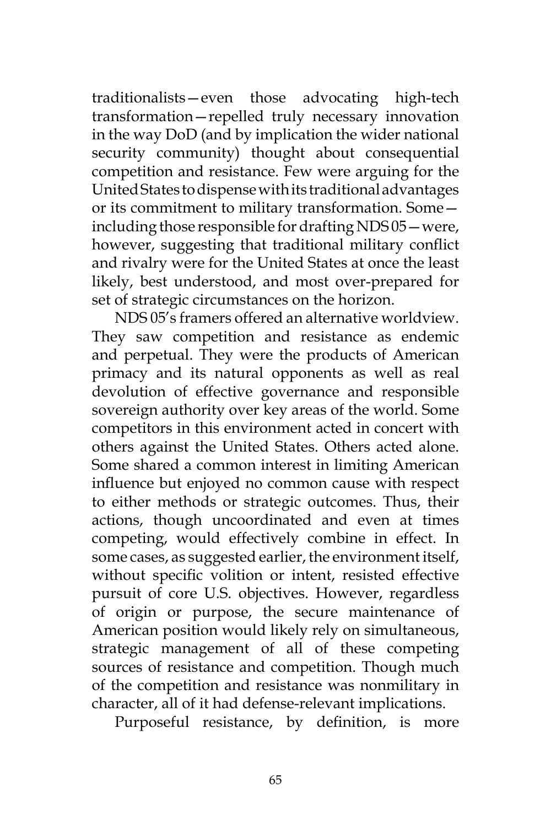traditionalists—even those advocating high-tech transformation—repelled truly necessary innovation in the way DoD (and by implication the wider national security community) thought about consequential competition and resistance. Few were arguing for the United States to dispense with its traditional advantages or its commitment to military transformation. Some including those responsible for drafting NDS 05—were, however, suggesting that traditional military conflict and rivalry were for the United States at once the least likely, best understood, and most over-prepared for set of strategic circumstances on the horizon.

NDS 05's framers offered an alternative worldview. They saw competition and resistance as endemic and perpetual. They were the products of American primacy and its natural opponents as well as real devolution of effective governance and responsible sovereign authority over key areas of the world. Some competitors in this environment acted in concert with others against the United States. Others acted alone. Some shared a common interest in limiting American influence but enjoyed no common cause with respect to either methods or strategic outcomes. Thus, their actions, though uncoordinated and even at times competing, would effectively combine in effect. In some cases, as suggested earlier, the environment itself, without specific volition or intent, resisted effective pursuit of core U.S. objectives. However, regardless of origin or purpose, the secure maintenance of American position would likely rely on simultaneous, strategic management of all of these competing sources of resistance and competition. Though much of the competition and resistance was nonmilitary in character, all of it had defense-relevant implications.

Purposeful resistance, by definition, is more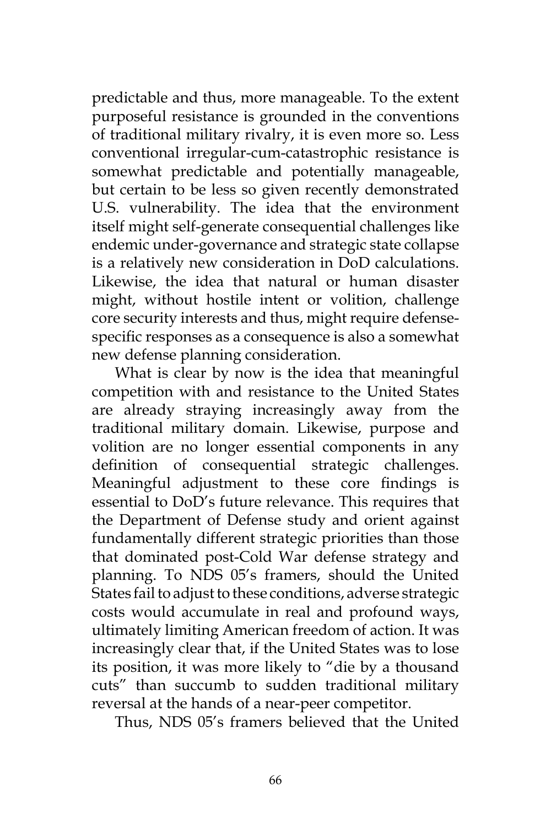predictable and thus, more manageable. To the extent purposeful resistance is grounded in the conventions of traditional military rivalry, it is even more so. Less conventional irregular-cum-catastrophic resistance is somewhat predictable and potentially manageable, but certain to be less so given recently demonstrated U.S. vulnerability. The idea that the environment itself might self-generate consequential challenges like endemic under-governance and strategic state collapse is a relatively new consideration in DoD calculations. Likewise, the idea that natural or human disaster might, without hostile intent or volition, challenge core security interests and thus, might require defensespecific responses as a consequence is also a somewhat new defense planning consideration.

What is clear by now is the idea that meaningful competition with and resistance to the United States are already straying increasingly away from the traditional military domain. Likewise, purpose and volition are no longer essential components in any definition of consequential strategic challenges. Meaningful adjustment to these core findings is essential to DoD's future relevance. This requires that the Department of Defense study and orient against fundamentally different strategic priorities than those that dominated post-Cold War defense strategy and planning. To NDS 05's framers, should the United States fail to adjust to these conditions, adverse strategic costs would accumulate in real and profound ways, ultimately limiting American freedom of action. It was increasingly clear that, if the United States was to lose its position, it was more likely to "die by a thousand cuts" than succumb to sudden traditional military reversal at the hands of a near-peer competitor.

Thus, NDS 05's framers believed that the United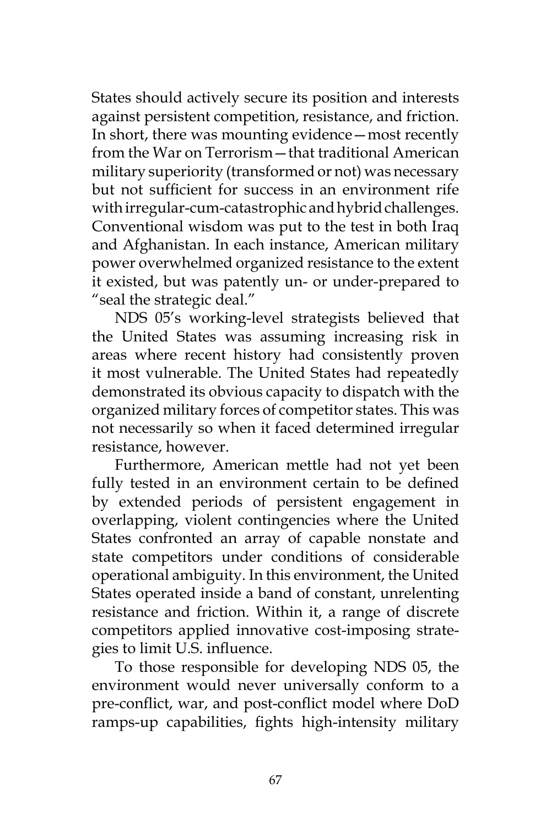States should actively secure its position and interests against persistent competition, resistance, and friction. In short, there was mounting evidence—most recently from the War on Terrorism—that traditional American military superiority (transformed or not) was necessary but not sufficient for success in an environment rife with irregular-cum-catastrophic and hybrid challenges. Conventional wisdom was put to the test in both Iraq and Afghanistan. In each instance, American military power overwhelmed organized resistance to the extent it existed, but was patently un- or under-prepared to "seal the strategic deal."

NDS 05's working-level strategists believed that the United States was assuming increasing risk in areas where recent history had consistently proven it most vulnerable. The United States had repeatedly demonstrated its obvious capacity to dispatch with the organized military forces of competitor states. This was not necessarily so when it faced determined irregular resistance, however.

Furthermore, American mettle had not yet been fully tested in an environment certain to be defined by extended periods of persistent engagement in overlapping, violent contingencies where the United States confronted an array of capable nonstate and state competitors under conditions of considerable operational ambiguity. In this environment, the United States operated inside a band of constant, unrelenting resistance and friction. Within it, a range of discrete competitors applied innovative cost-imposing strategies to limit U.S. influence.

To those responsible for developing NDS 05, the environment would never universally conform to a pre-conflict, war, and post-conflict model where DoD ramps-up capabilities, fights high-intensity military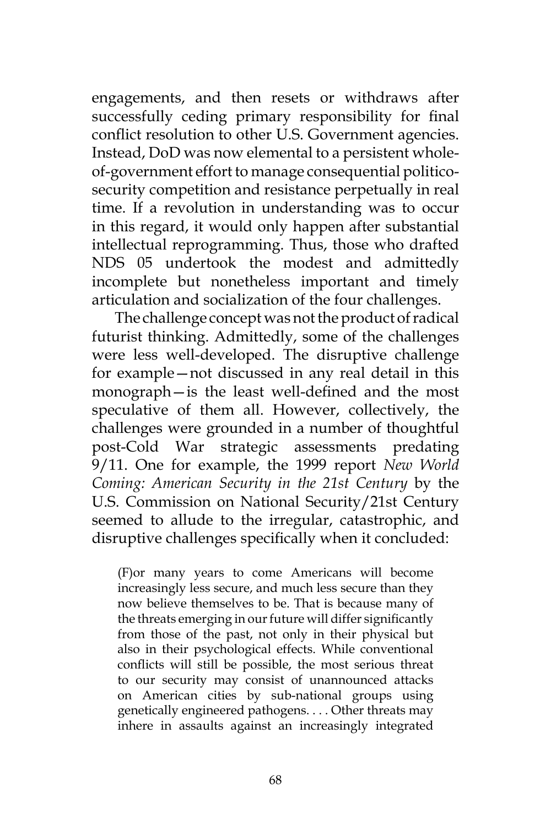engagements, and then resets or withdraws after successfully ceding primary responsibility for final conflict resolution to other U.S. Government agencies. Instead, DoD was now elemental to a persistent wholeof-government effort to manage consequential politicosecurity competition and resistance perpetually in real time. If a revolution in understanding was to occur in this regard, it would only happen after substantial intellectual reprogramming. Thus, those who drafted NDS 05 undertook the modest and admittedly incomplete but nonetheless important and timely articulation and socialization of the four challenges.

The challenge concept was not the product of radical futurist thinking. Admittedly, some of the challenges were less well-developed. The disruptive challenge for example—not discussed in any real detail in this monograph—is the least well-defined and the most speculative of them all. However, collectively, the challenges were grounded in a number of thoughtful post-Cold War strategic assessments predating 9/11. One for example, the 1999 report *New World Coming: American Security in the 21st Century* by the U.S. Commission on National Security/21st Century seemed to allude to the irregular, catastrophic, and disruptive challenges specifically when it concluded:

(F)or many years to come Americans will become increasingly less secure, and much less secure than they now believe themselves to be. That is because many of the threats emerging in our future will differ significantly from those of the past, not only in their physical but also in their psychological effects. While conventional conflicts will still be possible, the most serious threat to our security may consist of unannounced attacks on American cities by sub-national groups using genetically engineered pathogens. . . . Other threats may inhere in assaults against an increasingly integrated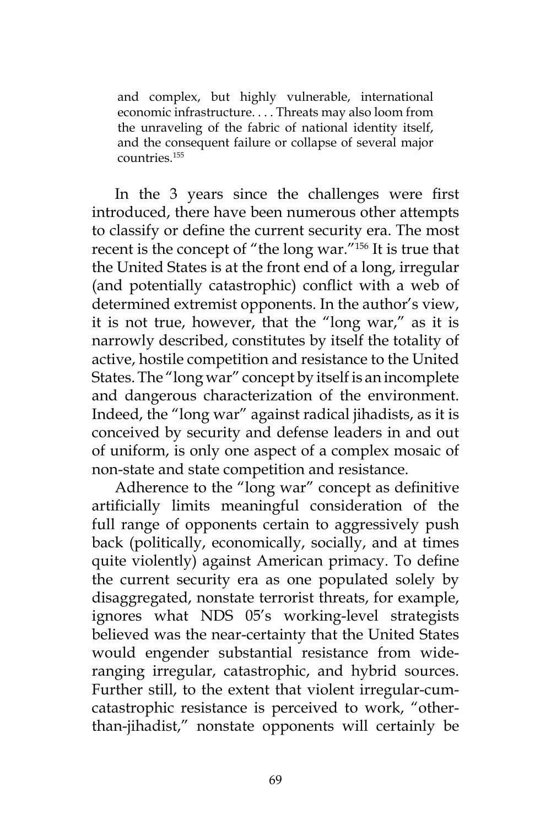and complex, but highly vulnerable, international economic infrastructure. . . . Threats may also loom from the unraveling of the fabric of national identity itself, and the consequent failure or collapse of several major countries.155

In the 3 years since the challenges were first introduced, there have been numerous other attempts to classify or define the current security era. The most recent is the concept of "the long war."156 It is true that the United States is at the front end of a long, irregular (and potentially catastrophic) conflict with a web of determined extremist opponents. In the author's view, it is not true, however, that the "long war," as it is narrowly described, constitutes by itself the totality of active, hostile competition and resistance to the United States. The "long war" concept by itself is an incomplete and dangerous characterization of the environment. Indeed, the "long war" against radical jihadists, as it is conceived by security and defense leaders in and out of uniform, is only one aspect of a complex mosaic of non-state and state competition and resistance.

Adherence to the "long war" concept as definitive artificially limits meaningful consideration of the full range of opponents certain to aggressively push back (politically, economically, socially, and at times quite violently) against American primacy. To define the current security era as one populated solely by disaggregated, nonstate terrorist threats, for example, ignores what NDS 05's working-level strategists believed was the near-certainty that the United States would engender substantial resistance from wideranging irregular, catastrophic, and hybrid sources. Further still, to the extent that violent irregular-cumcatastrophic resistance is perceived to work, "otherthan-jihadist," nonstate opponents will certainly be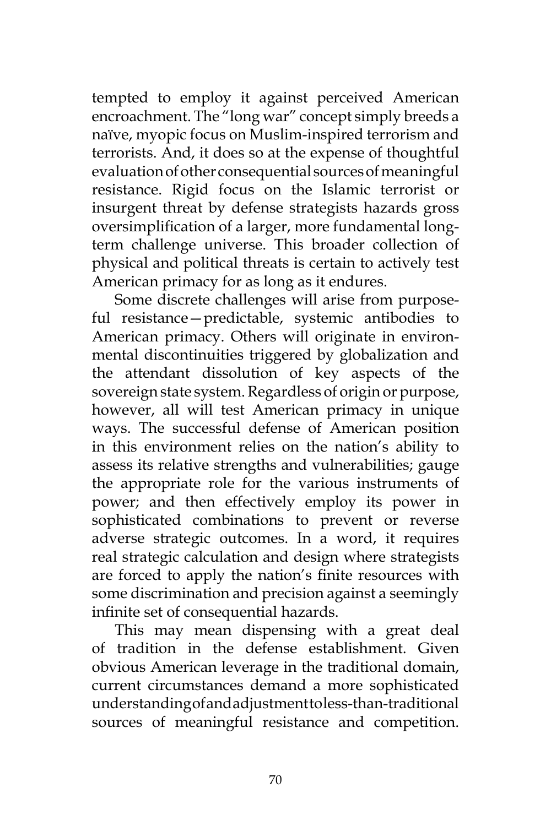tempted to employ it against perceived American encroachment. The "long war" concept simply breeds a naïve, myopic focus on Muslim-inspired terrorism and terrorists. And, it does so at the expense of thoughtful evaluation of other consequential sources of meaningful resistance. Rigid focus on the Islamic terrorist or insurgent threat by defense strategists hazards gross oversimplification of a larger, more fundamental longterm challenge universe. This broader collection of physical and political threats is certain to actively test American primacy for as long as it endures.

Some discrete challenges will arise from purposeful resistance—predictable, systemic antibodies to American primacy. Others will originate in environmental discontinuities triggered by globalization and the attendant dissolution of key aspects of the sovereign state system. Regardless of origin or purpose, however, all will test American primacy in unique ways. The successful defense of American position in this environment relies on the nation's ability to assess its relative strengths and vulnerabilities; gauge the appropriate role for the various instruments of power; and then effectively employ its power in sophisticated combinations to prevent or reverse adverse strategic outcomes. In a word, it requires real strategic calculation and design where strategists are forced to apply the nation's finite resources with some discrimination and precision against a seemingly infinite set of consequential hazards.

This may mean dispensing with a great deal of tradition in the defense establishment. Given obvious American leverage in the traditional domain, current circumstances demand a more sophisticated understanding of and adjustment to less-than-traditional sources of meaningful resistance and competition.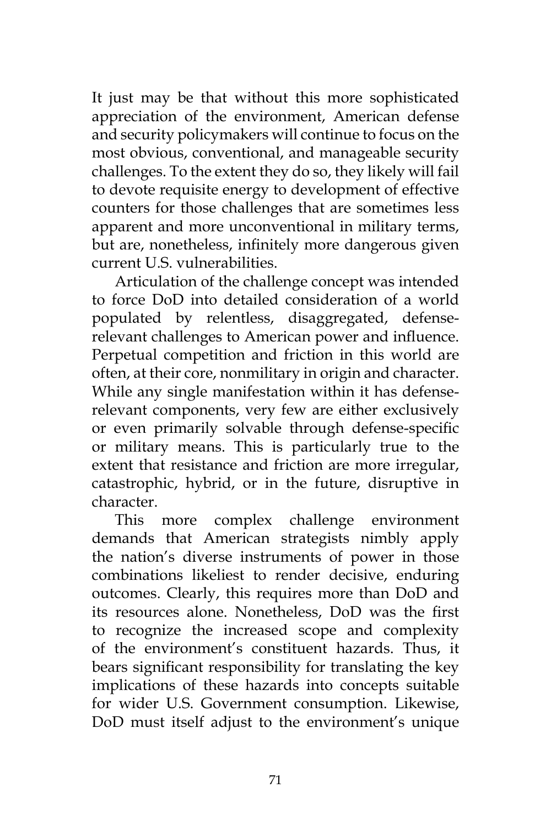It just may be that without this more sophisticated appreciation of the environment, American defense and security policymakers will continue to focus on the most obvious, conventional, and manageable security challenges. To the extent they do so, they likely will fail to devote requisite energy to development of effective counters for those challenges that are sometimes less apparent and more unconventional in military terms, but are, nonetheless, infinitely more dangerous given current U.S. vulnerabilities.

Articulation of the challenge concept was intended to force DoD into detailed consideration of a world populated by relentless, disaggregated, defenserelevant challenges to American power and influence. Perpetual competition and friction in this world are often, at their core, nonmilitary in origin and character. While any single manifestation within it has defenserelevant components, very few are either exclusively or even primarily solvable through defense-specific or military means. This is particularly true to the extent that resistance and friction are more irregular, catastrophic, hybrid, or in the future, disruptive in character.

This more complex challenge environment demands that American strategists nimbly apply the nation's diverse instruments of power in those combinations likeliest to render decisive, enduring outcomes. Clearly, this requires more than DoD and its resources alone. Nonetheless, DoD was the first to recognize the increased scope and complexity of the environment's constituent hazards. Thus, it bears significant responsibility for translating the key implications of these hazards into concepts suitable for wider U.S. Government consumption. Likewise, DoD must itself adjust to the environment's unique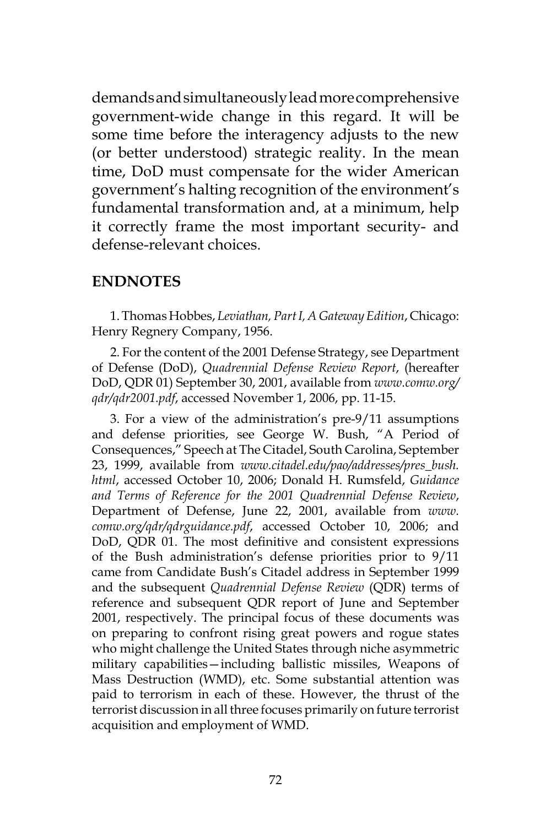demands and simultaneously lead more comprehensive government-wide change in this regard. It will be some time before the interagency adjusts to the new (or better understood) strategic reality. In the mean time, DoD must compensate for the wider American government's halting recognition of the environment's fundamental transformation and, at a minimum, help it correctly frame the most important security- and defense-relevant choices.

## **ENDNOTES**

1. Thomas Hobbes, *Leviathan, Part I, A Gateway Edition*, Chicago: Henry Regnery Company, 1956.

2. For the content of the 2001 Defense Strategy, see Department of Defense (DoD), *Quadrennial Defense Review Report*, (hereafter DoD, QDR 01) September 30, 2001, available from *www.comw.org/ qdr/qdr2001.pdf*, accessed November 1, 2006, pp. 11-15.

3. For a view of the administration's pre-9/11 assumptions and defense priorities, see George W. Bush, "A Period of Consequences," Speech at The Citadel, South Carolina, September 23, 1999, available from *www.citadel.edu/pao/addresses/pres\_bush. html*, accessed October 10, 2006; Donald H. Rumsfeld, *Guidance and Terms of Reference for the 2001 Quadrennial Defense Review*, Department of Defense, June 22, 2001, available from *www. comw.org/qdr/qdrguidance.pdf*, accessed October 10, 2006; and DoD, QDR 01. The most definitive and consistent expressions of the Bush administration's defense priorities prior to 9/11 came from Candidate Bush's Citadel address in September 1999 and the subsequent *Quadrennial Defense Review* (QDR) terms of reference and subsequent QDR report of June and September 2001, respectively. The principal focus of these documents was on preparing to confront rising great powers and rogue states who might challenge the United States through niche asymmetric military capabilities—including ballistic missiles, Weapons of Mass Destruction (WMD), etc. Some substantial attention was paid to terrorism in each of these. However, the thrust of the terrorist discussion in all three focuses primarily on future terrorist acquisition and employment of WMD.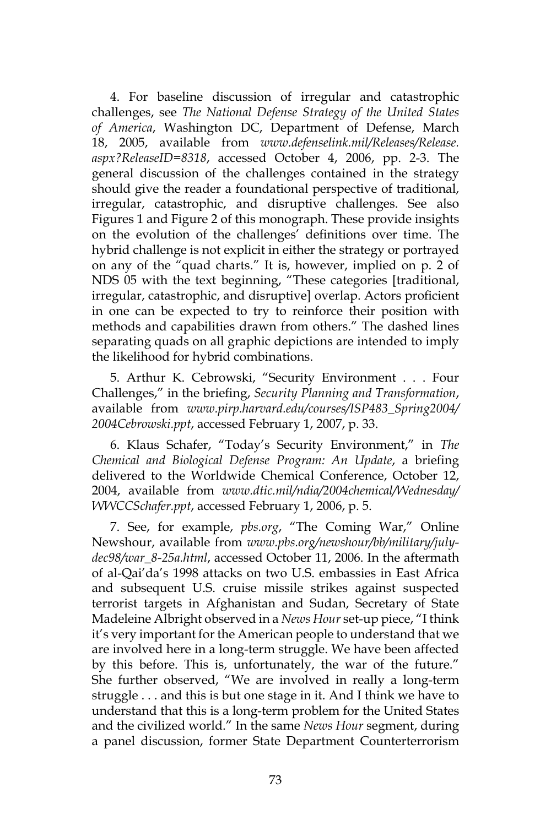4. For baseline discussion of irregular and catastrophic challenges, see *The National Defense Strategy of the United States of America*, Washington DC, Department of Defense, March 18, 2005, available from *www.defenselink.mil/Releases/Release. aspx?ReleaseID=8318*, accessed October 4, 2006, pp. 2-3. The general discussion of the challenges contained in the strategy should give the reader a foundational perspective of traditional, irregular, catastrophic, and disruptive challenges. See also Figures 1 and Figure 2 of this monograph. These provide insights on the evolution of the challenges' definitions over time. The hybrid challenge is not explicit in either the strategy or portrayed on any of the "quad charts." It is, however, implied on p. 2 of NDS 05 with the text beginning, "These categories [traditional, irregular, catastrophic, and disruptive] overlap. Actors proficient in one can be expected to try to reinforce their position with methods and capabilities drawn from others." The dashed lines separating quads on all graphic depictions are intended to imply the likelihood for hybrid combinations.

5. Arthur K. Cebrowski, "Security Environment . . . Four Challenges," in the briefing, *Security Planning and Transformation*, available from *www.pirp.harvard.edu/courses/ISP483\_Spring2004/ 2004Cebrowski.ppt*, accessed February 1, 2007, p. 33.

6. Klaus Schafer, "Today's Security Environment," in *The Chemical and Biological Defense Program: An Update*, a briefing delivered to the Worldwide Chemical Conference, October 12, 2004, available from *www.dtic.mil/ndia/2004chemical/Wednesday/ WWCCSchafer.ppt*, accessed February 1, 2006, p. 5.

7. See, for example, *pbs.org*, "The Coming War," Online Newshour, available from *www.pbs.org/newshour/bb/military/julydec98/war\_8-25a.html*, accessed October 11, 2006. In the aftermath of al-Qai'da's 1998 attacks on two U.S. embassies in East Africa and subsequent U.S. cruise missile strikes against suspected terrorist targets in Afghanistan and Sudan, Secretary of State Madeleine Albright observed in a *News Hour* set-up piece, "I think it's very important for the American people to understand that we are involved here in a long-term struggle. We have been affected by this before. This is, unfortunately, the war of the future." She further observed, "We are involved in really a long-term struggle . . . and this is but one stage in it. And I think we have to understand that this is a long-term problem for the United States and the civilized world." In the same *News Hour* segment, during a panel discussion, former State Department Counterterrorism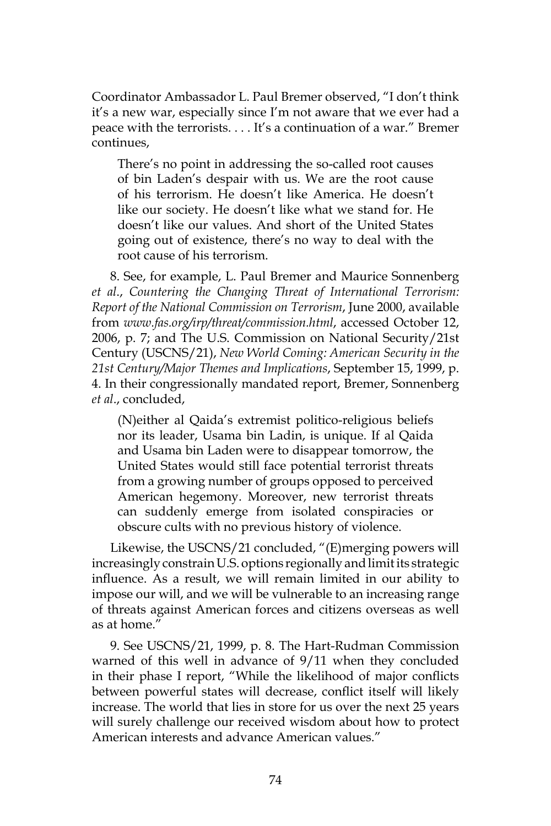Coordinator Ambassador L. Paul Bremer observed, "I don't think it's a new war, especially since I'm not aware that we ever had a peace with the terrorists. . . . It's a continuation of a war." Bremer continues,

There's no point in addressing the so-called root causes of bin Laden's despair with us. We are the root cause of his terrorism. He doesn't like America. He doesn't like our society. He doesn't like what we stand for. He doesn't like our values. And short of the United States going out of existence, there's no way to deal with the root cause of his terrorism.

8. See, for example, L. Paul Bremer and Maurice Sonnenberg *et al*., *Countering the Changing Threat of International Terrorism: Report of the National Commission on Terrorism*, June 2000, available from *www.fas.org/irp/threat/commission.html*, accessed October 12, 2006, p. 7; and The U.S. Commission on National Security/21st Century (USCNS/21), *New World Coming: American Security in the 21st Century/Major Themes and Implications*, September 15, 1999, p. 4. In their congressionally mandated report, Bremer, Sonnenberg *et al*., concluded,

(N)either al Qaida's extremist politico-religious beliefs nor its leader, Usama bin Ladin, is unique. If al Qaida and Usama bin Laden were to disappear tomorrow, the United States would still face potential terrorist threats from a growing number of groups opposed to perceived American hegemony. Moreover, new terrorist threats can suddenly emerge from isolated conspiracies or obscure cults with no previous history of violence.

Likewise, the USCNS/21 concluded, "(E)merging powers will increasingly constrain U.S. options regionally and limit its strategic influence. As a result, we will remain limited in our ability to impose our will, and we will be vulnerable to an increasing range of threats against American forces and citizens overseas as well as at home."

9. See USCNS/21, 1999, p. 8. The Hart-Rudman Commission warned of this well in advance of 9/11 when they concluded in their phase I report, "While the likelihood of major conflicts between powerful states will decrease, conflict itself will likely increase. The world that lies in store for us over the next 25 years will surely challenge our received wisdom about how to protect American interests and advance American values."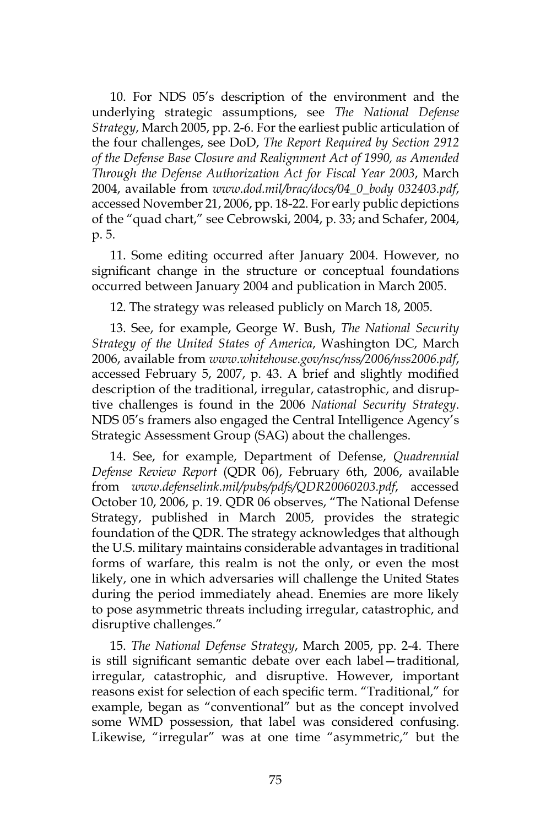10. For NDS 05's description of the environment and the underlying strategic assumptions, see *The National Defense Strategy*, March 2005, pp. 2-6. For the earliest public articulation of the four challenges, see DoD, *The Report Required by Section 2912 of the Defense Base Closure and Realignment Act of 1990, as Amended Through the Defense Authorization Act for Fiscal Year 2003*, March 2004, available from *www.dod.mil/brac/docs/04\_0\_body 032403.pdf*, accessed November 21, 2006, pp. 18-22. For early public depictions of the "quad chart," see Cebrowski, 2004, p. 33; and Schafer, 2004, p. 5.

11. Some editing occurred after January 2004. However, no significant change in the structure or conceptual foundations occurred between January 2004 and publication in March 2005.

12. The strategy was released publicly on March 18, 2005.

13. See, for example, George W. Bush, *The National Security Strategy of the United States of America*, Washington DC, March 2006, available from *www.whitehouse.gov/nsc/nss/2006/nss2006.pdf*, accessed February 5, 2007, p. 43. A brief and slightly modified description of the traditional, irregular, catastrophic, and disruptive challenges is found in the 2006 *National Security Strategy*. NDS 05's framers also engaged the Central Intelligence Agency's Strategic Assessment Group (SAG) about the challenges.

14. See, for example, Department of Defense, *Quadrennial Defense Review Report* (QDR 06), February 6th, 2006, available from *www.defenselink.mil/pubs/pdfs/QDR20060203.pdf*, accessed October 10, 2006, p. 19. QDR 06 observes, "The National Defense Strategy, published in March 2005, provides the strategic foundation of the QDR. The strategy acknowledges that although the U.S. military maintains considerable advantages in traditional forms of warfare, this realm is not the only, or even the most likely, one in which adversaries will challenge the United States during the period immediately ahead. Enemies are more likely to pose asymmetric threats including irregular, catastrophic, and disruptive challenges."

15. *The National Defense Strategy*, March 2005, pp. 2-4. There is still significant semantic debate over each label—traditional, irregular, catastrophic, and disruptive. However, important reasons exist for selection of each specific term. "Traditional," for example, began as "conventional" but as the concept involved some WMD possession, that label was considered confusing. Likewise, "irregular" was at one time "asymmetric," but the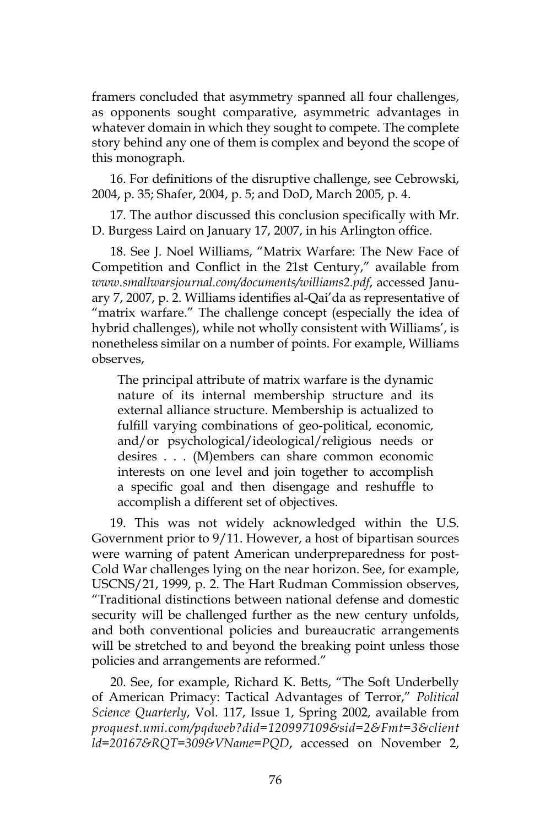framers concluded that asymmetry spanned all four challenges, as opponents sought comparative, asymmetric advantages in whatever domain in which they sought to compete. The complete story behind any one of them is complex and beyond the scope of this monograph.

16. For definitions of the disruptive challenge, see Cebrowski, 2004, p. 35; Shafer, 2004, p. 5; and DoD, March 2005, p. 4.

17. The author discussed this conclusion specifically with Mr. D. Burgess Laird on January 17, 2007, in his Arlington office.

18. See J. Noel Williams, "Matrix Warfare: The New Face of Competition and Conflict in the 21st Century," available from *www.smallwarsjournal.com/documents/williams2.pdf*, accessed January 7, 2007, p. 2. Williams identifies al-Qai'da as representative of "matrix warfare." The challenge concept (especially the idea of hybrid challenges), while not wholly consistent with Williams', is nonetheless similar on a number of points. For example, Williams observes,

The principal attribute of matrix warfare is the dynamic nature of its internal membership structure and its external alliance structure. Membership is actualized to fulfill varying combinations of geo-political, economic, and/or psychological/ideological/religious needs or desires . . . (M)embers can share common economic interests on one level and join together to accomplish a specific goal and then disengage and reshuffle to accomplish a different set of objectives.

19. This was not widely acknowledged within the U.S. Government prior to 9/11. However, a host of bipartisan sources were warning of patent American underpreparedness for post-Cold War challenges lying on the near horizon. See, for example, USCNS/21, 1999, p. 2. The Hart Rudman Commission observes, "Traditional distinctions between national defense and domestic security will be challenged further as the new century unfolds, and both conventional policies and bureaucratic arrangements will be stretched to and beyond the breaking point unless those policies and arrangements are reformed."

20. See, for example, Richard K. Betts, "The Soft Underbelly of American Primacy: Tactical Advantages of Terror," *Political Science Quarterly*, Vol. 117, Issue 1, Spring 2002, available from *proquest.umi.com/pqdweb?did=120997109&sid=2&Fmt=3&client ld=20167&RQT=309&VName=PQD*, accessed on November 2,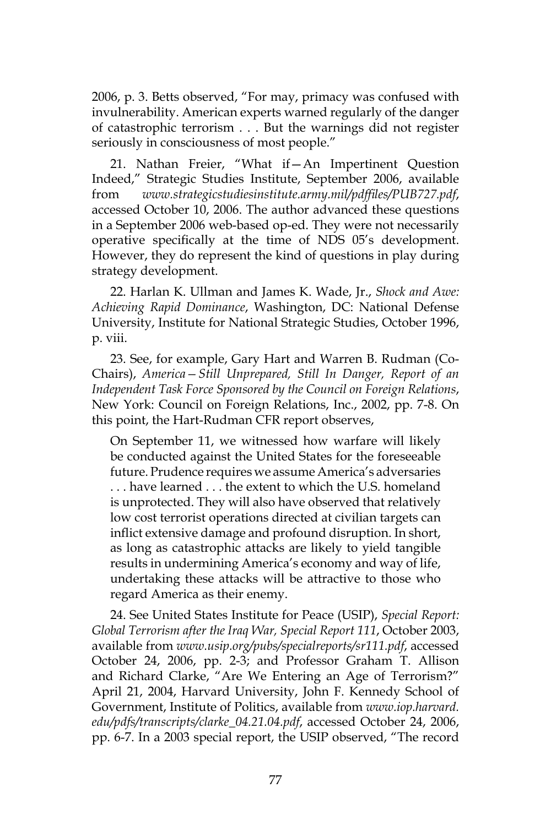2006, p. 3. Betts observed, "For may, primacy was confused with invulnerability. American experts warned regularly of the danger of catastrophic terrorism . . . But the warnings did not register seriously in consciousness of most people."

21. Nathan Freier, "What if—An Impertinent Question Indeed," Strategic Studies Institute, September 2006, available from *www.strategicstudiesinstitute.army.mil/pdffiles/PUB727.pdf*, accessed October 10, 2006. The author advanced these questions in a September 2006 web-based op-ed. They were not necessarily operative specifically at the time of NDS 05's development. However, they do represent the kind of questions in play during strategy development.

22. Harlan K. Ullman and James K. Wade, Jr., *Shock and Awe: Achieving Rapid Dominance*, Washington, DC: National Defense University, Institute for National Strategic Studies, October 1996, p. viii.

23. See, for example, Gary Hart and Warren B. Rudman (Co-Chairs), *America—Still Unprepared, Still In Danger, Report of an Independent Task Force Sponsored by the Council on Foreign Relations*, New York: Council on Foreign Relations, Inc., 2002, pp. 7-8. On this point, the Hart-Rudman CFR report observes,

On September 11, we witnessed how warfare will likely be conducted against the United States for the foreseeable future. Prudence requires we assume America's adversaries . . . have learned . . . the extent to which the U.S. homeland is unprotected. They will also have observed that relatively low cost terrorist operations directed at civilian targets can inflict extensive damage and profound disruption. In short, as long as catastrophic attacks are likely to yield tangible results in undermining America's economy and way of life, undertaking these attacks will be attractive to those who regard America as their enemy.

24. See United States Institute for Peace (USIP), *Special Report: Global Terrorism after the Iraq War, Special Report 111*, October 2003, available from *www.usip.org/pubs/specialreports/sr111.pdf*, accessed October 24, 2006, pp. 2-3; and Professor Graham T. Allison and Richard Clarke, "Are We Entering an Age of Terrorism?" April 21, 2004, Harvard University, John F. Kennedy School of Government, Institute of Politics, available from *www.iop.harvard. edu/pdfs/transcripts/clarke\_04.21.04.pdf*, accessed October 24, 2006, pp. 6-7. In a 2003 special report, the USIP observed, "The record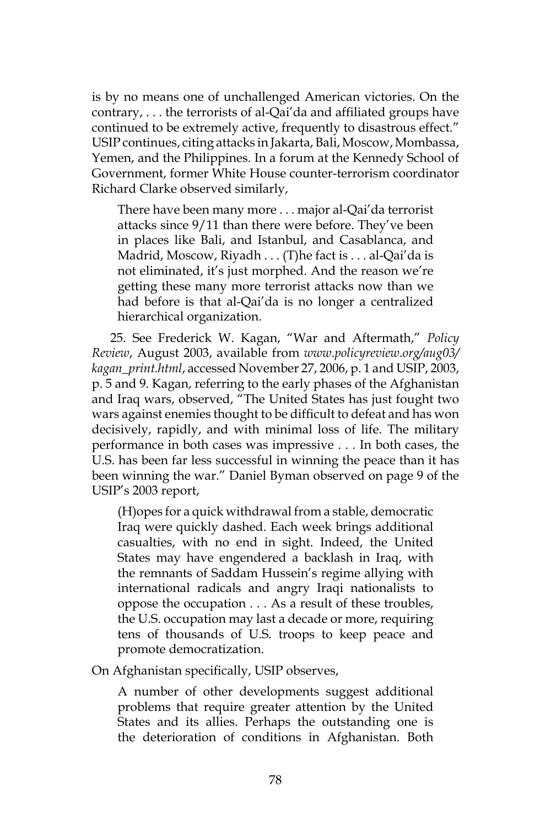is by no means one of unchallenged American victories. On the contrary, . . . the terrorists of al-Qai'da and affiliated groups have continued to be extremely active, frequently to disastrous effect." USIP continues, citing attacks in Jakarta, Bali, Moscow, Mombassa, Yemen, and the Philippines. In a forum at the Kennedy School of Government, former White House counter-terrorism coordinator Richard Clarke observed similarly,

There have been many more . . . major al-Qai'da terrorist attacks since 9/11 than there were before. They've been in places like Bali, and Istanbul, and Casablanca, and Madrid, Moscow, Riyadh . . . (T)he fact is . . . al-Qai'da is not eliminated, it's just morphed. And the reason we're getting these many more terrorist attacks now than we had before is that al-Qai'da is no longer a centralized hierarchical organization.

25. See Frederick W. Kagan, "War and Aftermath," *Policy Review*, August 2003, available from *www.policyreview.org/aug03/ kagan\_print.html*, accessed November 27, 2006, p. 1 and USIP, 2003, p. 5 and 9. Kagan, referring to the early phases of the Afghanistan and Iraq wars, observed, "The United States has just fought two wars against enemies thought to be difficult to defeat and has won decisively, rapidly, and with minimal loss of life. The military performance in both cases was impressive . . . In both cases, the U.S. has been far less successful in winning the peace than it has been winning the war." Daniel Byman observed on page 9 of the USIP's 2003 report,

(H)opes for a quick withdrawal from a stable, democratic Iraq were quickly dashed. Each week brings additional casualties, with no end in sight. Indeed, the United States may have engendered a backlash in Iraq, with the remnants of Saddam Hussein's regime allying with international radicals and angry Iraqi nationalists to oppose the occupation . . . As a result of these troubles, the U.S. occupation may last a decade or more, requiring tens of thousands of U.S. troops to keep peace and promote democratization.

On Afghanistan specifically, USIP observes,

A number of other developments suggest additional problems that require greater attention by the United States and its allies. Perhaps the outstanding one is the deterioration of conditions in Afghanistan. Both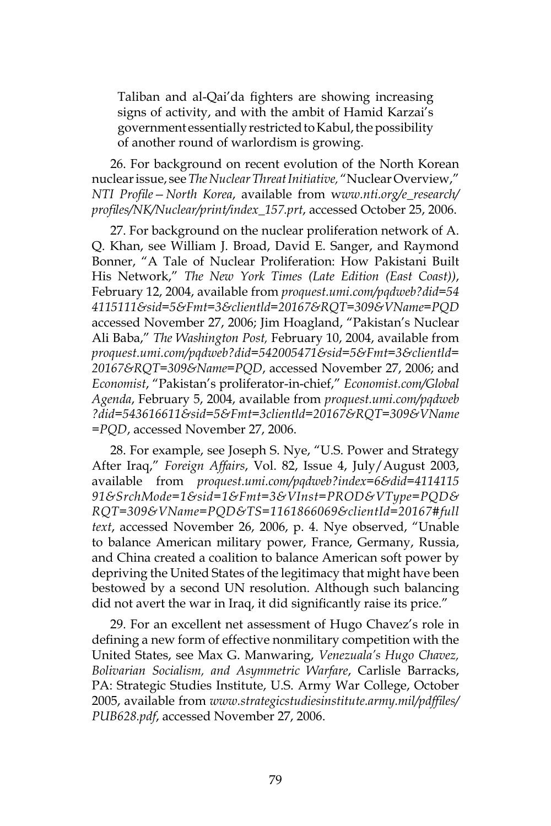Taliban and al-Qai'da fighters are showing increasing signs of activity, and with the ambit of Hamid Karzai's government essentially restricted to Kabul, the possibility of another round of warlordism is growing.

26. For background on recent evolution of the North Korean nuclear issue, see *The Nuclear Threat Initiative,* "Nuclear Overview," *NTI Profile—North Korea*, available from w*ww.nti.org/e\_research/ profiles/NK/Nuclear/print/index\_157.prt*, accessed October 25, 2006.

27. For background on the nuclear proliferation network of A. Q. Khan, see William J. Broad, David E. Sanger, and Raymond Bonner, "A Tale of Nuclear Proliferation: How Pakistani Built His Network," *The New York Times (Late Edition (East Coast))*, February 12, 2004, available from *proquest.umi.com/pqdweb?did=54 4115111&sid=5&Fmt=3&clientld=20167&RQT=309&VName=PQD* accessed November 27, 2006; Jim Hoagland, "Pakistan's Nuclear Ali Baba," *The Washington Post,* February 10, 2004, available from *proquest.umi.com/pqdweb?did=542005471&sid=5&Fmt=3&clientld= 20167&RQT=309&Name=PQD*, accessed November 27, 2006; and *Economist*, "Pakistan's proliferator-in-chief," *Economist.com/Global Agenda*, February 5, 2004, available from *proquest.umi.com/pqdweb ?did=543616611&sid=5&Fmt=3clientld=20167&RQT=309&VName =PQD*, accessed November 27, 2006.

28. For example, see Joseph S. Nye, "U.S. Power and Strategy After Iraq," *Foreign Affairs*, Vol. 82, Issue 4, July/August 2003, available from *proquest.umi.com/pqdweb?index=6&did=4114115 91&SrchMode=1&sid=1&Fmt=3&VInst=PROD&VType=PQD& RQT=309&VName=PQD&TS=1161866069&clientId=20167#full text*, accessed November 26, 2006, p. 4. Nye observed, "Unable to balance American military power, France, Germany, Russia, and China created a coalition to balance American soft power by depriving the United States of the legitimacy that might have been bestowed by a second UN resolution. Although such balancing did not avert the war in Iraq, it did significantly raise its price."

29. For an excellent net assessment of Hugo Chavez's role in defining a new form of effective nonmilitary competition with the United States, see Max G. Manwaring, *Venezuala's Hugo Chavez, Bolivarian Socialism, and Asymmetric Warfare*, Carlisle Barracks, PA: Strategic Studies Institute, U.S. Army War College, October 2005, available from *www.strategicstudiesinstitute.army.mil/pdffiles/ PUB628.pdf*, accessed November 27, 2006.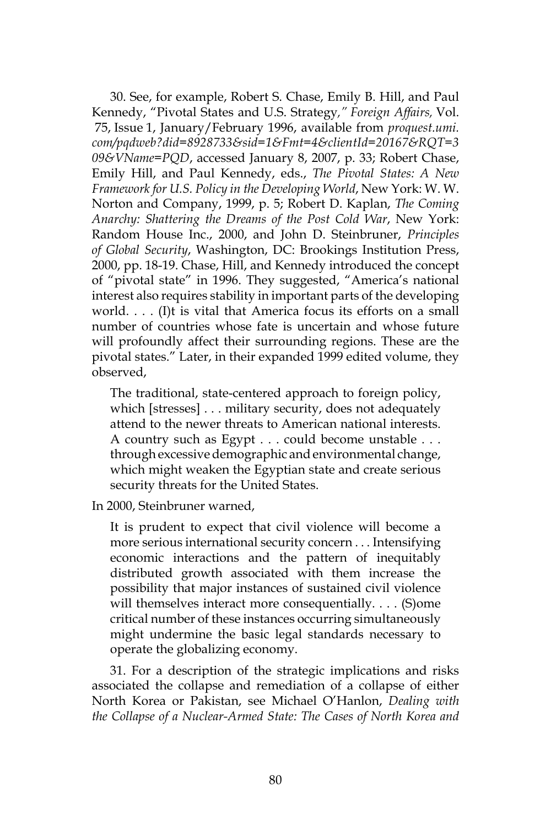30. See, for example, Robert S. Chase, Emily B. Hill, and Paul Kennedy, "Pivotal States and U.S. Strategy*," Foreign Affairs,* Vol. 75, Issue 1, January/February 1996, available from *proquest.umi. com/pqdweb?did=8928733&sid=1&Fmt=4&clientId=20167&RQT=3 09&VName=PQD*, accessed January 8, 2007, p. 33; Robert Chase, Emily Hill, and Paul Kennedy, eds., *The Pivotal States: A New Framework for U.S. Policy in the Developing World*, New York: W. W. Norton and Company, 1999, p. 5; Robert D. Kaplan, *The Coming Anarchy: Shattering the Dreams of the Post Cold War*, New York: Random House Inc., 2000, and John D. Steinbruner, *Principles of Global Security*, Washington, DC: Brookings Institution Press, 2000, pp. 18-19. Chase, Hill, and Kennedy introduced the concept of "pivotal state" in 1996. They suggested, "America's national interest also requires stability in important parts of the developing world. . . . (I)t is vital that America focus its efforts on a small number of countries whose fate is uncertain and whose future will profoundly affect their surrounding regions. These are the pivotal states." Later, in their expanded 1999 edited volume, they observed,

The traditional, state-centered approach to foreign policy, which [stresses] . . . military security, does not adequately attend to the newer threats to American national interests. A country such as Egypt . . . could become unstable . . . through excessive demographic and environmental change, which might weaken the Egyptian state and create serious security threats for the United States.

In 2000, Steinbruner warned,

It is prudent to expect that civil violence will become a more serious international security concern . . . Intensifying economic interactions and the pattern of inequitably distributed growth associated with them increase the possibility that major instances of sustained civil violence will themselves interact more consequentially. . . . (S)ome critical number of these instances occurring simultaneously might undermine the basic legal standards necessary to operate the globalizing economy.

31. For a description of the strategic implications and risks associated the collapse and remediation of a collapse of either North Korea or Pakistan, see Michael O'Hanlon, *Dealing with the Collapse of a Nuclear-Armed State: The Cases of North Korea and*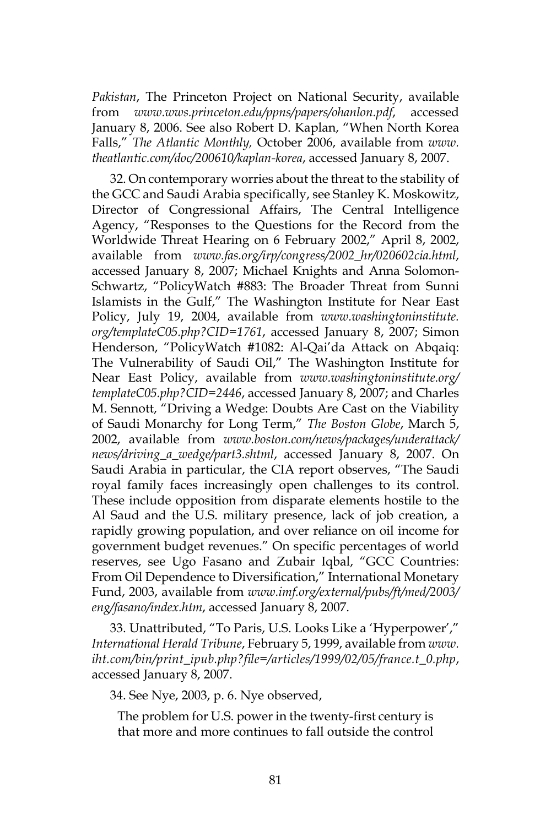*Pakistan*, The Princeton Project on National Security, available from *www.wws.princeton.edu/ppns/papers/ohanlon.pdf*, accessed January 8, 2006. See also Robert D. Kaplan, "When North Korea Falls," *The Atlantic Monthly,* October 2006, available from *www. theatlantic.com/doc/200610/kaplan-korea*, accessed January 8, 2007.

32. On contemporary worries about the threat to the stability of the GCC and Saudi Arabia specifically, see Stanley K. Moskowitz, Director of Congressional Affairs, The Central Intelligence Agency, "Responses to the Questions for the Record from the Worldwide Threat Hearing on 6 February 2002," April 8, 2002, available from *www.fas.org/irp/congress/2002\_hr/020602cia.html*, accessed January 8, 2007; Michael Knights and Anna Solomon-Schwartz, "PolicyWatch #883: The Broader Threat from Sunni Islamists in the Gulf," The Washington Institute for Near East Policy, July 19, 2004, available from *www.washingtoninstitute. org/templateC05.php?CID=1761*, accessed January 8, 2007; Simon Henderson, "PolicyWatch #1082: Al-Qai'da Attack on Abqaiq: The Vulnerability of Saudi Oil," The Washington Institute for Near East Policy, available from *www.washingtoninstitute.org/ templateC05.php?CID=2446*, accessed January 8, 2007; and Charles M. Sennott, "Driving a Wedge: Doubts Are Cast on the Viability of Saudi Monarchy for Long Term," *The Boston Globe*, March 5, 2002, available from *www.boston.com/news/packages/underattack/ news/driving\_a\_wedge/part3.shtml*, accessed January 8, 2007. On Saudi Arabia in particular, the CIA report observes, "The Saudi royal family faces increasingly open challenges to its control. These include opposition from disparate elements hostile to the Al Saud and the U.S. military presence, lack of job creation, a rapidly growing population, and over reliance on oil income for government budget revenues." On specific percentages of world reserves, see Ugo Fasano and Zubair Iqbal, "GCC Countries: From Oil Dependence to Diversification," International Monetary Fund, 2003, available from *www.imf.org/external/pubs/ft/med/2003/ eng/fasano/index.htm*, accessed January 8, 2007.

33. Unattributed, "To Paris, U.S. Looks Like a 'Hyperpower'," *International Herald Tribune*, February 5, 1999, available from *www. iht.com/bin/print\_ipub.php?file=/articles/1999/02/05/france.t\_0.php*, accessed January 8, 2007.

34. See Nye, 2003, p. 6. Nye observed,

The problem for U.S. power in the twenty-first century is that more and more continues to fall outside the control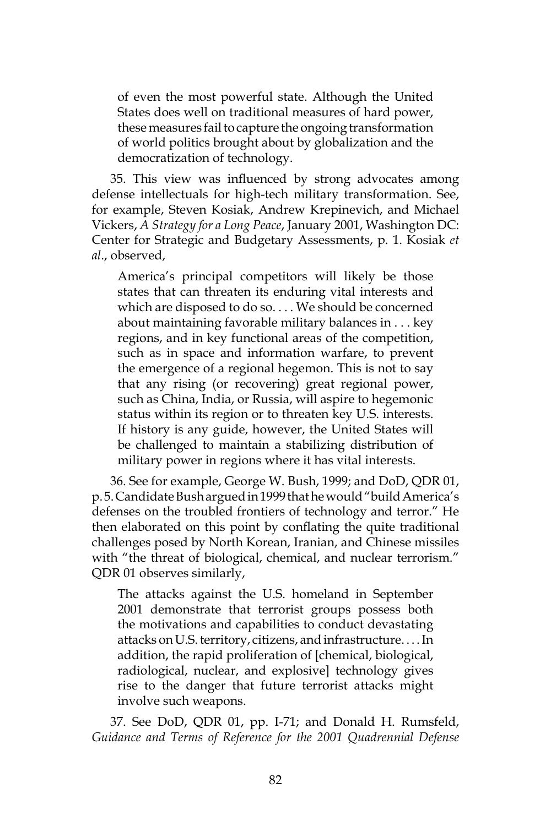of even the most powerful state. Although the United States does well on traditional measures of hard power, these measures fail to capture the ongoing transformation of world politics brought about by globalization and the democratization of technology.

35. This view was influenced by strong advocates among defense intellectuals for high-tech military transformation. See, for example, Steven Kosiak, Andrew Krepinevich, and Michael Vickers, *A Strategy for a Long Peace*, January 2001, Washington DC: Center for Strategic and Budgetary Assessments, p. 1. Kosiak *et al*., observed,

America's principal competitors will likely be those states that can threaten its enduring vital interests and which are disposed to do so. . . . We should be concerned about maintaining favorable military balances in . . . key regions, and in key functional areas of the competition, such as in space and information warfare, to prevent the emergence of a regional hegemon. This is not to say that any rising (or recovering) great regional power, such as China, India, or Russia, will aspire to hegemonic status within its region or to threaten key U.S. interests. If history is any guide, however, the United States will be challenged to maintain a stabilizing distribution of military power in regions where it has vital interests.

36. See for example, George W. Bush, 1999; and DoD, QDR 01, p. 5. Candidate Bush argued in 1999 that he would "build America's defenses on the troubled frontiers of technology and terror." He then elaborated on this point by conflating the quite traditional challenges posed by North Korean, Iranian, and Chinese missiles with "the threat of biological, chemical, and nuclear terrorism." QDR 01 observes similarly,

The attacks against the U.S. homeland in September 2001 demonstrate that terrorist groups possess both the motivations and capabilities to conduct devastating attacks on U.S. territory, citizens, and infrastructure. . . . In addition, the rapid proliferation of [chemical, biological, radiological, nuclear, and explosive] technology gives rise to the danger that future terrorist attacks might involve such weapons.

37. See DoD, QDR 01, pp. I-71; and Donald H. Rumsfeld, *Guidance and Terms of Reference for the 2001 Quadrennial Defense*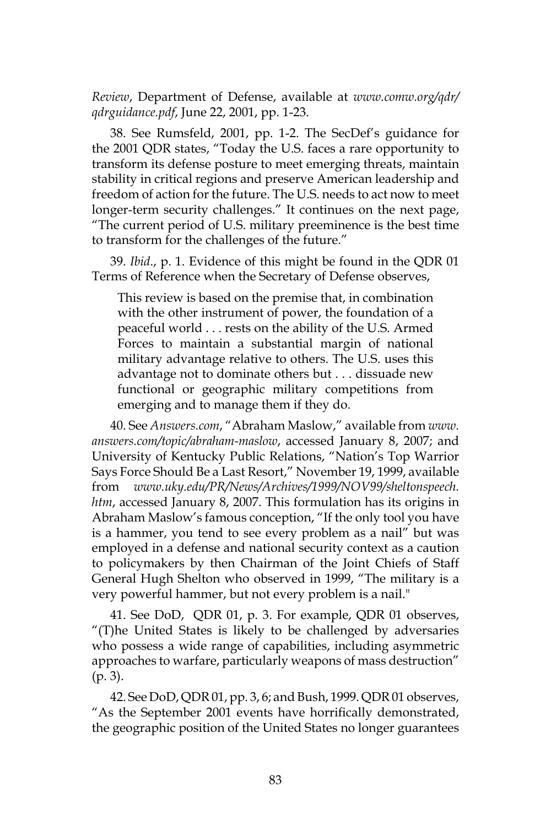*Review*, Department of Defense, available at *www.comw.org/qdr/ qdrguidance.pdf*, June 22, 2001, pp. 1-23.

38. See Rumsfeld, 2001, pp. 1-2. The SecDef's guidance for the 2001 QDR states, "Today the U.S. faces a rare opportunity to transform its defense posture to meet emerging threats, maintain stability in critical regions and preserve American leadership and freedom of action for the future. The U.S. needs to act now to meet longer-term security challenges." It continues on the next page, "The current period of U.S. military preeminence is the best time to transform for the challenges of the future."

39. *Ibid*., p. 1. Evidence of this might be found in the QDR 01 Terms of Reference when the Secretary of Defense observes,

This review is based on the premise that, in combination with the other instrument of power, the foundation of a peaceful world . . . rests on the ability of the U.S. Armed Forces to maintain a substantial margin of national military advantage relative to others. The U.S. uses this advantage not to dominate others but . . . dissuade new functional or geographic military competitions from emerging and to manage them if they do.

40. See *Answers.com*, "Abraham Maslow," available from *www. answers.com/topic/abraham-maslow*, accessed January 8, 2007; and University of Kentucky Public Relations, "Nation's Top Warrior Says Force Should Be a Last Resort," November 19, 1999, available from *www.uky.edu/PR/News/Archives/1999/NOV99/sheltonspeech. htm*, accessed January 8, 2007. This formulation has its origins in Abraham Maslow's famous conception, "If the only tool you have is a hammer, you tend to see every problem as a nail" but was employed in a defense and national security context as a caution to policymakers by then Chairman of the Joint Chiefs of Staff General Hugh Shelton who observed in 1999, "The military is a very powerful hammer, but not every problem is a nail."

41. See DoD, QDR 01, p. 3. For example, QDR 01 observes, "(T)he United States is likely to be challenged by adversaries who possess a wide range of capabilities, including asymmetric approaches to warfare, particularly weapons of mass destruction" (p. 3).

42. See DoD, QDR 01, pp. 3, 6; and Bush, 1999. QDR 01 observes, "As the September 2001 events have horrifically demonstrated, the geographic position of the United States no longer guarantees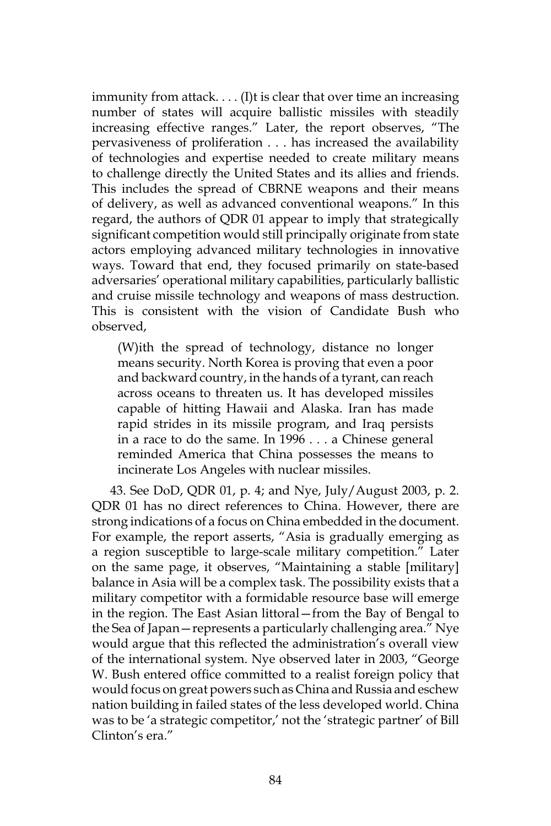immunity from attack. . . . (I)t is clear that over time an increasing number of states will acquire ballistic missiles with steadily increasing effective ranges." Later, the report observes, "The pervasiveness of proliferation . . . has increased the availability of technologies and expertise needed to create military means to challenge directly the United States and its allies and friends. This includes the spread of CBRNE weapons and their means of delivery, as well as advanced conventional weapons." In this regard, the authors of QDR 01 appear to imply that strategically significant competition would still principally originate from state actors employing advanced military technologies in innovative ways. Toward that end, they focused primarily on state-based adversaries' operational military capabilities, particularly ballistic and cruise missile technology and weapons of mass destruction. This is consistent with the vision of Candidate Bush who observed,

(W)ith the spread of technology, distance no longer means security. North Korea is proving that even a poor and backward country, in the hands of a tyrant, can reach across oceans to threaten us. It has developed missiles capable of hitting Hawaii and Alaska. Iran has made rapid strides in its missile program, and Iraq persists in a race to do the same. In 1996 . . . a Chinese general reminded America that China possesses the means to incinerate Los Angeles with nuclear missiles.

43. See DoD, QDR 01, p. 4; and Nye, July/August 2003, p. 2. QDR 01 has no direct references to China. However, there are strong indications of a focus on China embedded in the document. For example, the report asserts, "Asia is gradually emerging as a region susceptible to large-scale military competition." Later on the same page, it observes, "Maintaining a stable [military] balance in Asia will be a complex task. The possibility exists that a military competitor with a formidable resource base will emerge in the region. The East Asian littoral—from the Bay of Bengal to the Sea of Japan—represents a particularly challenging area." Nye would argue that this reflected the administration's overall view of the international system. Nye observed later in 2003, "George W. Bush entered office committed to a realist foreign policy that would focus on great powers such as China and Russia and eschew nation building in failed states of the less developed world. China was to be 'a strategic competitor,' not the 'strategic partner' of Bill Clinton's era."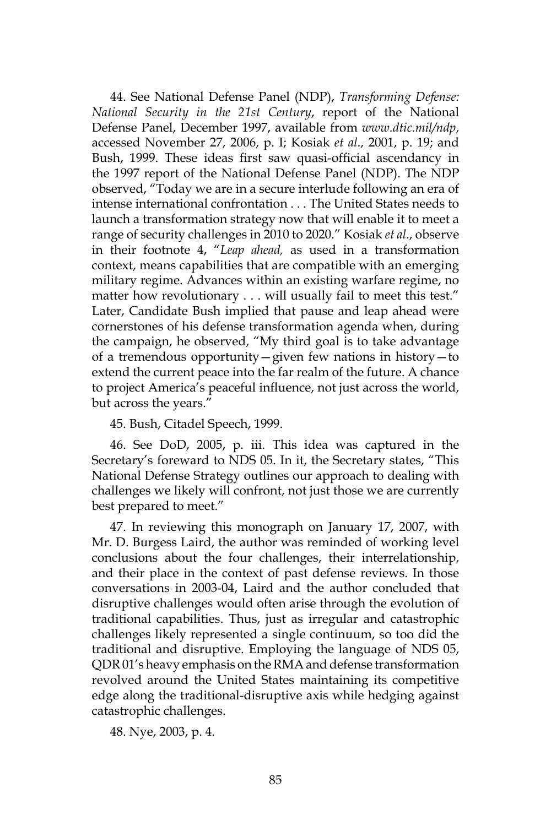44. See National Defense Panel (NDP), *Transforming Defense: National Security in the 21st Century*, report of the National Defense Panel, December 1997, available from *www.dtic.mil/ndp*, accessed November 27, 2006, p. I; Kosiak *et al*., 2001, p. 19; and Bush, 1999. These ideas first saw quasi-official ascendancy in the 1997 report of the National Defense Panel (NDP). The NDP observed, "Today we are in a secure interlude following an era of intense international confrontation . . . The United States needs to launch a transformation strategy now that will enable it to meet a range of security challenges in 2010 to 2020." Kosiak *et al*., observe in their footnote 4, "*Leap ahead,* as used in a transformation context, means capabilities that are compatible with an emerging military regime. Advances within an existing warfare regime, no matter how revolutionary . . . will usually fail to meet this test." Later, Candidate Bush implied that pause and leap ahead were cornerstones of his defense transformation agenda when, during the campaign, he observed, "My third goal is to take advantage of a tremendous opportunity—given few nations in history—to extend the current peace into the far realm of the future. A chance to project America's peaceful influence, not just across the world, but across the years."

45. Bush, Citadel Speech, 1999.

46. See DoD, 2005, p. iii. This idea was captured in the Secretary's foreward to NDS 05. In it, the Secretary states, "This National Defense Strategy outlines our approach to dealing with challenges we likely will confront, not just those we are currently best prepared to meet."

47. In reviewing this monograph on January 17, 2007, with Mr. D. Burgess Laird, the author was reminded of working level conclusions about the four challenges, their interrelationship, and their place in the context of past defense reviews. In those conversations in 2003-04, Laird and the author concluded that disruptive challenges would often arise through the evolution of traditional capabilities. Thus, just as irregular and catastrophic challenges likely represented a single continuum, so too did the traditional and disruptive. Employing the language of NDS 05, QDR 01's heavy emphasis on the RMA and defense transformation revolved around the United States maintaining its competitive edge along the traditional-disruptive axis while hedging against catastrophic challenges.

48. Nye, 2003, p. 4.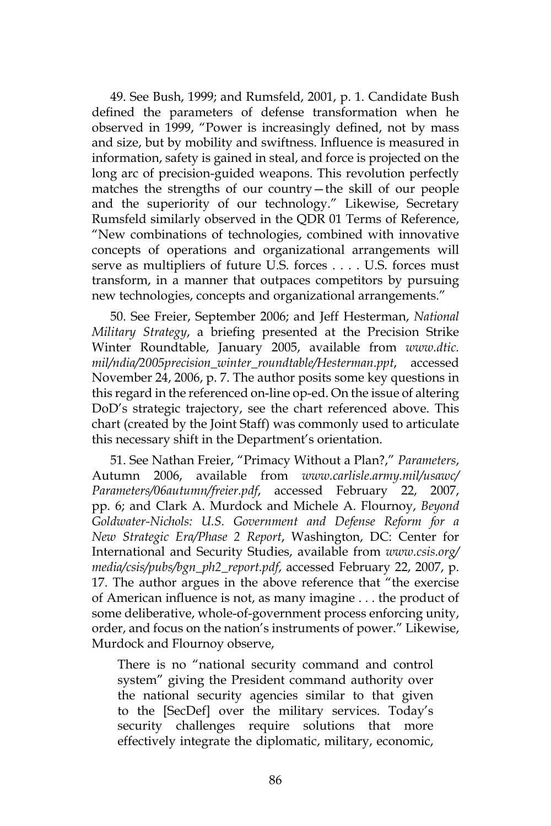49. See Bush, 1999; and Rumsfeld, 2001, p. 1. Candidate Bush defined the parameters of defense transformation when he observed in 1999, "Power is increasingly defined, not by mass and size, but by mobility and swiftness. Influence is measured in information, safety is gained in steal, and force is projected on the long arc of precision-guided weapons. This revolution perfectly matches the strengths of our country—the skill of our people and the superiority of our technology." Likewise, Secretary Rumsfeld similarly observed in the QDR 01 Terms of Reference, "New combinations of technologies, combined with innovative concepts of operations and organizational arrangements will serve as multipliers of future U.S. forces . . . . U.S. forces must transform, in a manner that outpaces competitors by pursuing new technologies, concepts and organizational arrangements."

50. See Freier, September 2006; and Jeff Hesterman, *National Military Strategy*, a briefing presented at the Precision Strike Winter Roundtable, January 2005, available from *www.dtic. mil/ndia/2005precision\_winter\_roundtable/Hesterman.ppt*, accessed November 24, 2006, p. 7. The author posits some key questions in this regard in the referenced on-line op-ed. On the issue of altering DoD's strategic trajectory, see the chart referenced above. This chart (created by the Joint Staff) was commonly used to articulate this necessary shift in the Department's orientation.

51. See Nathan Freier, "Primacy Without a Plan?," *Parameters*, Autumn 2006, available from *www.carlisle.army.mil/usawc/ Parameters/06autumn/freier.pdf*, accessed February 22, 2007, pp. 6; and Clark A. Murdock and Michele A. Flournoy, *Beyond Goldwater-Nichols: U.S. Government and Defense Reform for a New Strategic Era/Phase 2 Report*, Washington, DC: Center for International and Security Studies, available from *www.csis.org/ media/csis/pubs/bgn\_ph2\_report.pdf*, accessed February 22, 2007, p. 17. The author argues in the above reference that "the exercise of American influence is not, as many imagine . . . the product of some deliberative, whole-of-government process enforcing unity, order, and focus on the nation's instruments of power." Likewise, Murdock and Flournoy observe,

There is no "national security command and control system" giving the President command authority over the national security agencies similar to that given to the [SecDef] over the military services. Today's security challenges require solutions that more effectively integrate the diplomatic, military, economic,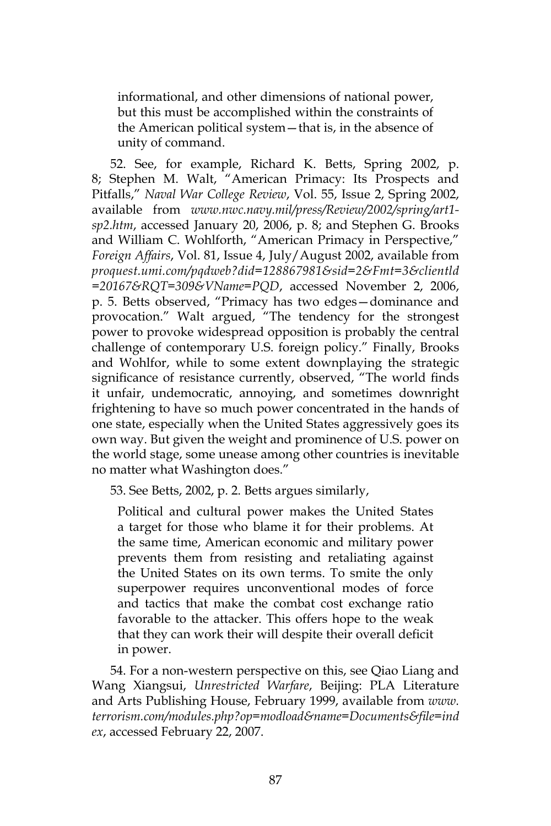informational, and other dimensions of national power, but this must be accomplished within the constraints of the American political system—that is, in the absence of unity of command.

52. See, for example, Richard K. Betts, Spring 2002, p. 8; Stephen M. Walt, "American Primacy: Its Prospects and Pitfalls," *Naval War College Review*, Vol. 55, Issue 2, Spring 2002, available from *www.nwc.navy.mil/press/Review/2002/spring/art1 sp2.htm*, accessed January 20, 2006, p. 8; and Stephen G. Brooks and William C. Wohlforth, "American Primacy in Perspective," *Foreign Affairs*, Vol. 81, Issue 4, July/August 2002, available from *proquest.umi.com/pqdweb?did=128867981&sid=2&Fmt=3&clientld =20167&RQT=309&VName=PQD*, accessed November 2, 2006, p. 5. Betts observed, "Primacy has two edges—dominance and provocation." Walt argued, "The tendency for the strongest power to provoke widespread opposition is probably the central challenge of contemporary U.S. foreign policy." Finally, Brooks and Wohlfor, while to some extent downplaying the strategic significance of resistance currently, observed, "The world finds it unfair, undemocratic, annoying, and sometimes downright frightening to have so much power concentrated in the hands of one state, especially when the United States aggressively goes its own way. But given the weight and prominence of U.S. power on the world stage, some unease among other countries is inevitable no matter what Washington does."

53. See Betts, 2002, p. 2. Betts argues similarly,

Political and cultural power makes the United States a target for those who blame it for their problems. At the same time, American economic and military power prevents them from resisting and retaliating against the United States on its own terms. To smite the only superpower requires unconventional modes of force and tactics that make the combat cost exchange ratio favorable to the attacker. This offers hope to the weak that they can work their will despite their overall deficit in power.

54. For a non-western perspective on this, see Qiao Liang and Wang Xiangsui, *Unrestricted Warfare*, Beijing: PLA Literature and Arts Publishing House, February 1999, available from *www. terrorism.com/modules.php?op=modload&name=Documents&file=ind ex*, accessed February 22, 2007.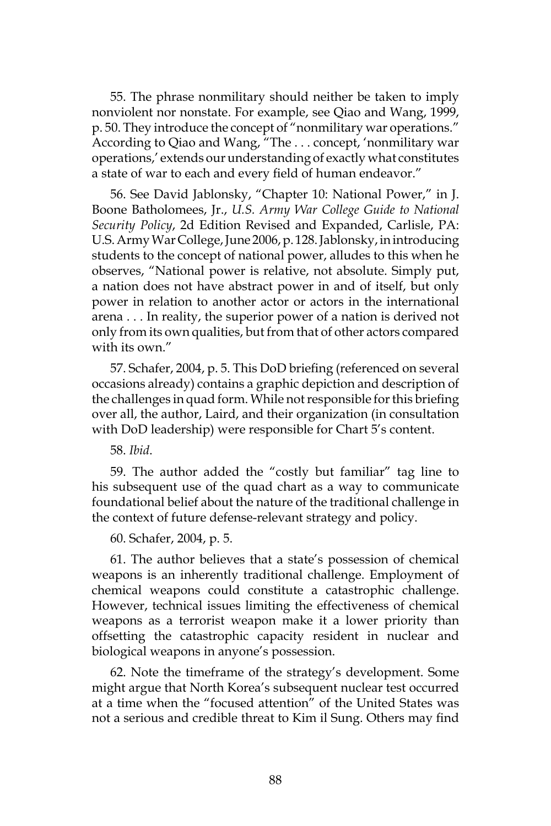55. The phrase nonmilitary should neither be taken to imply nonviolent nor nonstate. For example, see Qiao and Wang, 1999, p. 50. They introduce the concept of "nonmilitary war operations." According to Qiao and Wang, "The . . . concept, 'nonmilitary war operations,' extends our understanding of exactly what constitutes a state of war to each and every field of human endeavor."

56. See David Jablonsky, "Chapter 10: National Power," in J. Boone Batholomees, Jr., *U.S. Army War College Guide to National Security Policy*, 2d Edition Revised and Expanded, Carlisle, PA: U.S. Army War College, June 2006, p. 128. Jablonsky, in introducing students to the concept of national power, alludes to this when he observes, "National power is relative, not absolute. Simply put, a nation does not have abstract power in and of itself, but only power in relation to another actor or actors in the international arena . . . In reality, the superior power of a nation is derived not only from its own qualities, but from that of other actors compared with its own."

57. Schafer, 2004, p. 5. This DoD briefing (referenced on several occasions already) contains a graphic depiction and description of the challenges in quad form. While not responsible for this briefing over all, the author, Laird, and their organization (in consultation with DoD leadership) were responsible for Chart 5's content.

58. *Ibid*.

59. The author added the "costly but familiar" tag line to his subsequent use of the quad chart as a way to communicate foundational belief about the nature of the traditional challenge in the context of future defense-relevant strategy and policy.

60. Schafer, 2004, p. 5.

61. The author believes that a state's possession of chemical weapons is an inherently traditional challenge. Employment of chemical weapons could constitute a catastrophic challenge. However, technical issues limiting the effectiveness of chemical weapons as a terrorist weapon make it a lower priority than offsetting the catastrophic capacity resident in nuclear and biological weapons in anyone's possession.

62. Note the timeframe of the strategy's development. Some might argue that North Korea's subsequent nuclear test occurred at a time when the "focused attention" of the United States was not a serious and credible threat to Kim il Sung. Others may find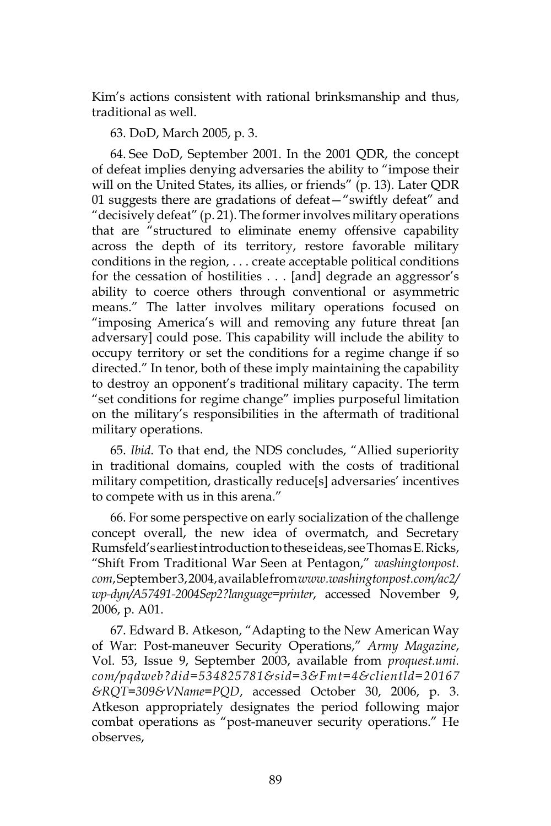Kim's actions consistent with rational brinksmanship and thus, traditional as well.

## 63. DoD, March 2005, p. 3.

64. See DoD, September 2001. In the 2001 QDR, the concept of defeat implies denying adversaries the ability to "impose their will on the United States, its allies, or friends" (p. 13). Later QDR 01 suggests there are gradations of defeat—"swiftly defeat" and "decisively defeat" (p. 21). The former involves military operations that are "structured to eliminate enemy offensive capability across the depth of its territory, restore favorable military conditions in the region, . . . create acceptable political conditions for the cessation of hostilities . . . [and] degrade an aggressor's ability to coerce others through conventional or asymmetric means." The latter involves military operations focused on "imposing America's will and removing any future threat [an adversary] could pose. This capability will include the ability to occupy territory or set the conditions for a regime change if so directed." In tenor, both of these imply maintaining the capability to destroy an opponent's traditional military capacity. The term "set conditions for regime change" implies purposeful limitation on the military's responsibilities in the aftermath of traditional military operations.

65. *Ibid*. To that end, the NDS concludes, "Allied superiority in traditional domains, coupled with the costs of traditional military competition, drastically reduce[s] adversaries' incentives to compete with us in this arena."

66. For some perspective on early socialization of the challenge concept overall, the new idea of overmatch, and Secretary Rumsfeld's earliest introduction to these ideas, see Thomas E. Ricks, "Shift From Traditional War Seen at Pentagon," *washingtonpost. com*, September 3, 2004, available from *www.washingtonpost.com/ac2/ wp-dyn/A57491-2004Sep2?language=printer*, accessed November 9, 2006, p. A01.

67. Edward B. Atkeson, "Adapting to the New American Way of War: Post-maneuver Security Operations," *Army Magazine*, Vol. 53, Issue 9, September 2003, available from *proquest.umi. com/pqdweb?did=534825781&sid=3&Fmt=4&clientld=20167 &RQT=309&VName=PQD*, accessed October 30, 2006, p. 3. Atkeson appropriately designates the period following major combat operations as "post-maneuver security operations." He observes,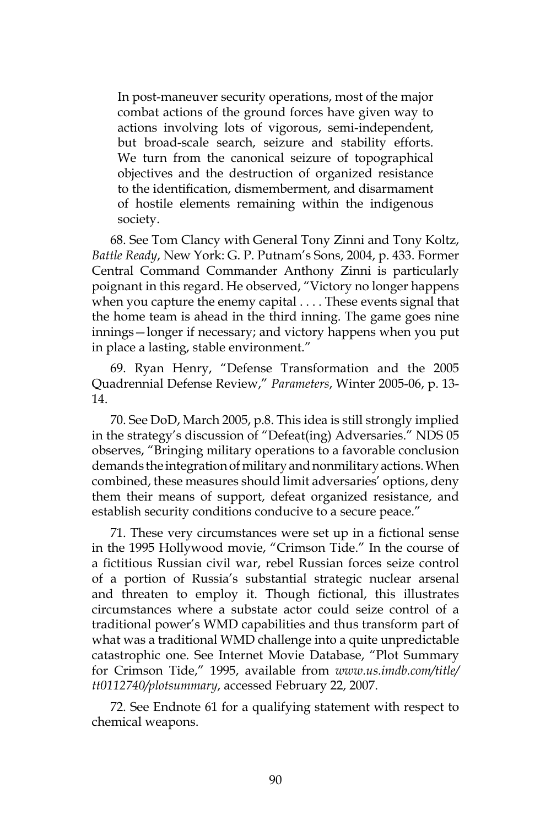In post-maneuver security operations, most of the major combat actions of the ground forces have given way to actions involving lots of vigorous, semi-independent, but broad-scale search, seizure and stability efforts. We turn from the canonical seizure of topographical objectives and the destruction of organized resistance to the identification, dismemberment, and disarmament of hostile elements remaining within the indigenous society.

68. See Tom Clancy with General Tony Zinni and Tony Koltz, *Battle Ready*, New York: G. P. Putnam's Sons, 2004, p. 433. Former Central Command Commander Anthony Zinni is particularly poignant in this regard. He observed, "Victory no longer happens when you capture the enemy capital . . . . These events signal that the home team is ahead in the third inning. The game goes nine innings—longer if necessary; and victory happens when you put in place a lasting, stable environment."

69. Ryan Henry, "Defense Transformation and the 2005 Quadrennial Defense Review," *Parameters*, Winter 2005-06, p. 13- 14.

70. See DoD, March 2005, p.8. This idea is still strongly implied in the strategy's discussion of "Defeat(ing) Adversaries." NDS 05 observes, "Bringing military operations to a favorable conclusion demands the integration of military and nonmilitary actions. When combined, these measures should limit adversaries' options, deny them their means of support, defeat organized resistance, and establish security conditions conducive to a secure peace."

71. These very circumstances were set up in a fictional sense in the 1995 Hollywood movie, "Crimson Tide." In the course of a fictitious Russian civil war, rebel Russian forces seize control of a portion of Russia's substantial strategic nuclear arsenal and threaten to employ it. Though fictional, this illustrates circumstances where a substate actor could seize control of a traditional power's WMD capabilities and thus transform part of what was a traditional WMD challenge into a quite unpredictable catastrophic one. See Internet Movie Database, "Plot Summary for Crimson Tide," 1995, available from *www.us.imdb.com/title/ tt0112740/plotsummary*, accessed February 22, 2007.

72. See Endnote 61 for a qualifying statement with respect to chemical weapons.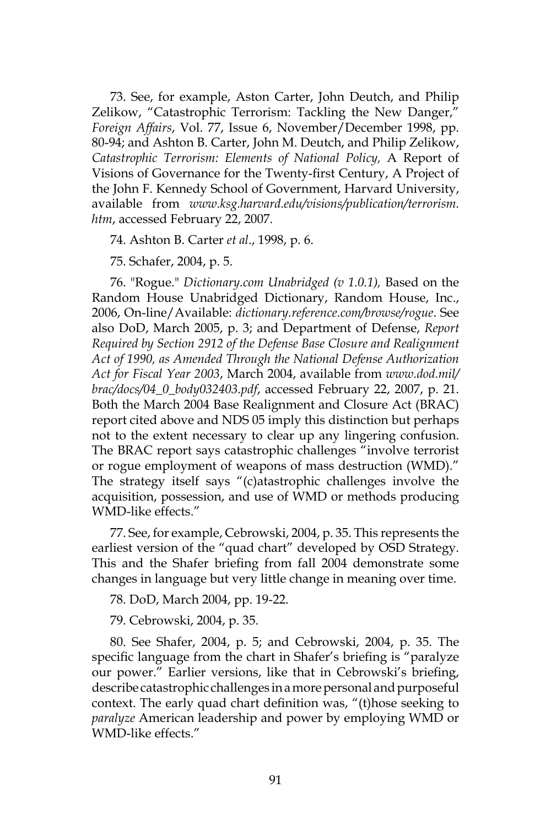73. See, for example, Aston Carter, John Deutch, and Philip Zelikow, "Catastrophic Terrorism: Tackling the New Danger," *Foreign Affairs*, Vol. 77, Issue 6, November/December 1998, pp. 80-94; and Ashton B. Carter, John M. Deutch, and Philip Zelikow, *Catastrophic Terrorism: Elements of National Policy,* A Report of Visions of Governance for the Twenty-first Century, A Project of the John F. Kennedy School of Government, Harvard University, available from *www.ksg.harvard.edu/visions/publication/terrorism. htm*, accessed February 22, 2007.

74. Ashton B. Carter *et al*., 1998, p. 6.

75. Schafer, 2004, p. 5.

76. "Rogue." *Dictionary.com Unabridged (v 1.0.1),* Based on the Random House Unabridged Dictionary, Random House, Inc., 2006, On-line/Available: *dictionary.reference.com/browse/rogue*. See also DoD, March 2005, p. 3; and Department of Defense, *Report Required by Section 2912 of the Defense Base Closure and Realignment Act of 1990, as Amended Through the National Defense Authorization Act for Fiscal Year 2003*, March 2004, available from *www.dod.mil/ brac/docs/04\_0\_body032403.pdf*, accessed February 22, 2007, p. 21. Both the March 2004 Base Realignment and Closure Act (BRAC) report cited above and NDS 05 imply this distinction but perhaps not to the extent necessary to clear up any lingering confusion. The BRAC report says catastrophic challenges "involve terrorist or rogue employment of weapons of mass destruction (WMD)." The strategy itself says "(c)atastrophic challenges involve the acquisition, possession, and use of WMD or methods producing WMD-like effects."

77. See, for example, Cebrowski, 2004, p. 35. This represents the earliest version of the "quad chart" developed by OSD Strategy. This and the Shafer briefing from fall 2004 demonstrate some changes in language but very little change in meaning over time.

78. DoD, March 2004, pp. 19-22.

79. Cebrowski, 2004, p. 35.

80. See Shafer, 2004, p. 5; and Cebrowski, 2004, p. 35. The specific language from the chart in Shafer's briefing is "paralyze our power." Earlier versions, like that in Cebrowski's briefing, describe catastrophic challenges in a more personal and purposeful context. The early quad chart definition was, "(t)hose seeking to *paralyze* American leadership and power by employing WMD or WMD-like effects."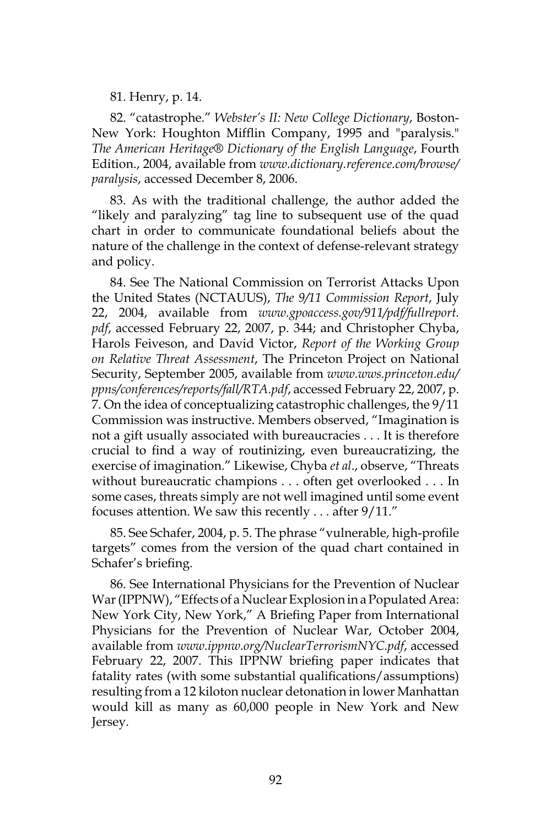81. Henry, p. 14.

82. "catastrophe." *Webster's II: New College Dictionary*, Boston-New York: Houghton Mifflin Company, 1995 and "paralysis." *The American Heritage® Dictionary of the English Language*, Fourth Edition., 2004, available from *www.dictionary.reference.com/browse/ paralysis*, accessed December 8, 2006.

83. As with the traditional challenge, the author added the "likely and paralyzing" tag line to subsequent use of the quad chart in order to communicate foundational beliefs about the nature of the challenge in the context of defense-relevant strategy and policy.

84. See The National Commission on Terrorist Attacks Upon the United States (NCTAUUS), *The 9/11 Commission Report*, July 22, 2004, available from *www.gpoaccess.gov/911/pdf/fullreport. pdf*, accessed February 22, 2007, p. 344; and Christopher Chyba, Harols Feiveson, and David Victor, *Report of the Working Group on Relative Threat Assessment*, The Princeton Project on National Security, September 2005, available from *www.wws.princeton.edu/ ppns/conferences/reports/fall/RTA.pdf*, accessed February 22, 2007, p. 7. On the idea of conceptualizing catastrophic challenges, the 9/11 Commission was instructive. Members observed, "Imagination is not a gift usually associated with bureaucracies . . . It is therefore crucial to find a way of routinizing, even bureaucratizing, the exercise of imagination." Likewise, Chyba *et al*., observe, "Threats without bureaucratic champions . . . often get overlooked . . . In some cases, threats simply are not well imagined until some event focuses attention. We saw this recently . . . after 9/11."

85. See Schafer, 2004, p. 5. The phrase "vulnerable, high-profile targets" comes from the version of the quad chart contained in Schafer's briefing.

86. See International Physicians for the Prevention of Nuclear War (IPPNW), "Effects of a Nuclear Explosion in a Populated Area: New York City, New York," A Briefing Paper from International Physicians for the Prevention of Nuclear War, October 2004, available from *www.ippnw.org/NuclearTerrorismNYC.pdf*, accessed February 22, 2007. This IPPNW briefing paper indicates that fatality rates (with some substantial qualifications/assumptions) resulting from a 12 kiloton nuclear detonation in lower Manhattan would kill as many as 60,000 people in New York and New Jersey.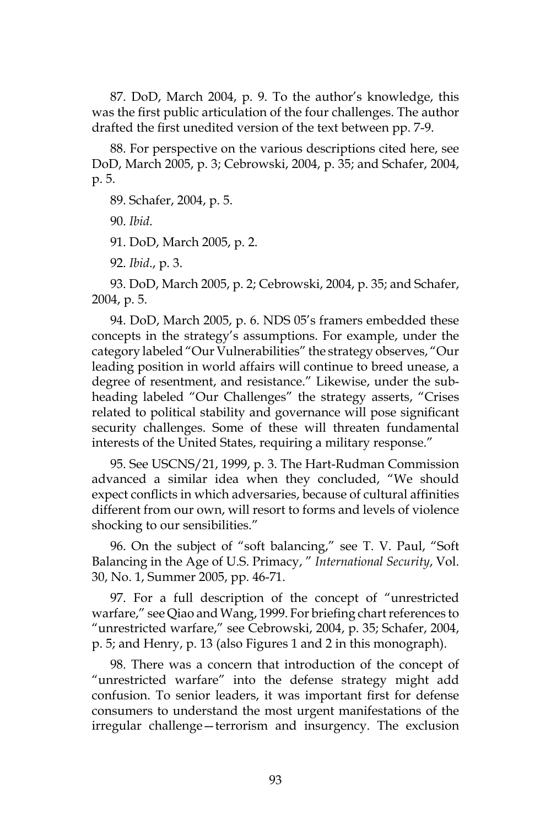87. DoD, March 2004, p. 9. To the author's knowledge, this was the first public articulation of the four challenges. The author drafted the first unedited version of the text between pp. 7-9.

88. For perspective on the various descriptions cited here, see DoD, March 2005, p. 3; Cebrowski, 2004, p. 35; and Schafer, 2004, p. 5.

89. Schafer, 2004, p. 5.

90. *Ibid*.

91. DoD, March 2005, p. 2.

92. *Ibid*., p. 3.

93. DoD, March 2005, p. 2; Cebrowski, 2004, p. 35; and Schafer, 2004, p. 5.

94. DoD, March 2005, p. 6. NDS 05's framers embedded these concepts in the strategy's assumptions. For example, under the category labeled "Our Vulnerabilities" the strategy observes, "Our leading position in world affairs will continue to breed unease, a degree of resentment, and resistance." Likewise, under the subheading labeled "Our Challenges" the strategy asserts, "Crises related to political stability and governance will pose significant security challenges. Some of these will threaten fundamental interests of the United States, requiring a military response."

95. See USCNS/21, 1999, p. 3. The Hart-Rudman Commission advanced a similar idea when they concluded, "We should expect conflicts in which adversaries, because of cultural affinities different from our own, will resort to forms and levels of violence shocking to our sensibilities."

96. On the subject of "soft balancing," see T. V. Paul, "Soft Balancing in the Age of U.S. Primacy, " *International Security*, Vol. 30, No. 1, Summer 2005, pp. 46-71.

97. For a full description of the concept of "unrestricted warfare," see Qiao and Wang, 1999. For briefing chart references to "unrestricted warfare," see Cebrowski, 2004, p. 35; Schafer, 2004, p. 5; and Henry, p. 13 (also Figures 1 and 2 in this monograph).

98. There was a concern that introduction of the concept of "unrestricted warfare" into the defense strategy might add confusion. To senior leaders, it was important first for defense consumers to understand the most urgent manifestations of the irregular challenge—terrorism and insurgency. The exclusion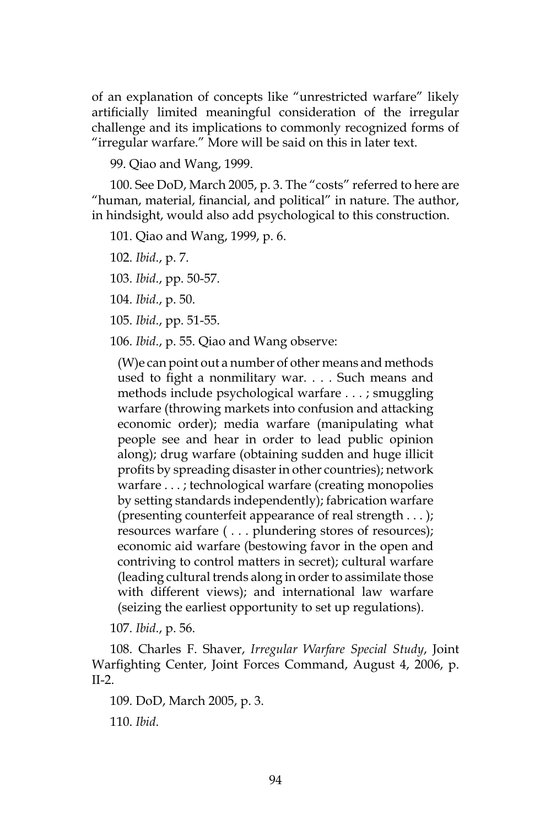of an explanation of concepts like "unrestricted warfare" likely artificially limited meaningful consideration of the irregular challenge and its implications to commonly recognized forms of "irregular warfare." More will be said on this in later text.

99. Qiao and Wang, 1999.

100. See DoD, March 2005, p. 3. The "costs" referred to here are "human, material, financial, and political" in nature. The author, in hindsight, would also add psychological to this construction.

101. Qiao and Wang, 1999, p. 6.

102. *Ibid*., p. 7.

103. *Ibid*., pp. 50-57.

104. *Ibid*., p. 50.

105. *Ibid*., pp. 51-55.

106. *Ibid*., p. 55. Qiao and Wang observe:

(W)e can point out a number of other means and methods used to fight a nonmilitary war. . . . Such means and methods include psychological warfare . . . ; smuggling warfare (throwing markets into confusion and attacking economic order); media warfare (manipulating what people see and hear in order to lead public opinion along); drug warfare (obtaining sudden and huge illicit profits by spreading disaster in other countries); network warfare . . . ; technological warfare (creating monopolies by setting standards independently); fabrication warfare (presenting counterfeit appearance of real strength . . . ); resources warfare ( . . . plundering stores of resources); economic aid warfare (bestowing favor in the open and contriving to control matters in secret); cultural warfare (leading cultural trends along in order to assimilate those with different views); and international law warfare (seizing the earliest opportunity to set up regulations).

107. *Ibid*., p. 56.

108. Charles F. Shaver, *Irregular Warfare Special Study*, Joint Warfighting Center, Joint Forces Command, August 4, 2006, p. II-2.

109. DoD, March 2005, p. 3. 110. *Ibid*.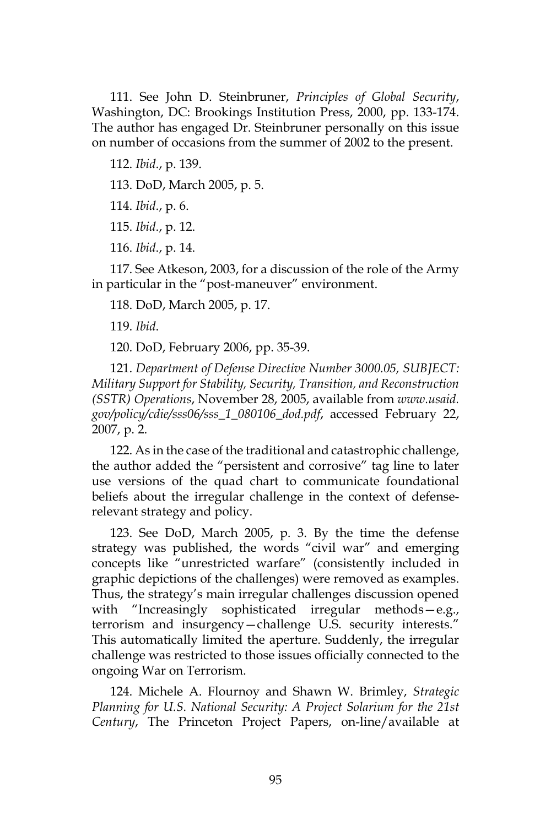111. See John D. Steinbruner, *Principles of Global Security*, Washington, DC: Brookings Institution Press, 2000, pp. 133-174. The author has engaged Dr. Steinbruner personally on this issue on number of occasions from the summer of 2002 to the present.

112. *Ibid*., p. 139.

113. DoD, March 2005, p. 5.

114. *Ibid*., p. 6.

115. *Ibid*., p. 12.

116. *Ibid*., p. 14.

117. See Atkeson, 2003, for a discussion of the role of the Army in particular in the "post-maneuver" environment.

118. DoD, March 2005, p. 17.

119. *Ibid*.

120. DoD, February 2006, pp. 35-39.

121. *Department of Defense Directive Number 3000.05, SUBJECT: Military Support for Stability, Security, Transition, and Reconstruction (SSTR) Operations*, November 28, 2005, available from *www.usaid. gov/policy/cdie/sss06/sss\_1\_080106\_dod.pdf*, accessed February 22, 2007, p. 2.

122. As in the case of the traditional and catastrophic challenge, the author added the "persistent and corrosive" tag line to later use versions of the quad chart to communicate foundational beliefs about the irregular challenge in the context of defenserelevant strategy and policy.

123. See DoD, March 2005, p. 3. By the time the defense strategy was published, the words "civil war" and emerging concepts like "unrestricted warfare" (consistently included in graphic depictions of the challenges) were removed as examples. Thus, the strategy's main irregular challenges discussion opened with "Increasingly sophisticated irregular methods—e.g., terrorism and insurgency—challenge U.S. security interests." This automatically limited the aperture. Suddenly, the irregular challenge was restricted to those issues officially connected to the ongoing War on Terrorism.

124. Michele A. Flournoy and Shawn W. Brimley, *Strategic Planning for U.S. National Security: A Project Solarium for the 21st Century*, The Princeton Project Papers, on-line/available at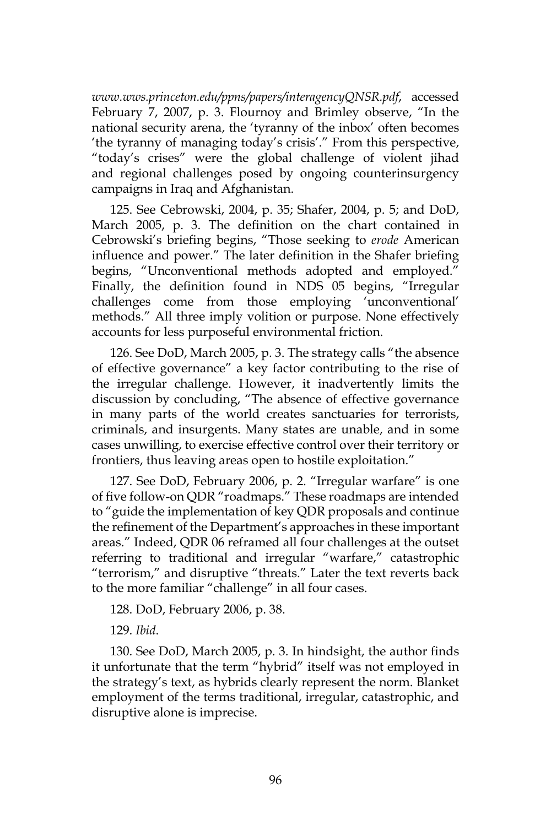*www.wws.princeton.edu/ppns/papers/interagencyQNSR.pdf*, accessed February 7, 2007, p. 3. Flournoy and Brimley observe, "In the national security arena, the 'tyranny of the inbox' often becomes 'the tyranny of managing today's crisis'." From this perspective, "today's crises" were the global challenge of violent jihad and regional challenges posed by ongoing counterinsurgency campaigns in Iraq and Afghanistan.

125. See Cebrowski, 2004, p. 35; Shafer, 2004, p. 5; and DoD, March 2005, p. 3. The definition on the chart contained in Cebrowski's briefing begins, "Those seeking to *erode* American influence and power." The later definition in the Shafer briefing begins, "Unconventional methods adopted and employed." Finally, the definition found in NDS 05 begins, "Irregular challenges come from those employing 'unconventional' methods." All three imply volition or purpose. None effectively accounts for less purposeful environmental friction.

126. See DoD, March 2005, p. 3. The strategy calls "the absence of effective governance" a key factor contributing to the rise of the irregular challenge. However, it inadvertently limits the discussion by concluding, "The absence of effective governance in many parts of the world creates sanctuaries for terrorists, criminals, and insurgents. Many states are unable, and in some cases unwilling, to exercise effective control over their territory or frontiers, thus leaving areas open to hostile exploitation."

127. See DoD, February 2006, p. 2. "Irregular warfare" is one of five follow-on QDR "roadmaps." These roadmaps are intended to "guide the implementation of key QDR proposals and continue the refinement of the Department's approaches in these important areas." Indeed, QDR 06 reframed all four challenges at the outset referring to traditional and irregular "warfare," catastrophic "terrorism," and disruptive "threats." Later the text reverts back to the more familiar "challenge" in all four cases.

128. DoD, February 2006, p. 38.

129. *Ibid*.

130. See DoD, March 2005, p. 3. In hindsight, the author finds it unfortunate that the term "hybrid" itself was not employed in the strategy's text, as hybrids clearly represent the norm. Blanket employment of the terms traditional, irregular, catastrophic, and disruptive alone is imprecise.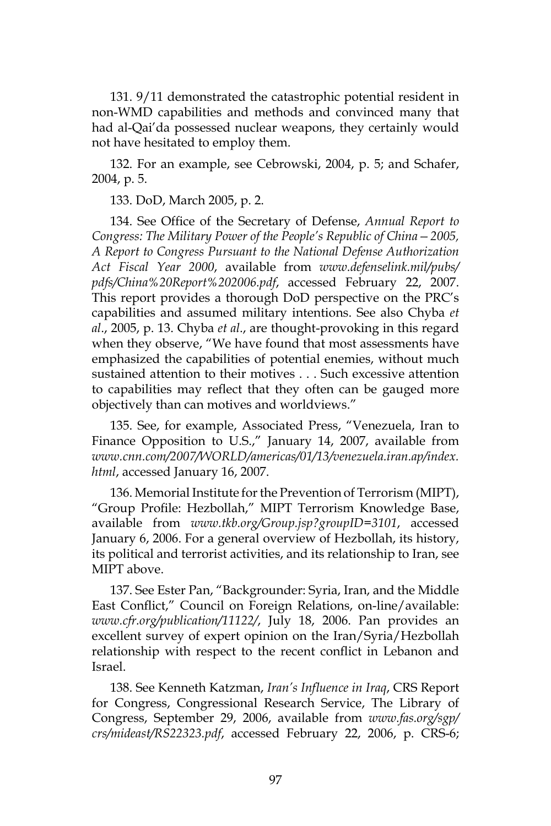131. 9/11 demonstrated the catastrophic potential resident in non-WMD capabilities and methods and convinced many that had al-Qai'da possessed nuclear weapons, they certainly would not have hesitated to employ them.

132. For an example, see Cebrowski, 2004, p. 5; and Schafer, 2004, p. 5.

133. DoD, March 2005, p. 2.

134. See Office of the Secretary of Defense, *Annual Report to Congress: The Military Power of the People's Republic of China—2005, A Report to Congress Pursuant to the National Defense Authorization Act Fiscal Year 2000*, available from *www.defenselink.mil/pubs/ pdfs/China%20Report%202006.pdf*, accessed February 22, 2007. This report provides a thorough DoD perspective on the PRC's capabilities and assumed military intentions. See also Chyba *et al*., 2005, p. 13. Chyba *et al*., are thought-provoking in this regard when they observe, "We have found that most assessments have emphasized the capabilities of potential enemies, without much sustained attention to their motives . . . Such excessive attention to capabilities may reflect that they often can be gauged more objectively than can motives and worldviews."

135. See, for example, Associated Press, "Venezuela, Iran to Finance Opposition to U.S.," January 14, 2007, available from *www.cnn.com/2007/WORLD/americas/01/13/venezuela.iran.ap/index. html*, accessed January 16, 2007.

136. Memorial Institute for the Prevention of Terrorism (MIPT), "Group Profile: Hezbollah," MIPT Terrorism Knowledge Base, available from *www.tkb.org/Group.jsp?groupID=3101*, accessed January 6, 2006. For a general overview of Hezbollah, its history, its political and terrorist activities, and its relationship to Iran, see MIPT above.

137. See Ester Pan, "Backgrounder: Syria, Iran, and the Middle East Conflict," Council on Foreign Relations, on-line/available: *www.cfr.org/publication/11122/*, July 18, 2006. Pan provides an excellent survey of expert opinion on the Iran/Syria/Hezbollah relationship with respect to the recent conflict in Lebanon and Israel.

138. See Kenneth Katzman, *Iran's Influence in Iraq*, CRS Report for Congress, Congressional Research Service, The Library of Congress, September 29, 2006, available from *www.fas.org/sgp/ crs/mideast/RS22323.pdf*, accessed February 22, 2006, p. CRS-6;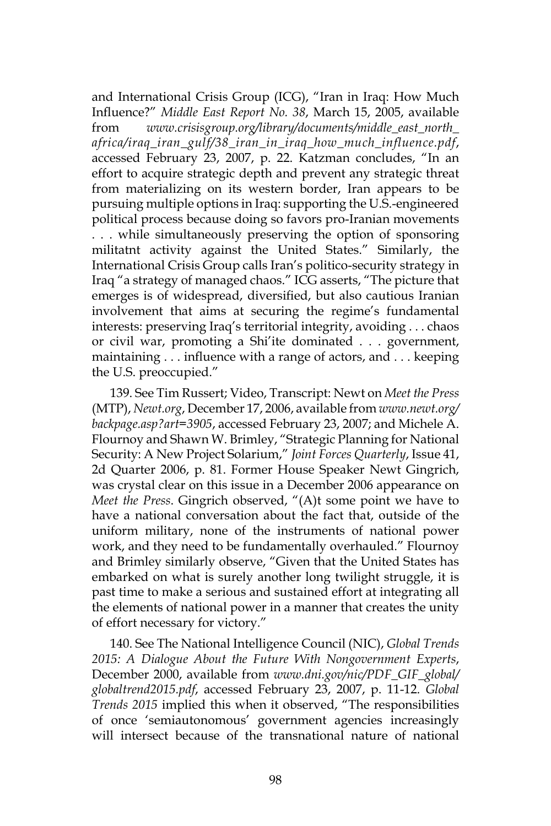and International Crisis Group (ICG), "Iran in Iraq: How Much Influence?" *Middle East Report No. 38*, March 15, 2005, available from *www.crisisgroup.org/library/documents/middle\_east\_north\_ africa/iraq\_iran\_gulf/38\_iran\_in\_iraq\_how\_much\_influence.pdf*, accessed February 23, 2007, p. 22. Katzman concludes, "In an effort to acquire strategic depth and prevent any strategic threat from materializing on its western border, Iran appears to be pursuing multiple options in Iraq: supporting the U.S.-engineered political process because doing so favors pro-Iranian movements . . . while simultaneously preserving the option of sponsoring militatnt activity against the United States." Similarly, the International Crisis Group calls Iran's politico-security strategy in Iraq "a strategy of managed chaos." ICG asserts, "The picture that emerges is of widespread, diversified, but also cautious Iranian involvement that aims at securing the regime's fundamental interests: preserving Iraq's territorial integrity, avoiding . . . chaos or civil war, promoting a Shi'ite dominated . . . government, maintaining . . . influence with a range of actors, and . . . keeping the U.S. preoccupied."

139. See Tim Russert; Video, Transcript: Newt on *Meet the Press*  (MTP), *Newt.org*, December 17, 2006, available from *www.newt.org/ backpage.asp?art=3905*, accessed February 23, 2007; and Michele A. Flournoy and Shawn W. Brimley, "Strategic Planning for National Security: A New Project Solarium," *Joint Forces Quarterly*, Issue 41, 2d Quarter 2006, p. 81. Former House Speaker Newt Gingrich, was crystal clear on this issue in a December 2006 appearance on *Meet the Press*. Gingrich observed, "(A)t some point we have to have a national conversation about the fact that, outside of the uniform military, none of the instruments of national power work, and they need to be fundamentally overhauled." Flournoy and Brimley similarly observe, "Given that the United States has embarked on what is surely another long twilight struggle, it is past time to make a serious and sustained effort at integrating all the elements of national power in a manner that creates the unity of effort necessary for victory."

140. See The National Intelligence Council (NIC), *Global Trends 2015: A Dialogue About the Future With Nongovernment Experts*, December 2000, available from *www.dni.gov/nic/PDF\_GIF\_global/ globaltrend2015.pdf*, accessed February 23, 2007, p. 11-12. *Global Trends 2015* implied this when it observed, "The responsibilities of once 'semiautonomous' government agencies increasingly will intersect because of the transnational nature of national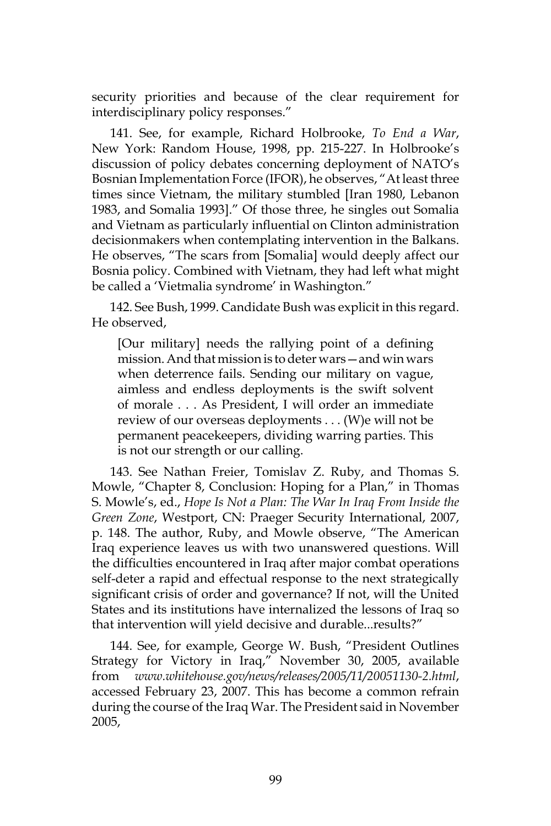security priorities and because of the clear requirement for interdisciplinary policy responses."

141. See, for example, Richard Holbrooke, *To End a War*, New York: Random House, 1998, pp. 215-227. In Holbrooke's discussion of policy debates concerning deployment of NATO's Bosnian Implementation Force (IFOR), he observes, "At least three times since Vietnam, the military stumbled [Iran 1980, Lebanon 1983, and Somalia 1993]." Of those three, he singles out Somalia and Vietnam as particularly influential on Clinton administration decisionmakers when contemplating intervention in the Balkans. He observes, "The scars from [Somalia] would deeply affect our Bosnia policy. Combined with Vietnam, they had left what might be called a 'Vietmalia syndrome' in Washington."

142. See Bush, 1999. Candidate Bush was explicit in this regard. He observed,

[Our military] needs the rallying point of a defining mission. And that mission is to deter wars—and win wars when deterrence fails. Sending our military on vague, aimless and endless deployments is the swift solvent of morale . . . As President, I will order an immediate review of our overseas deployments . . . (W)e will not be permanent peacekeepers, dividing warring parties. This is not our strength or our calling.

143. See Nathan Freier, Tomislav Z. Ruby, and Thomas S. Mowle, "Chapter 8, Conclusion: Hoping for a Plan," in Thomas S. Mowle's, ed., *Hope Is Not a Plan: The War In Iraq From Inside the Green Zone*, Westport, CN: Praeger Security International, 2007, p. 148. The author, Ruby, and Mowle observe, "The American Iraq experience leaves us with two unanswered questions. Will the difficulties encountered in Iraq after major combat operations self-deter a rapid and effectual response to the next strategically significant crisis of order and governance? If not, will the United States and its institutions have internalized the lessons of Iraq so that intervention will yield decisive and durable...results?"

144. See, for example, George W. Bush, "President Outlines Strategy for Victory in Iraq," November 30, 2005, available from *www.whitehouse.gov/news/releases/2005/11/20051130-2.html*, accessed February 23, 2007. This has become a common refrain during the course of the Iraq War. The President said in November 2005,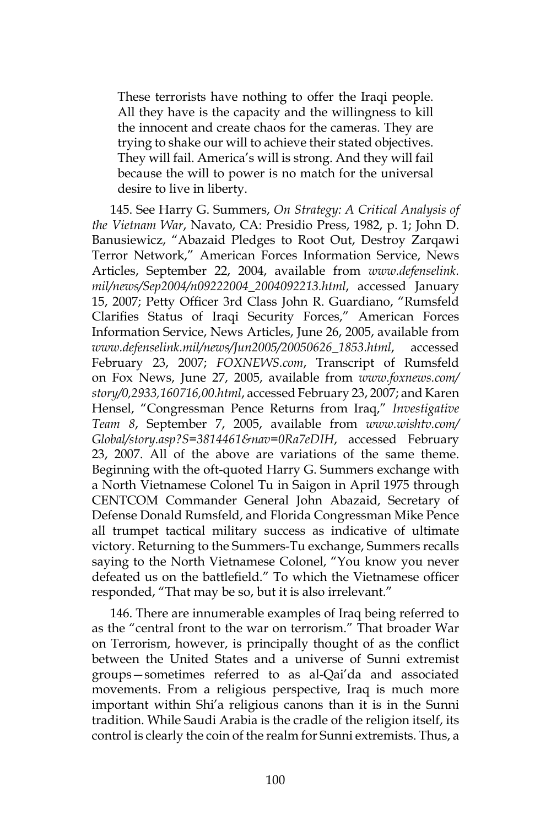These terrorists have nothing to offer the Iraqi people. All they have is the capacity and the willingness to kill the innocent and create chaos for the cameras. They are trying to shake our will to achieve their stated objectives. They will fail. America's will is strong. And they will fail because the will to power is no match for the universal desire to live in liberty.

145. See Harry G. Summers, *On Strategy: A Critical Analysis of the Vietnam War*, Navato, CA: Presidio Press, 1982, p. 1; John D. Banusiewicz, "Abazaid Pledges to Root Out, Destroy Zarqawi Terror Network," American Forces Information Service, News Articles, September 22, 2004, available from *www.defenselink. mil/news/Sep2004/n09222004\_2004092213.html*, accessed January 15, 2007; Petty Officer 3rd Class John R. Guardiano, "Rumsfeld Clarifies Status of Iraqi Security Forces," American Forces Information Service, News Articles, June 26, 2005, available from *www.defenselink.mil/news/Jun2005/20050626\_1853.html*, accessed February 23, 2007; *FOXNEWS.com*, Transcript of Rumsfeld on Fox News, June 27, 2005, available from *www.foxnews.com/ story/0,2933,160716,00.html*, accessed February 23, 2007; and Karen Hensel, "Congressman Pence Returns from Iraq," *Investigative Team 8*, September 7, 2005, available from *www.wishtv.com/ Global/story.asp?S=3814461&nav=0Ra7eDIH*, accessed February 23, 2007. All of the above are variations of the same theme. Beginning with the oft-quoted Harry G. Summers exchange with a North Vietnamese Colonel Tu in Saigon in April 1975 through CENTCOM Commander General John Abazaid, Secretary of Defense Donald Rumsfeld, and Florida Congressman Mike Pence all trumpet tactical military success as indicative of ultimate victory. Returning to the Summers-Tu exchange, Summers recalls saying to the North Vietnamese Colonel, "You know you never defeated us on the battlefield." To which the Vietnamese officer responded, "That may be so, but it is also irrelevant."

146. There are innumerable examples of Iraq being referred to as the "central front to the war on terrorism." That broader War on Terrorism, however, is principally thought of as the conflict between the United States and a universe of Sunni extremist groups—sometimes referred to as al-Qai'da and associated movements. From a religious perspective, Iraq is much more important within Shi'a religious canons than it is in the Sunni tradition. While Saudi Arabia is the cradle of the religion itself, its control is clearly the coin of the realm for Sunni extremists. Thus, a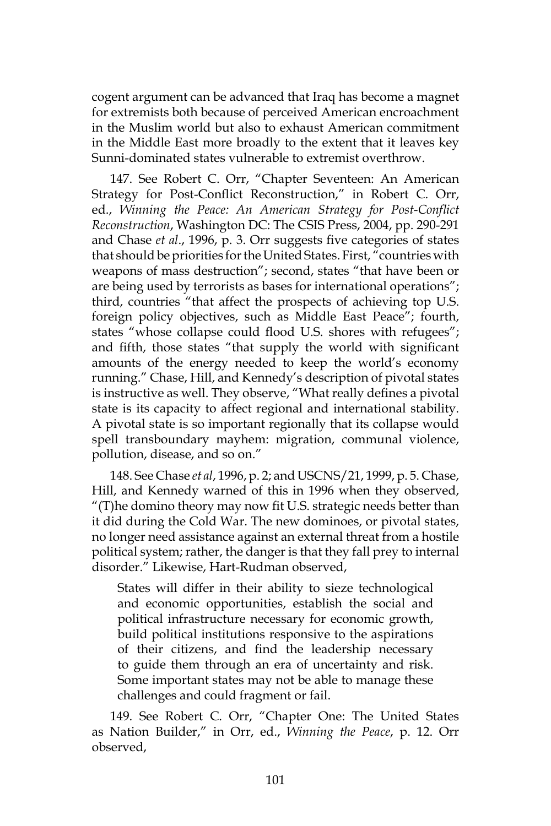cogent argument can be advanced that Iraq has become a magnet for extremists both because of perceived American encroachment in the Muslim world but also to exhaust American commitment in the Middle East more broadly to the extent that it leaves key Sunni-dominated states vulnerable to extremist overthrow.

147. See Robert C. Orr, "Chapter Seventeen: An American Strategy for Post-Conflict Reconstruction," in Robert C. Orr, ed., *Winning the Peace: An American Strategy for Post-Conflict Reconstruction*, Washington DC: The CSIS Press, 2004, pp. 290-291 and Chase *et al*., 1996, p. 3. Orr suggests five categories of states that should be priorities for the United States. First, "countries with weapons of mass destruction"; second, states "that have been or are being used by terrorists as bases for international operations"; third, countries "that affect the prospects of achieving top U.S. foreign policy objectives, such as Middle East Peace"; fourth, states "whose collapse could flood U.S. shores with refugees"; and fifth, those states "that supply the world with significant amounts of the energy needed to keep the world's economy running." Chase, Hill, and Kennedy's description of pivotal states is instructive as well. They observe, "What really defines a pivotal state is its capacity to affect regional and international stability. A pivotal state is so important regionally that its collapse would spell transboundary mayhem: migration, communal violence, pollution, disease, and so on."

148. See Chase *et al*, 1996, p. 2; and USCNS/21, 1999, p. 5. Chase, Hill, and Kennedy warned of this in 1996 when they observed, "(T)he domino theory may now fit U.S. strategic needs better than it did during the Cold War. The new dominoes, or pivotal states, no longer need assistance against an external threat from a hostile political system; rather, the danger is that they fall prey to internal disorder." Likewise, Hart-Rudman observed,

States will differ in their ability to sieze technological and economic opportunities, establish the social and political infrastructure necessary for economic growth, build political institutions responsive to the aspirations of their citizens, and find the leadership necessary to guide them through an era of uncertainty and risk. Some important states may not be able to manage these challenges and could fragment or fail.

149. See Robert C. Orr, "Chapter One: The United States as Nation Builder," in Orr, ed., *Winning the Peace*, p. 12. Orr observed,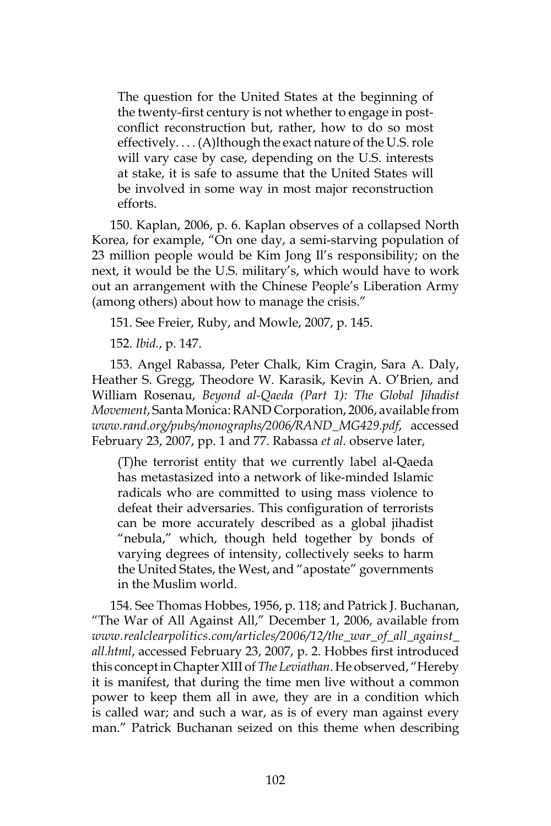The question for the United States at the beginning of the twenty-first century is not whether to engage in postconflict reconstruction but, rather, how to do so most effectively. . . . (A)lthough the exact nature of the U.S. role will vary case by case, depending on the U.S. interests at stake, it is safe to assume that the United States will be involved in some way in most major reconstruction efforts.

150. Kaplan, 2006, p. 6. Kaplan observes of a collapsed North Korea, for example, "On one day, a semi-starving population of 23 million people would be Kim Jong Il's responsibility; on the next, it would be the U.S. military's, which would have to work out an arrangement with the Chinese People's Liberation Army (among others) about how to manage the crisis."

151. See Freier, Ruby, and Mowle, 2007, p. 145.

152. *Ibid.*, p. 147.

153. Angel Rabassa, Peter Chalk, Kim Cragin, Sara A. Daly, Heather S. Gregg, Theodore W. Karasik, Kevin A. O'Brien, and William Rosenau, *Beyond al-Qaeda (Part 1): The Global Jihadist Movement*, Santa Monica: RAND Corporation, 2006, available from *www.rand.org/pubs/monographs/2006/RAND\_MG429.pdf*, accessed February 23, 2007, pp. 1 and 77. Rabassa *et al.* observe later,

(T)he terrorist entity that we currently label al-Qaeda has metastasized into a network of like-minded Islamic radicals who are committed to using mass violence to defeat their adversaries. This configuration of terrorists can be more accurately described as a global jihadist "nebula," which, though held together by bonds of varying degrees of intensity, collectively seeks to harm the United States, the West, and "apostate" governments in the Muslim world.

154. See Thomas Hobbes, 1956, p. 118; and Patrick J. Buchanan, "The War of All Against All," December 1, 2006, available from *www.realclearpolitics.com/articles/2006/12/the\_war\_of\_all\_against\_ all.html*, accessed February 23, 2007, p. 2. Hobbes first introduced this concept in Chapter XIII of *The Leviathan*. He observed, "Hereby it is manifest, that during the time men live without a common power to keep them all in awe, they are in a condition which is called war; and such a war, as is of every man against every man." Patrick Buchanan seized on this theme when describing